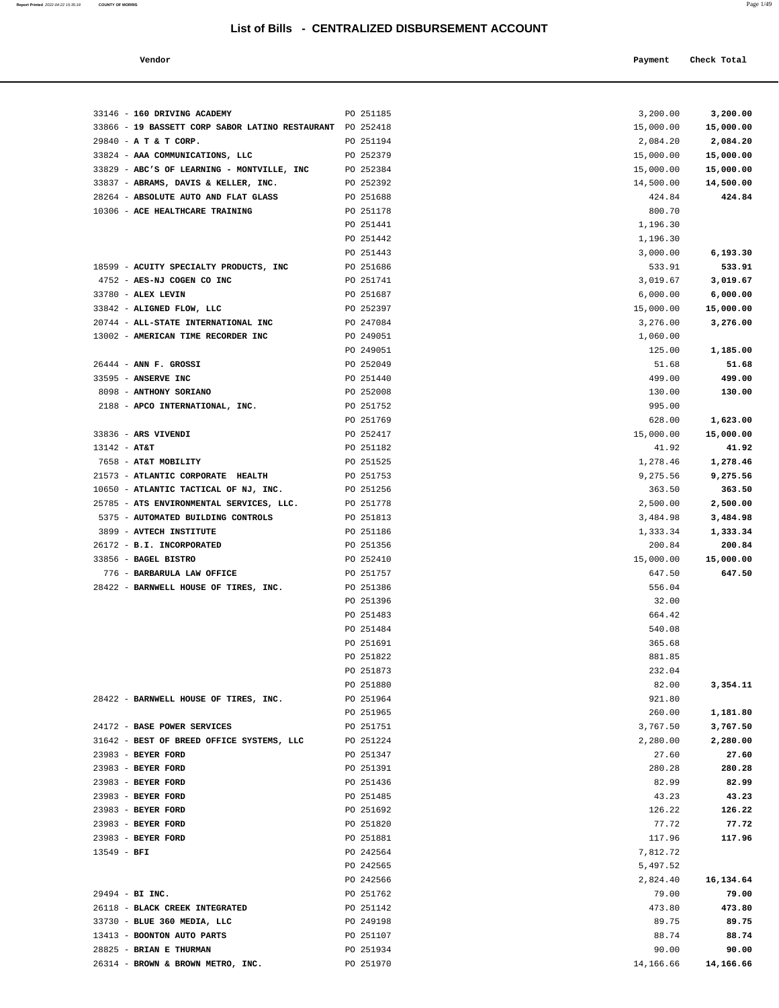**Report Printed** 2022-04-22 15:35:18 **COUNTY OF MORRIS** Page 1/49

| Vendor                                                           |                        | Payment               | Check Total           |
|------------------------------------------------------------------|------------------------|-----------------------|-----------------------|
|                                                                  |                        |                       |                       |
|                                                                  |                        |                       |                       |
| 33146 - 160 DRIVING ACADEMY                                      | PO 251185              | 3,200.00              | 3,200.00              |
| 33866 - 19 BASSETT CORP SABOR LATINO RESTAURANT PO 252418        |                        | 15,000.00             | 15,000.00             |
| 29840 - A T & T CORP.                                            | PO 251194              | 2,084.20              | 2,084.20              |
| 33824 - AAA COMMUNICATIONS, LLC                                  | PO 252379              | 15,000.00             | 15,000.00             |
| 33829 - ABC'S OF LEARNING - MONTVILLE, INC                       | PO 252384              | 15,000.00             | 15,000.00             |
| 33837 - ABRAMS, DAVIS & KELLER, INC.                             | PO 252392              | 14,500.00             | 14,500.00             |
| 28264 - ABSOLUTE AUTO AND FLAT GLASS                             | PO 251688              | 424.84                | 424.84                |
| 10306 - ACE HEALTHCARE TRAINING                                  | PO 251178              | 800.70                |                       |
|                                                                  | PO 251441              | 1,196.30              |                       |
|                                                                  | PO 251442              | 1,196.30              |                       |
|                                                                  | PO 251443              | 3,000.00              | 6,193.30              |
| 18599 - ACUITY SPECIALTY PRODUCTS, INC                           | PO 251686              | 533.91                | 533.91                |
| 4752 - AES-NJ COGEN CO INC                                       | PO 251741              | 3,019.67              | 3,019.67              |
| 33780 - ALEX LEVIN                                               | PO 251687              | 6,000.00              | 6,000.00              |
| 33842 - ALIGNED FLOW, LLC<br>20744 - ALL-STATE INTERNATIONAL INC | PO 252397<br>PO 247084 | 15,000.00<br>3,276.00 | 15,000.00<br>3,276.00 |
| 13002 - AMERICAN TIME RECORDER INC                               | PO 249051              | 1,060.00              |                       |
|                                                                  | PO 249051              | 125.00                | 1,185.00              |
| $26444$ - ANN F. GROSSI                                          | PO 252049              | 51.68                 | 51.68                 |
| 33595 - ANSERVE INC                                              | PO 251440              | 499.00                | 499.00                |
| 8098 - ANTHONY SORIANO                                           | PO 252008              | 130.00                | 130.00                |
| 2188 - APCO INTERNATIONAL, INC.                                  | PO 251752              | 995.00                |                       |
|                                                                  | PO 251769              | 628.00                | 1,623.00              |
| 33836 - ARS VIVENDI                                              | PO 252417              | 15,000.00             | 15,000.00             |
| $13142 - AT&T$                                                   | PO 251182              | 41.92                 | 41.92                 |
| 7658 - AT&T MOBILITY                                             | PO 251525              | 1,278.46              | 1,278.46              |
| 21573 - ATLANTIC CORPORATE HEALTH                                | PO 251753              | 9,275.56              | 9,275.56              |
| 10650 - ATLANTIC TACTICAL OF NJ, INC.                            | PO 251256              | 363.50                | 363.50                |
| 25785 - ATS ENVIRONMENTAL SERVICES, LLC.                         | PO 251778              | 2,500.00              | 2,500.00              |
| 5375 - AUTOMATED BUILDING CONTROLS                               | PO 251813              | 3,484.98              | 3,484.98              |
| 3899 - AVTECH INSTITUTE                                          | PO 251186              | 1,333.34              | 1,333.34              |
| 26172 - B.I. INCORPORATED                                        | PO 251356              | 200.84                | 200.84                |
| 33856 - BAGEL BISTRO<br>776 - BARBARULA LAW OFFICE               | PO 252410<br>PO 251757 | 15,000.00<br>647.50   | 15,000.00<br>647.50   |
| 28422 - BARNWELL HOUSE OF TIRES, INC.                            | PO 251386              | 556.04                |                       |
|                                                                  | PO 251396              | 32.00                 |                       |
|                                                                  | PO 251483              | 664.42                |                       |
|                                                                  | PO 251484              | 540.08                |                       |
|                                                                  | PO 251691              | 365.68                |                       |
|                                                                  | PO 251822              | 881.85                |                       |
|                                                                  | PO 251873              | 232.04                |                       |
|                                                                  | PO 251880              | 82.00                 | 3,354.11              |
| 28422 - BARNWELL HOUSE OF TIRES, INC.                            | PO 251964              | 921.80                |                       |
|                                                                  | PO 251965              | 260.00                | 1,181.80              |
| 24172 - BASE POWER SERVICES                                      | PO 251751              | 3,767.50              | 3,767.50              |
| 31642 - BEST OF BREED OFFICE SYSTEMS, LLC                        | PO 251224              | 2,280.00              | 2,280.00              |
| 23983 - BEYER FORD                                               | PO 251347              | 27.60                 | 27.60                 |
| 23983 - BEYER FORD                                               | PO 251391              | 280.28                | 280.28                |
| 23983 - BEYER FORD                                               | PO 251436              | 82.99                 | 82.99                 |
| 23983 - BEYER FORD                                               | PO 251485              | 43.23                 | 43.23                 |
| 23983 - BEYER FORD<br>23983 - BEYER FORD                         | PO 251692<br>PO 251820 | 126.22<br>77.72       | 126.22<br>77.72       |
| 23983 - BEYER FORD                                               | PO 251881              | 117.96                | 117.96                |
| $13549 - BFI$                                                    | PO 242564              | 7,812.72              |                       |
|                                                                  | PO 242565              | 5,497.52              |                       |
|                                                                  | PO 242566              | 2,824.40              | 16,134.64             |
| 29494 - BI INC.                                                  | PO 251762              | 79.00                 | 79.00                 |
| 26118 - BLACK CREEK INTEGRATED                                   | PO 251142              | 473.80                | 473.80                |
| 33730 - BLUE 360 MEDIA, LLC                                      | PO 249198              | 89.75                 | 89.75                 |
| 13413 - BOONTON AUTO PARTS                                       | PO 251107              | 88.74                 | 88.74                 |
| 28825 - BRIAN E THURMAN                                          | PO 251934              | 90.00                 | 90.00                 |
| 26314 - BROWN & BROWN METRO, INC.                                | PO 251970              | 14,166.66             | 14,166.66             |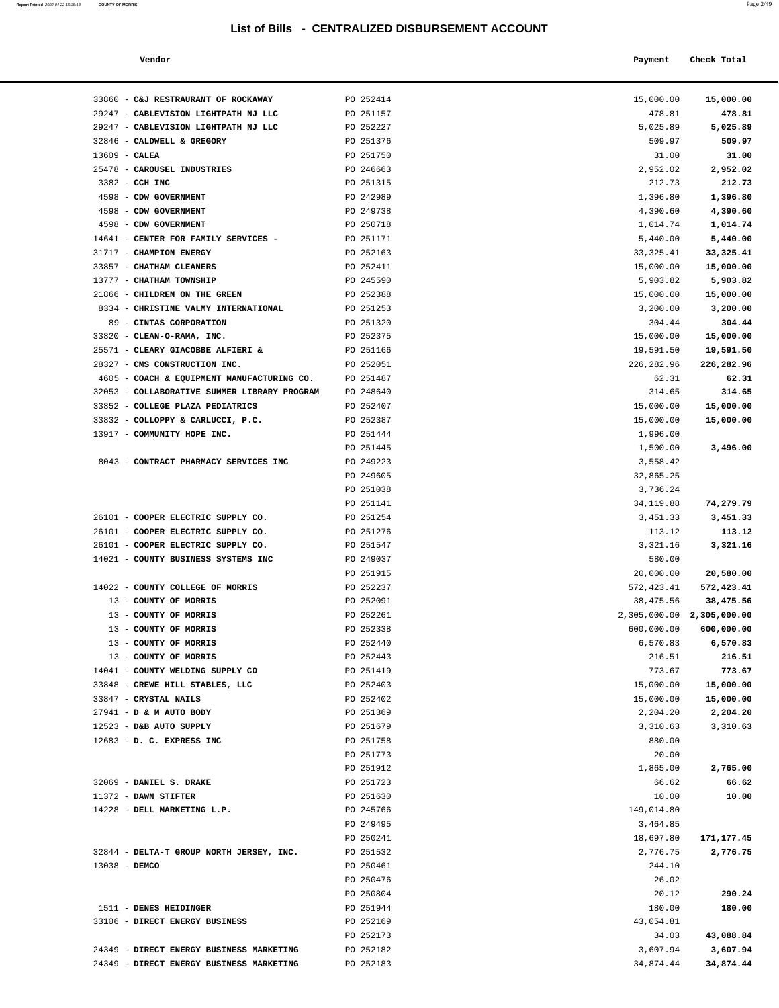| Report Printed 2022-04-22 15:35:18 | <b>COUNTY OF MORRIS</b> |  |  | Page 2/49 |
|------------------------------------|-------------------------|--|--|-----------|
|                                    |                         |  |  |           |

| Vendor |  | Payment Check Total<br>------ ---- |
|--------|--|------------------------------------|
|--------|--|------------------------------------|

|                 | 33860 - C&J RESTRAURANT OF ROCKAWAY                  | PO 252414 | 15,000.00                 | 15,000.00  |
|-----------------|------------------------------------------------------|-----------|---------------------------|------------|
|                 | 29247 - CABLEVISION LIGHTPATH NJ LLC                 | PO 251157 | 478.81                    | 478.81     |
|                 | 29247 - CABLEVISION LIGHTPATH NJ LLC                 | PO 252227 | 5,025.89                  | 5,025.89   |
|                 | 32846 - CALDWELL & GREGORY                           | PO 251376 | 509.97                    | 509.97     |
| $13609$ - CALEA |                                                      | PO 251750 | 31.00                     | 31.00      |
|                 | 25478 - CAROUSEL INDUSTRIES                          | PO 246663 | 2,952.02                  | 2,952.02   |
|                 | 3382 - CCH INC                                       | PO 251315 | 212.73                    | 212.73     |
|                 | 4598 - CDW GOVERNMENT                                | PO 242989 | 1,396.80                  | 1,396.80   |
|                 | 4598 - CDW GOVERNMENT                                | PO 249738 | 4,390.60                  | 4,390.60   |
|                 | 4598 - CDW GOVERNMENT                                | PO 250718 | 1,014.74                  | 1,014.74   |
|                 | 14641 - CENTER FOR FAMILY SERVICES -                 | PO 251171 | 5,440.00                  | 5,440.00   |
|                 | 31717 - CHAMPION ENERGY                              | PO 252163 | 33, 325.41                | 33, 325.41 |
|                 | 33857 - CHATHAM CLEANERS                             | PO 252411 | 15,000.00                 | 15,000.00  |
|                 | 13777 - CHATHAM TOWNSHIP                             | PO 245590 | 5,903.82                  | 5,903.82   |
|                 | 21866 - CHILDREN ON THE GREEN                        | PO 252388 | 15,000.00                 | 15,000.00  |
|                 | 8334 - CHRISTINE VALMY INTERNATIONAL                 | PO 251253 | 3,200.00                  | 3,200.00   |
|                 | 89 - CINTAS CORPORATION                              | PO 251320 | 304.44                    | 304.44     |
|                 | 33820 - CLEAN-O-RAMA, INC.                           | PO 252375 | 15,000.00                 | 15,000.00  |
|                 | 25571 - CLEARY GIACOBBE ALFIERI &                    | PO 251166 | 19,591.50                 | 19,591.50  |
|                 | 28327 - CMS CONSTRUCTION INC.                        | PO 252051 | 226,282.96                | 226,282.96 |
|                 | 4605 - COACH & EQUIPMENT MANUFACTURING CO. PO 251487 |           | 62.31                     | 62.31      |
|                 | 32053 - COLLABORATIVE SUMMER LIBRARY PROGRAM         | PO 248640 | 314.65                    | 314.65     |
|                 | 33852 - COLLEGE PLAZA PEDIATRICS                     | PO 252407 | 15,000.00                 | 15,000.00  |
|                 | 33832 - COLLOPPY & CARLUCCI, P.C.                    | PO 252387 | 15,000.00                 | 15,000.00  |
|                 | 13917 - COMMUNITY HOPE INC.                          | PO 251444 | 1,996.00                  |            |
|                 |                                                      | PO 251445 | 1,500.00                  | 3,496.00   |
|                 | 8043 - CONTRACT PHARMACY SERVICES INC                | PO 249223 | 3,558.42                  |            |
|                 |                                                      | PO 249605 | 32,865.25                 |            |
|                 |                                                      | PO 251038 | 3,736.24                  |            |
|                 |                                                      | PO 251141 | 34, 119.88                | 74,279.79  |
|                 | 26101 - COOPER ELECTRIC SUPPLY CO.                   | PO 251254 | 3,451.33                  | 3,451.33   |
|                 | 26101 - COOPER ELECTRIC SUPPLY CO.                   | PO 251276 | 113.12                    | 113.12     |
|                 | 26101 - COOPER ELECTRIC SUPPLY CO.                   | PO 251547 | 3,321.16                  | 3,321.16   |
|                 | 14021 - COUNTY BUSINESS SYSTEMS INC                  | PO 249037 | 580.00                    |            |
|                 |                                                      | PO 251915 | 20,000.00                 | 20,580.00  |
|                 | 14022 - COUNTY COLLEGE OF MORRIS                     | PO 252237 | 572,423.41                | 572,423.41 |
|                 | 13 - COUNTY OF MORRIS                                | PO 252091 | 38,475.56                 | 38,475.56  |
|                 | 13 - COUNTY OF MORRIS                                | PO 252261 | 2,305,000.00 2,305,000.00 |            |
|                 | 13 - COUNTY OF MORRIS                                | PO 252338 | 600,000.00                | 600,000.00 |
|                 | 13 - COUNTY OF MORRIS                                | PO 252440 | 6,570.83                  | 6,570.83   |
|                 | 13 - COUNTY OF MORRIS                                | PO 252443 | 216.51                    | 216.51     |
|                 | 14041 - COUNTY WELDING SUPPLY CO                     | PO 251419 | 773.67                    | 773.67     |
|                 | 33848 - CREWE HILL STABLES, LLC                      | PO 252403 | 15,000.00                 | 15,000.00  |
|                 | 33847 - CRYSTAL NAILS                                | PO 252402 | 15,000.00                 | 15,000.00  |
|                 | 27941 - D & M AUTO BODY                              | PO 251369 | 2,204.20                  | 2,204.20   |
|                 | 12523 - D&B AUTO SUPPLY                              | PO 251679 | 3,310.63                  | 3,310.63   |
|                 | 12683 - D. C. EXPRESS INC                            | PO 251758 | 880.00                    |            |
|                 |                                                      | PO 251773 | 20.00                     |            |
|                 |                                                      | PO 251912 | 1,865.00                  | 2,765.00   |
|                 | 32069 - DANIEL S. DRAKE                              | PO 251723 | 66.62                     | 66.62      |
|                 | 11372 - DAWN STIFTER                                 | PO 251630 | 10.00                     | 10.00      |
|                 | 14228 - DELL MARKETING L.P.                          | PO 245766 | 149,014.80                |            |
|                 |                                                      | PO 249495 | 3,464.85                  |            |
|                 |                                                      | PO 250241 | 18,697.80                 | 171,177.45 |
|                 | 32844 - DELTA-T GROUP NORTH JERSEY, INC.             | PO 251532 | 2,776.75                  | 2,776.75   |
| 13038 - DEMCO   |                                                      | PO 250461 | 244.10                    |            |
|                 |                                                      | PO 250476 | 26.02                     |            |
|                 |                                                      | PO 250804 | 20.12                     | 290.24     |
|                 | 1511 - DENES HEIDINGER                               | PO 251944 | 180.00                    | 180.00     |
|                 | 33106 - DIRECT ENERGY BUSINESS                       | PO 252169 | 43,054.81                 |            |
|                 |                                                      | PO 252173 | 34.03                     | 43,088.84  |
|                 | 24349 - DIRECT ENERGY BUSINESS MARKETING             | PO 252182 | 3,607.94                  | 3,607.94   |
|                 | 24349 - DIRECT ENERGY BUSINESS MARKETING             | PO 252183 | 34,874.44                 | 34,874.44  |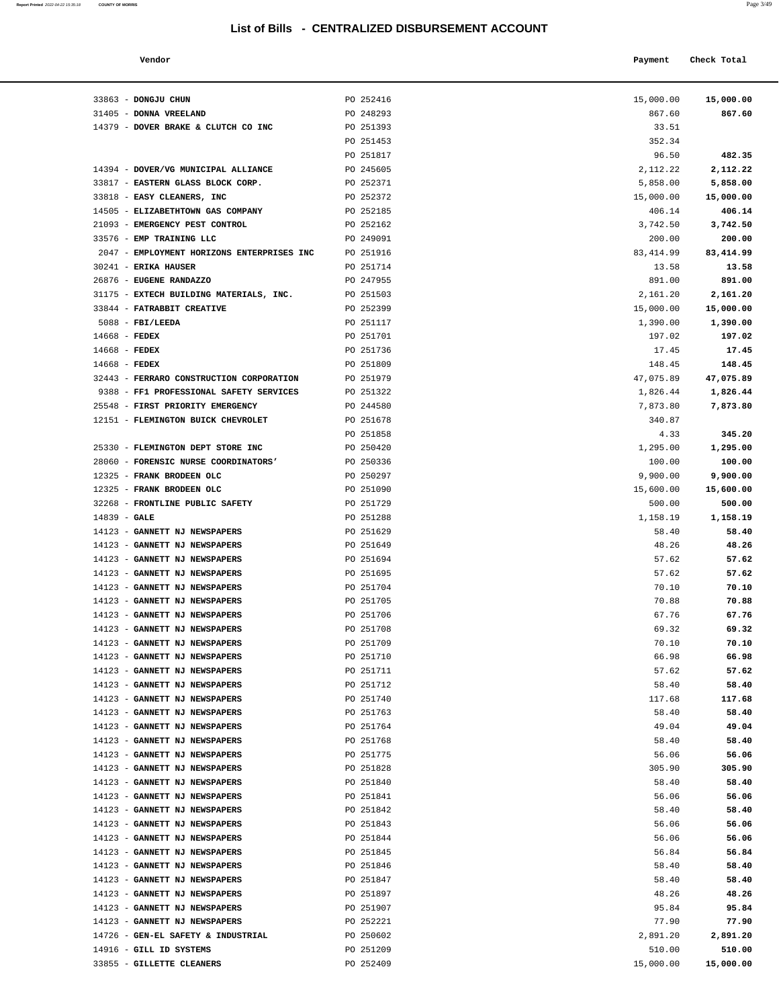| Report Printed 2022-04-22 15:35:18 | <b>COUNTY OF MORRIS</b> |  |  | Page 3/49 |
|------------------------------------|-------------------------|--|--|-----------|
|                                    |                         |  |  |           |

| Vendor | Payment Check Total |
|--------|---------------------|
|        |                     |

| 33863 - DONGJU CHUN                                                 | PO 252416              | 15,000.00          | 15,000.00          |
|---------------------------------------------------------------------|------------------------|--------------------|--------------------|
| 31405 - DONNA VREELAND                                              | PO 248293              | 867.60             | 867.60             |
| 14379 - DOVER BRAKE & CLUTCH CO INC                                 | PO 251393              | 33.51              |                    |
|                                                                     | PO 251453              | 352.34             |                    |
|                                                                     | PO 251817              | 96.50              | 482.35             |
| 14394 - DOVER/VG MUNICIPAL ALLIANCE                                 | PO 245605              | 2, 112. 22         | 2,112.22           |
| 33817 - EASTERN GLASS BLOCK CORP.                                   | PO 252371              | 5,858.00           | 5,858.00           |
| 33818 - EASY CLEANERS, INC                                          | PO 252372              | 15,000.00          | 15,000.00          |
| 14505 - ELIZABETHTOWN GAS COMPANY<br>21093 - EMERGENCY PEST CONTROL | PO 252185<br>PO 252162 | 406.14             | 406.14<br>3,742.50 |
| 33576 - EMP TRAINING LLC                                            | PO 249091              | 3,742.50<br>200.00 | 200.00             |
| 2047 - EMPLOYMENT HORIZONS ENTERPRISES INC                          | PO 251916              | 83, 414.99         | 83,414.99          |
| 30241 - ERIKA HAUSER                                                | PO 251714              | 13.58              | 13.58              |
| 26876 - EUGENE RANDAZZO                                             | PO 247955              | 891.00             | 891.00             |
| 31175 - EXTECH BUILDING MATERIALS, INC.                             | PO 251503              | 2,161.20           | 2,161.20           |
| 33844 - FATRABBIT CREATIVE                                          | PO 252399              | 15,000.00          | 15,000.00          |
| $5088$ - FBI/LEEDA                                                  | PO 251117              | 1,390.00           | 1,390.00           |
| $14668$ - FEDEX                                                     | PO 251701              | 197.02             | 197.02             |
| $14668$ - FEDEX                                                     | PO 251736              | 17.45              | 17.45              |
| $14668$ - FEDEX                                                     | PO 251809              | 148.45             | 148.45             |
| 32443 - FERRARO CONSTRUCTION CORPORATION                            | PO 251979              | 47,075.89          | 47,075.89          |
| 9388 - FF1 PROFESSIONAL SAFETY SERVICES                             | PO 251322              | 1,826.44           | 1,826.44           |
| 25548 - FIRST PRIORITY EMERGENCY                                    | PO 244580              | 7,873.80           | 7,873.80           |
| 12151 - FLEMINGTON BUICK CHEVROLET                                  | PO 251678              | 340.87             |                    |
| 25330 - FLEMINGTON DEPT STORE INC                                   | PO 251858<br>PO 250420 | 4.33<br>1,295.00   | 345.20<br>1,295.00 |
| 28060 - FORENSIC NURSE COORDINATORS'                                | PO 250336              | 100.00             | 100.00             |
| 12325 - FRANK BRODEEN OLC                                           | PO 250297              | 9,900.00           | 9,900.00           |
| 12325 - FRANK BRODEEN OLC                                           | PO 251090              | 15,600.00          | 15,600.00          |
| 32268 - FRONTLINE PUBLIC SAFETY                                     | PO 251729              | 500.00             | 500.00             |
| $14839$ - GALE                                                      | PO 251288              | 1,158.19           | 1,158.19           |
| 14123 - GANNETT NJ NEWSPAPERS                                       | PO 251629              | 58.40              | 58.40              |
| 14123 - GANNETT NJ NEWSPAPERS                                       | PO 251649              | 48.26              | 48.26              |
| 14123 - GANNETT NJ NEWSPAPERS                                       | PO 251694              | 57.62              | 57.62              |
| 14123 - GANNETT NJ NEWSPAPERS                                       | PO 251695              | 57.62              | 57.62              |
| 14123 - GANNETT NJ NEWSPAPERS                                       | PO 251704              | 70.10              | 70.10              |
| 14123 - GANNETT NJ NEWSPAPERS                                       | PO 251705              | 70.88              | 70.88              |
| 14123 - GANNETT NJ NEWSPAPERS                                       | PO 251706              | 67.76              | 67.76              |
| 14123 - GANNETT NJ NEWSPAPERS                                       | PO 251708              | 69.32              | 69.32              |
| 14123 - GANNETT NJ NEWSPAPERS                                       | PO 251709<br>PO 251710 | 70.10<br>66.98     | 70.10<br>66.98     |
| 14123 - GANNETT NJ NEWSPAPERS<br>14123 - GANNETT NJ NEWSPAPERS      | PO 251711              | 57.62              | 57.62              |
| 14123 - GANNETT NJ NEWSPAPERS                                       | PO 251712              | 58.40              | 58.40              |
| 14123 - GANNETT NJ NEWSPAPERS                                       | PO 251740              | 117.68             | 117.68             |
| 14123 - GANNETT NJ NEWSPAPERS                                       | PO 251763              | 58.40              | 58.40              |
| 14123 - GANNETT NJ NEWSPAPERS                                       | PO 251764              | 49.04              | 49.04              |
| 14123 - GANNETT NJ NEWSPAPERS                                       | PO 251768              | 58.40              | 58.40              |
| 14123 - GANNETT NJ NEWSPAPERS                                       | PO 251775              | 56.06              | 56.06              |
| 14123 - GANNETT NJ NEWSPAPERS                                       | PO 251828              | 305.90             | 305.90             |
| 14123 - GANNETT NJ NEWSPAPERS                                       | PO 251840              | 58.40              | 58.40              |
| 14123 - GANNETT NJ NEWSPAPERS                                       | PO 251841              | 56.06              | 56.06              |
| 14123 - GANNETT NJ NEWSPAPERS                                       | PO 251842              | 58.40              | 58.40              |
| 14123 - GANNETT NJ NEWSPAPERS                                       | PO 251843              | 56.06              | 56.06              |
| 14123 - GANNETT NJ NEWSPAPERS                                       | PO 251844              | 56.06              | 56.06              |
| 14123 - GANNETT NJ NEWSPAPERS<br>14123 - GANNETT NJ NEWSPAPERS      | PO 251845<br>PO 251846 | 56.84<br>58.40     | 56.84<br>58.40     |
| 14123 - GANNETT NJ NEWSPAPERS                                       | PO 251847              | 58.40              | 58.40              |
| 14123 - GANNETT NJ NEWSPAPERS                                       | PO 251897              | 48.26              | 48.26              |
| 14123 - GANNETT NJ NEWSPAPERS                                       | PO 251907              | 95.84              | 95.84              |
| 14123 - GANNETT NJ NEWSPAPERS                                       | PO 252221              | 77.90              | 77.90              |
| 14726 - GEN-EL SAFETY & INDUSTRIAL                                  | PO 250602              | 2,891.20           | 2,891.20           |
| 14916 - GILL ID SYSTEMS                                             | PO 251209              | 510.00             | 510.00             |
| 33855 - GILLETTE CLEANERS                                           | PO 252409              | 15,000.00          | 15,000.00          |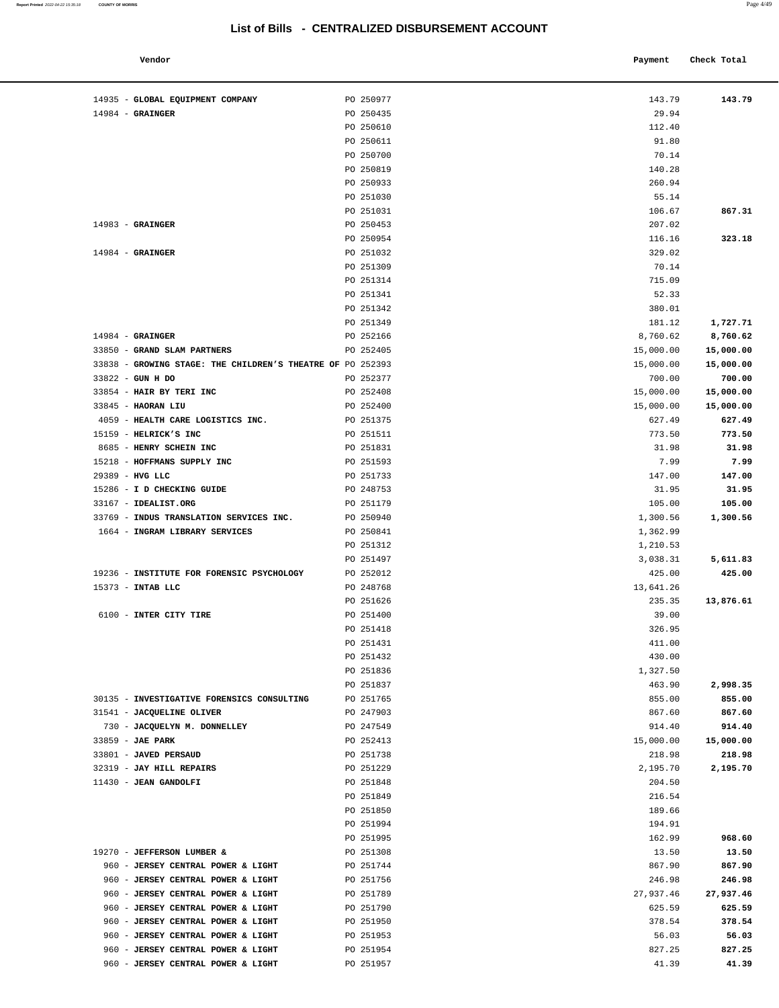| Vendor                   |           | Check Total<br>Payment |  |
|--------------------------|-----------|------------------------|--|
| CLORAL FOUTDMENT COMPANY | DO 250977 | 142 79<br>143 79       |  |

| 14935 - GLOBAL EQUIPMENT COMPANY                                         | PO 250977              | 143.79           | 143.79           |
|--------------------------------------------------------------------------|------------------------|------------------|------------------|
| $14984$ - GRAINGER                                                       | PO 250435              | 29.94            |                  |
|                                                                          | PO 250610              | 112.40           |                  |
|                                                                          | PO 250611              | 91.80            |                  |
|                                                                          | PO 250700              | 70.14            |                  |
|                                                                          | PO 250819              | 140.28           |                  |
|                                                                          | PO 250933              | 260.94           |                  |
|                                                                          | PO 251030<br>PO 251031 | 55.14<br>106.67  | 867.31           |
| $14983$ - GRAINGER                                                       | PO 250453              | 207.02           |                  |
|                                                                          | PO 250954              | 116.16           | 323.18           |
| $14984$ - GRAINGER                                                       | PO 251032              | 329.02           |                  |
|                                                                          | PO 251309              | 70.14            |                  |
|                                                                          | PO 251314              | 715.09           |                  |
|                                                                          | PO 251341              | 52.33            |                  |
|                                                                          | PO 251342              | 380.01           |                  |
|                                                                          | PO 251349              | 181.12           | 1,727.71         |
| $14984$ - GRAINGER                                                       | PO 252166              | 8,760.62         | 8,760.62         |
| 33850 - GRAND SLAM PARTNERS                                              | PO 252405              | 15,000.00        | 15,000.00        |
| 33838 - GROWING STAGE: THE CHILDREN'S THEATRE OF PO 252393               |                        | 15,000.00        | 15,000.00        |
| 33822 - GUN H DO                                                         | PO 252377              | 700.00           | 700.00           |
| 33854 - HAIR BY TERI INC                                                 | PO 252408              | 15,000.00        | 15,000.00        |
| 33845 - HAORAN LIU                                                       | PO 252400              | 15,000.00        | 15,000.00        |
| 4059 - HEALTH CARE LOGISTICS INC.<br>15159 - HELRICK'S INC               | PO 251375<br>PO 251511 | 627.49<br>773.50 | 627.49<br>773.50 |
| 8685 - HENRY SCHEIN INC                                                  | PO 251831              | 31.98            | 31.98            |
| 15218 - HOFFMANS SUPPLY INC                                              | PO 251593              | 7.99             | 7.99             |
| 29389 - HVG LLC                                                          | PO 251733              | 147.00           | 147.00           |
| 15286 - I D CHECKING GUIDE                                               | PO 248753              | 31.95            | 31.95            |
| 33167 - IDEALIST.ORG                                                     | PO 251179              | 105.00           | 105.00           |
| 33769 - INDUS TRANSLATION SERVICES INC.                                  | PO 250940              | 1,300.56         | 1,300.56         |
| 1664 - INGRAM LIBRARY SERVICES                                           | PO 250841              | 1,362.99         |                  |
|                                                                          | PO 251312              | 1,210.53         |                  |
|                                                                          | PO 251497              | 3,038.31         | 5,611.83         |
| 19236 - INSTITUTE FOR FORENSIC PSYCHOLOGY                                | PO 252012              | 425.00           | 425.00           |
| 15373 - INTAB LLC                                                        | PO 248768              | 13,641.26        |                  |
|                                                                          | PO 251626              | 235.35           | 13,876.61        |
| 6100 - INTER CITY TIRE                                                   | PO 251400              | 39.00            |                  |
|                                                                          | PO 251418              | 326.95           |                  |
|                                                                          | PO 251431<br>PO 251432 | 411.00<br>430.00 |                  |
|                                                                          | PO 251836              | 1,327.50         |                  |
|                                                                          | PO 251837              | 463.90           | 2,998.35         |
| 30135 - INVESTIGATIVE FORENSICS CONSULTING                               | PO 251765              | 855.00           | 855.00           |
| 31541 - JACQUELINE OLIVER                                                | PO 247903              | 867.60           | 867.60           |
| 730 - JACQUELYN M. DONNELLEY                                             | PO 247549              | 914.40           | 914.40           |
| 33859 - JAE PARK                                                         | PO 252413              | 15,000.00        | 15,000.00        |
| 33801 - JAVED PERSAUD                                                    | PO 251738              | 218.98           | 218.98           |
| 32319 - JAY HILL REPAIRS                                                 | PO 251229              | 2,195.70         | 2,195.70         |
| 11430 - JEAN GANDOLFI                                                    | PO 251848              | 204.50           |                  |
|                                                                          | PO 251849              | 216.54           |                  |
|                                                                          | PO 251850              | 189.66           |                  |
|                                                                          | PO 251994              | 194.91           |                  |
|                                                                          | PO 251995              | 162.99           | 968.60           |
| 19270 - JEFFERSON LUMBER &                                               | PO 251308              | 13.50            | 13.50            |
| 960 - JERSEY CENTRAL POWER & LIGHT<br>960 - JERSEY CENTRAL POWER & LIGHT | PO 251744<br>PO 251756 | 867.90<br>246.98 | 867.90<br>246.98 |
| 960 - JERSEY CENTRAL POWER & LIGHT                                       | PO 251789              | 27,937.46        | 27,937.46        |
| 960 - JERSEY CENTRAL POWER & LIGHT                                       | PO 251790              | 625.59           | 625.59           |
| 960 - JERSEY CENTRAL POWER & LIGHT                                       | PO 251950              | 378.54           | 378.54           |
| 960 - JERSEY CENTRAL POWER & LIGHT                                       | PO 251953              | 56.03            | 56.03            |
| 960 - JERSEY CENTRAL POWER & LIGHT                                       | PO 251954              | 827.25           | 827.25           |
| 960 - JERSEY CENTRAL POWER & LIGHT                                       | PO 251957              | 41.39            | 41.39            |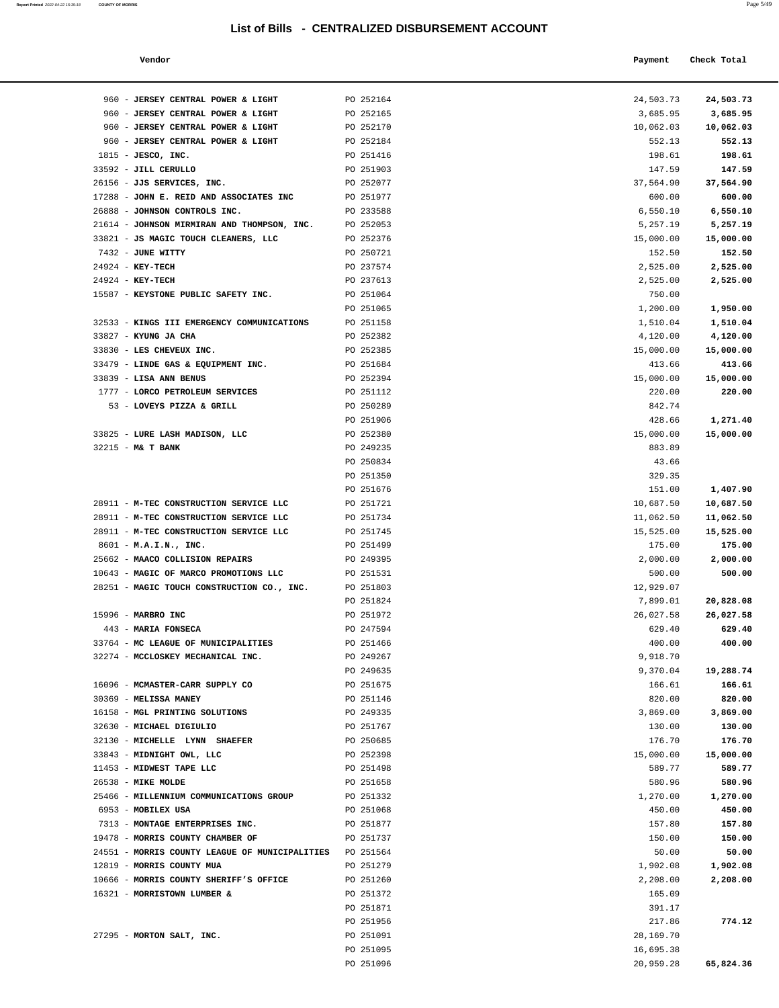**Report Printed**  2022-04-22 15:35:18 **COUNTY OF MORRIS** 

|--|--|

| Vendor |  | Payment Check Total |
|--------|--|---------------------|
|--------|--|---------------------|

| 960 - JERSEY CENTRAL POWER & LIGHT             | PO 252164 | 24,503.73 | 24,503.73 |
|------------------------------------------------|-----------|-----------|-----------|
| 960 - JERSEY CENTRAL POWER & LIGHT             | PO 252165 | 3,685.95  | 3,685.95  |
| 960 - JERSEY CENTRAL POWER & LIGHT             | PO 252170 | 10,062.03 | 10,062.03 |
| 960 - JERSEY CENTRAL POWER & LIGHT             | PO 252184 | 552.13    | 552.13    |
| $1815$ - JESCO, INC.                           | PO 251416 | 198.61    | 198.61    |
| 33592 - JILL CERULLO                           | PO 251903 | 147.59    | 147.59    |
| 26156 - JJS SERVICES, INC.                     | PO 252077 | 37,564.90 | 37,564.90 |
| 17288 - JOHN E. REID AND ASSOCIATES INC        | PO 251977 | 600.00    | 600.00    |
| 26888 - JOHNSON CONTROLS INC.                  | PO 233588 | 6,550.10  | 6,550.10  |
| 21614 - JOHNSON MIRMIRAN AND THOMPSON, INC.    | PO 252053 | 5,257.19  | 5,257.19  |
| 33821 - JS MAGIC TOUCH CLEANERS, LLC           | PO 252376 | 15,000.00 | 15,000.00 |
| 7432 - JUNE WITTY                              | PO 250721 | 152.50    | 152.50    |
| 24924 - KEY-TECH                               | PO 237574 | 2,525.00  | 2,525.00  |
| 24924 - KEY-TECH                               | PO 237613 | 2,525.00  | 2,525.00  |
| 15587 - KEYSTONE PUBLIC SAFETY INC.            | PO 251064 | 750.00    |           |
|                                                | PO 251065 | 1,200.00  | 1,950.00  |
| 32533 - KINGS III EMERGENCY COMMUNICATIONS     | PO 251158 | 1,510.04  | 1,510.04  |
| 33827 - KYUNG JA CHA                           | PO 252382 | 4,120.00  | 4,120.00  |
| 33830 - LES CHEVEUX INC.                       | PO 252385 | 15,000.00 | 15,000.00 |
| 33479 - LINDE GAS & EQUIPMENT INC.             | PO 251684 | 413.66    | 413.66    |
| 33839 - LISA ANN BENUS                         | PO 252394 | 15,000.00 | 15,000.00 |
| 1777 - LORCO PETROLEUM SERVICES                | PO 251112 | 220.00    | 220.00    |
| 53 - LOVEYS PIZZA & GRILL                      | PO 250289 | 842.74    |           |
|                                                | PO 251906 | 428.66    | 1,271.40  |
| 33825 - LURE LASH MADISON, LLC                 | PO 252380 | 15,000.00 | 15,000.00 |
| 32215 - M& T BANK                              | PO 249235 | 883.89    |           |
|                                                | PO 250834 | 43.66     |           |
|                                                | PO 251350 | 329.35    |           |
|                                                | PO 251676 | 151.00    | 1,407.90  |
| 28911 - M-TEC CONSTRUCTION SERVICE LLC         | PO 251721 | 10,687.50 | 10,687.50 |
| 28911 - M-TEC CONSTRUCTION SERVICE LLC         | PO 251734 | 11,062.50 | 11,062.50 |
| 28911 - M-TEC CONSTRUCTION SERVICE LLC         | PO 251745 | 15,525.00 | 15,525.00 |
| $8601 - M.A.I.N., INC.$                        | PO 251499 | 175.00    | 175.00    |
| 25662 - MAACO COLLISION REPAIRS                | PO 249395 | 2,000.00  | 2,000.00  |
| 10643 - MAGIC OF MARCO PROMOTIONS LLC          | PO 251531 | 500.00    | 500.00    |
| 28251 - MAGIC TOUCH CONSTRUCTION CO., INC.     | PO 251803 | 12,929.07 |           |
|                                                | PO 251824 | 7,899.01  | 20,828.08 |
| 15996 - MARBRO INC                             | PO 251972 | 26,027.58 | 26,027.58 |
| 443 - MARIA FONSECA                            | PO 247594 | 629.40    | 629.40    |
| 33764 - MC LEAGUE OF MUNICIPALITIES            | PO 251466 | 400.00    | 400.00    |
| 32274 - MCCLOSKEY MECHANICAL INC.              | PO 249267 | 9,918.70  |           |
|                                                | PO 249635 | 9,370.04  | 19,288.74 |
| 16096 - MCMASTER-CARR SUPPLY CO                | PO 251675 | 166.61    | 166.61    |
| 30369 - MELISSA MANEY                          | PO 251146 | 820.00    | 820.00    |
| 16158 - MGL PRINTING SOLUTIONS                 | PO 249335 | 3,869.00  | 3,869.00  |
| 32630 - MICHAEL DIGIULIO                       | PO 251767 | 130.00    | 130.00    |
| 32130 - MICHELLE LYNN SHAEFER                  | PO 250685 | 176.70    | 176.70    |
| 33843 - MIDNIGHT OWL, LLC                      | PO 252398 | 15,000.00 | 15,000.00 |
| 11453 - MIDWEST TAPE LLC                       | PO 251498 | 589.77    | 589.77    |
| 26538 - MIKE MOLDE                             | PO 251658 | 580.96    | 580.96    |
| 25466 - MILLENNIUM COMMUNICATIONS GROUP        | PO 251332 | 1,270.00  | 1,270.00  |
| 6953 - MOBILEX USA                             | PO 251068 | 450.00    | 450.00    |
| 7313 - MONTAGE ENTERPRISES INC.                | PO 251877 | 157.80    | 157.80    |
| 19478 - MORRIS COUNTY CHAMBER OF               | PO 251737 | 150.00    | 150.00    |
| 24551 - MORRIS COUNTY LEAGUE OF MUNICIPALITIES | PO 251564 | 50.00     | 50.00     |
| 12819 - MORRIS COUNTY MUA                      | PO 251279 | 1,902.08  | 1,902.08  |
| 10666 - MORRIS COUNTY SHERIFF'S OFFICE         | PO 251260 | 2,208.00  | 2,208.00  |
| 16321 - MORRISTOWN LUMBER &                    | PO 251372 | 165.09    |           |
|                                                | PO 251871 | 391.17    |           |
|                                                | PO 251956 | 217.86    | 774.12    |
| 27295 - MORTON SALT, INC.                      | PO 251091 | 28,169.70 |           |
|                                                | PO 251095 | 16,695.38 |           |
|                                                | PO 251096 | 20,959.28 | 65,824.36 |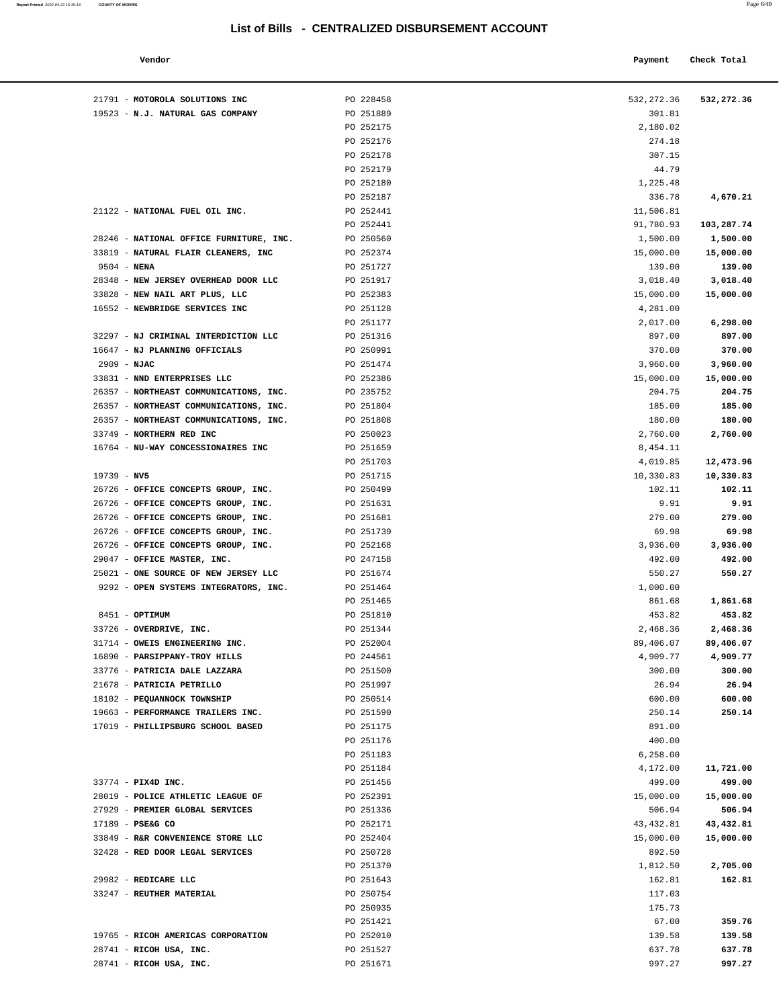| Vendor                           |           | Payment    | Check Total |
|----------------------------------|-----------|------------|-------------|
| 21791 - MOTOROLA SOLUTIONS INC   | PO 228458 | 532,272.36 | 532,272.36  |
| 19523 - N.J. NATURAL GAS COMPANY | PO 251889 | 301.81     |             |
|                                  | PO 252175 | 2,180.02   |             |
|                                  | PO 252176 | 274.18     |             |
|                                  | PO 252178 | 307.15     |             |
|                                  | PO 252179 | 44.79      |             |
|                                  | PO 252180 | 1,225.48   |             |
|                                  | PO 252187 | 336.78     | 4,670.21    |
| 21122 - NATIONAL FUEL OIL INC.   | PO 252441 | 11,506.81  |             |
|                                  | PO 252441 | 91,780.93  | 103,287.74  |

|                                                            | PO 252175              | 2,180.02        |                    |
|------------------------------------------------------------|------------------------|-----------------|--------------------|
|                                                            | PO 252176              | 274.18          |                    |
|                                                            | PO 252178              | 307.15          |                    |
|                                                            | PO 252179              | 44.79           |                    |
|                                                            | PO 252180              | 1,225.48        |                    |
|                                                            | PO 252187              | 336.78          | 4,670.21           |
| 21122 - NATIONAL FUEL OIL INC.                             | PO 252441              | 11,506.81       |                    |
|                                                            | PO 252441              | 91,780.93       | 103,287.74         |
| 28246 - NATIONAL OFFICE FURNITURE, INC.                    | PO 250560              | 1,500.00        | 1,500.00           |
| 33819 - NATURAL FLAIR CLEANERS, INC                        | PO 252374              | 15,000.00       | 15,000.00          |
| $9504 - NENA$                                              | PO 251727              | 139.00          | 139.00             |
| 28348 - NEW JERSEY OVERHEAD DOOR LLC                       | PO 251917              | 3,018.40        | 3,018.40           |
| 33828 - NEW NAIL ART PLUS, LLC                             | PO 252383              | 15,000.00       | 15,000.00          |
| 16552 - NEWBRIDGE SERVICES INC                             | PO 251128              | 4,281.00        |                    |
|                                                            | PO 251177              | 2,017.00        | 6,298.00           |
| 32297 - NJ CRIMINAL INTERDICTION LLC                       | PO 251316              | 897.00          | 897.00             |
| 16647 - NJ PLANNING OFFICIALS                              | PO 250991              | 370.00          | 370.00             |
| $2909 - NJAC$                                              | PO 251474              | 3,960.00        | 3,960.00           |
| 33831 - NND ENTERPRISES LLC                                | PO 252386              | 15,000.00       | 15,000.00          |
| 26357 - NORTHEAST COMMUNICATIONS, INC.                     | PO 235752              | 204.75          | 204.75             |
| 26357 - NORTHEAST COMMUNICATIONS, INC.                     | PO 251804              | 185.00          | 185.00             |
| 26357 - NORTHEAST COMMUNICATIONS, INC.                     | PO 251808              | 180.00          | 180.00             |
| 33749 - NORTHERN RED INC                                   | PO 250023              | 2,760.00        | 2,760.00           |
| 16764 - NU-WAY CONCESSIONAIRES INC                         | PO 251659              | 8,454.11        |                    |
|                                                            | PO 251703              | 4,019.85        | 12,473.96          |
| $19739 - NV5$                                              | PO 251715              | 10,330.83       | 10,330.83          |
| 26726 - OFFICE CONCEPTS GROUP, INC.                        | PO 250499              | 102.11          | 102.11             |
| 26726 - OFFICE CONCEPTS GROUP, INC.                        | PO 251631              | 9.91            | 9.91               |
| 26726 - OFFICE CONCEPTS GROUP, INC.                        | PO 251681              | 279.00          | 279.00             |
| 26726 - OFFICE CONCEPTS GROUP, INC.                        | PO 251739              | 69.98           | 69.98              |
| 26726 - OFFICE CONCEPTS GROUP, INC.                        | PO 252168              | 3,936.00        | 3,936.00           |
| 29047 - OFFICE MASTER, INC.                                | PO 247158              | 492.00          | 492.00             |
| 25021 - ONE SOURCE OF NEW JERSEY LLC                       | PO 251674              | 550.27          | 550.27             |
| 9292 - OPEN SYSTEMS INTEGRATORS, INC.                      | PO 251464              | 1,000.00        |                    |
|                                                            | PO 251465              | 861.68          | 1,861.68           |
| 8451 - OPTIMUM                                             | PO 251810              | 453.82          | 453.82             |
| 33726 - OVERDRIVE, INC.<br>31714 - OWEIS ENGINEERING INC.  | PO 251344              | 2,468.36        | 2,468.36           |
|                                                            | PO 252004              | 89,406.07       | 89,406.07          |
| 16890 - PARSIPPANY-TROY HILLS                              | PO 244561              | 4,909.77        | 4,909.77<br>300.00 |
| 33776 - PATRICIA DALE LAZZARA<br>21678 - PATRICIA PETRILLO | PO 251500<br>PO 251997 | 300.00<br>26.94 | 26.94              |
| 18102 - PEQUANNOCK TOWNSHIP                                | PO 250514              | 600.00          | 600.00             |
| 19663 - PERFORMANCE TRAILERS INC.                          | PO 251590              | 250.14          | 250.14             |
| 17019 - PHILLIPSBURG SCHOOL BASED                          | PO 251175              | 891.00          |                    |
|                                                            | PO 251176              | 400.00          |                    |
|                                                            | PO 251183              | 6,258.00        |                    |
|                                                            | PO 251184              | 4,172.00        | 11,721.00          |
| 33774 - PIX4D INC.                                         | PO 251456              | 499.00          | 499.00             |
| 28019 - POLICE ATHLETIC LEAGUE OF                          | PO 252391              | 15,000.00       | 15,000.00          |
| 27929 - PREMIER GLOBAL SERVICES                            | PO 251336              | 506.94          | 506.94             |
| 17189 - PSE&G CO                                           | PO 252171              | 43, 432.81      | 43,432.81          |
| 33849 - R&R CONVENIENCE STORE LLC                          | PO 252404              | 15,000.00       | 15,000.00          |
| 32428 - RED DOOR LEGAL SERVICES                            | PO 250728              | 892.50          |                    |
|                                                            | PO 251370              | 1,812.50        | 2,705.00           |
| 29982 - REDICARE LLC                                       | PO 251643              | 162.81          | 162.81             |
| 33247 - REUTHER MATERIAL                                   | PO 250754              | 117.03          |                    |
|                                                            | PO 250935              | 175.73          |                    |
|                                                            | PO 251421              | 67.00           | 359.76             |
| 19765 - RICOH AMERICAS CORPORATION                         | PO 252010              | 139.58          | 139.58             |
| 28741 - RICOH USA, INC.                                    | PO 251527              | 637.78          | 637.78             |
| 28741 - RICOH USA, INC.                                    | PO 251671              | 997.27          | 997.27             |
|                                                            |                        |                 |                    |
|                                                            |                        |                 |                    |
|                                                            |                        |                 |                    |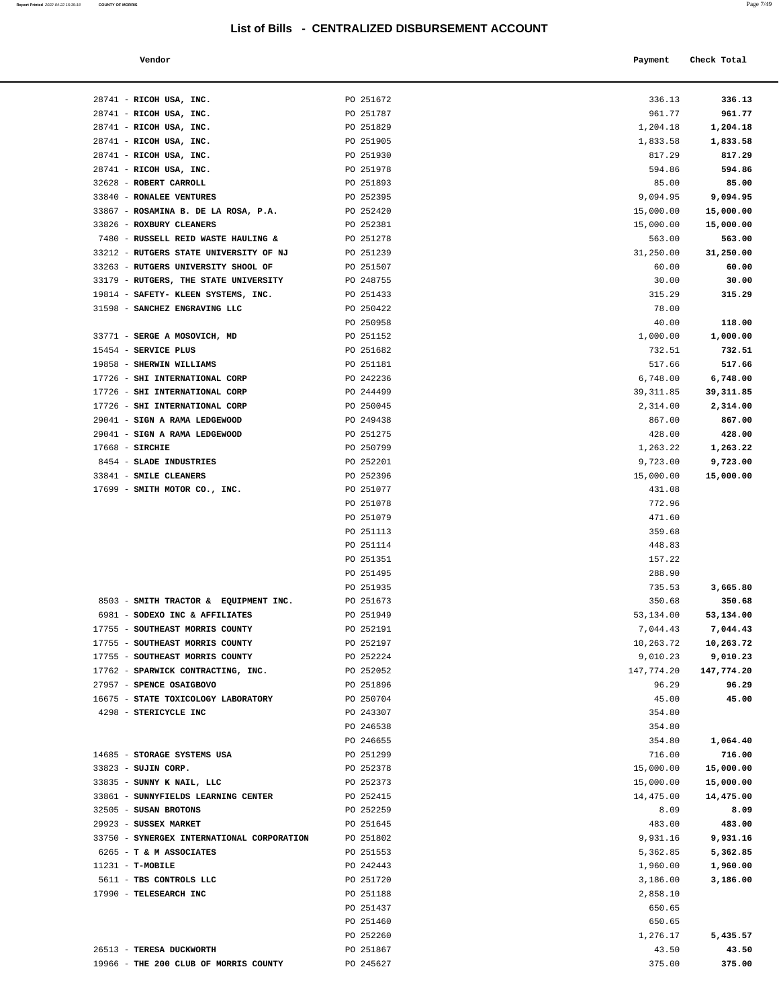19966 - **THE 200 CLUB OF MORRIS COUNTY** PO 245627 375.00 **375.00** 

| Report Printed 2022-04-22 15:35:18 | <b>COUNTY OF MORRIS</b> |  |  | Page 7/49 |
|------------------------------------|-------------------------|--|--|-----------|
|                                    |                         |  |  |           |

| Vendor                                                                 |                        | Payment          | Check Total                    |
|------------------------------------------------------------------------|------------------------|------------------|--------------------------------|
| 28741 - RICOH USA, INC.                                                | PO 251672              | 336.13           | 336.13                         |
| 28741 - RICOH USA, INC.                                                | PO 251787              | 961.77           | 961.77                         |
| 28741 - RICOH USA, INC.                                                | PO 251829              | 1,204.18         | 1,204.18                       |
| 28741 - RICOH USA, INC.                                                | PO 251905              | 1,833.58         | 1,833.58                       |
| 28741 - RICOH USA, INC.                                                | PO 251930              | 817.29           | 817.29                         |
| 28741 - RICOH USA, INC.                                                | PO 251978              | 594.86           | 594.86                         |
| 32628 - ROBERT CARROLL                                                 | PO 251893              | 85.00            | 85.00                          |
| 33840 - RONALEE VENTURES                                               | PO 252395              | 9,094.95         | 9,094.95                       |
| 33867 - ROSAMINA B. DE LA ROSA, P.A.                                   | PO 252420              | 15,000.00        | 15,000.00                      |
| 33826 - ROXBURY CLEANERS                                               | PO 252381              | 15,000.00        | 15,000.00                      |
| 7480 - RUSSELL REID WASTE HAULING &                                    | PO 251278              | 563.00           | 563.00                         |
| 33212 - RUTGERS STATE UNIVERSITY OF NJ                                 | PO 251239              | 31,250.00        | 31,250.00                      |
| 33263 - RUTGERS UNIVERSITY SHOOL OF                                    | PO 251507              | 60.00            | 60.00                          |
| 33179 - RUTGERS, THE STATE UNIVERSITY                                  | PO 248755              | 30.00            | 30.00                          |
| 19814 - SAFETY- KLEEN SYSTEMS, INC.                                    | PO 251433              | 315.29           | 315.29                         |
| 31598 - SANCHEZ ENGRAVING LLC                                          | PO 250422              | 78.00            |                                |
|                                                                        | PO 250958              | 40.00            | 118.00                         |
| 33771 - SERGE A MOSOVICH, MD                                           | PO 251152              | 1,000.00         | 1,000.00                       |
| 15454 - SERVICE PLUS                                                   | PO 251682              | 732.51           | 732.51                         |
| 19858 - SHERWIN WILLIAMS                                               | PO 251181              | 517.66           | 517.66                         |
| 17726 - SHI INTERNATIONAL CORP                                         | PO 242236              | 6,748.00         | 6,748.00                       |
| 17726 - SHI INTERNATIONAL CORP                                         | PO 244499              | 39, 311.85       | 39, 311.85                     |
| 17726 - SHI INTERNATIONAL CORP                                         | PO 250045              | 2,314.00         | 2,314.00                       |
| 29041 - SIGN A RAMA LEDGEWOOD                                          | PO 249438              | 867.00           | 867.00                         |
| 29041 - SIGN A RAMA LEDGEWOOD                                          | PO 251275              | 428.00           | 428.00                         |
| $17668$ - SIRCHIE                                                      | PO 250799              | 1,263.22         | 1,263.22                       |
| 8454 - SLADE INDUSTRIES                                                | PO 252201              | 9,723.00         | 9,723.00                       |
| 33841 - SMILE CLEANERS                                                 | PO 252396              | 15,000.00        | 15,000.00                      |
| 17699 - SMITH MOTOR CO., INC.                                          | PO 251077              | 431.08           |                                |
|                                                                        | PO 251078              | 772.96           |                                |
|                                                                        | PO 251079              | 471.60           |                                |
|                                                                        | PO 251113              | 359.68           |                                |
|                                                                        | PO 251114              | 448.83           |                                |
|                                                                        | PO 251351              | 157.22           |                                |
|                                                                        | PO 251495<br>PO 251935 | 288.90<br>735.53 | 3,665.80                       |
|                                                                        |                        |                  |                                |
| 8503 - SMITH TRACTOR & EQUIPMENT INC<br>6981 - SODEXO INC & AFFILIATES | PO 251673<br>PO 251949 | 350.68           | 350.68                         |
| 17755 - SOUTHEAST MORRIS COUNTY                                        | PO 252191              | 53,134.00        | 53,134.00<br>7,044.43 7,044.43 |
| 17755 - SOUTHEAST MORRIS COUNTY                                        | PO 252197              | 10,263.72        | 10,263.72                      |
| 17755 - SOUTHEAST MORRIS COUNTY                                        | PO 252224              | 9,010.23         | 9,010.23                       |
| 17762 - SPARWICK CONTRACTING, INC.                                     | PO 252052              | 147,774.20       | 147,774.20                     |
| 27957 - SPENCE OSAIGBOVO                                               | PO 251896              | 96.29            | 96.29                          |
| 16675 - STATE TOXICOLOGY LABORATORY                                    | PO 250704              | 45.00            | 45.00                          |
| 4298 - STERICYCLE INC                                                  | PO 243307              | 354.80           |                                |
|                                                                        | PO 246538              | 354.80           |                                |
|                                                                        | PO 246655              | 354.80           | 1,064.40                       |
| 14685 - STORAGE SYSTEMS USA                                            | PO 251299              | 716.00           | 716.00                         |
| 33823 - SUJIN CORP.                                                    | PO 252378              | 15,000.00        | 15,000.00                      |
| 33835 - SUNNY K NAIL, LLC                                              | PO 252373              | 15,000.00        | 15,000.00                      |
| 33861 - SUNNYFIELDS LEARNING CENTER                                    | PO 252415              | 14,475.00        | 14,475.00                      |
| 32505 - SUSAN BROTONS                                                  | PO 252259              | 8.09             | 8.09                           |
| 29923 - SUSSEX MARKET                                                  | PO 251645              | 483.00           | 483.00                         |
| 33750 - SYNERGEX INTERNATIONAL CORPORATION                             | PO 251802              | 9,931.16         | 9,931.16                       |
| 6265 - T & M ASSOCIATES                                                | PO 251553              | 5,362.85         | 5,362.85                       |
| $11231 - T-MOBILE$                                                     | PO 242443              | 1,960.00         | 1,960.00                       |
| 5611 - TBS CONTROLS LLC                                                | PO 251720              | 3,186.00         | 3,186.00                       |
| 17990 - TELESEARCH INC                                                 | PO 251188              | 2,858.10         |                                |
|                                                                        | PO 251437              | 650.65           |                                |
|                                                                        | PO 251460              | 650.65           |                                |
|                                                                        | PO 252260              | 1,276.17         | 5,435.57                       |
| 26513 - TERESA DUCKWORTH                                               | PO 251867              | 43.50            | 43.50                          |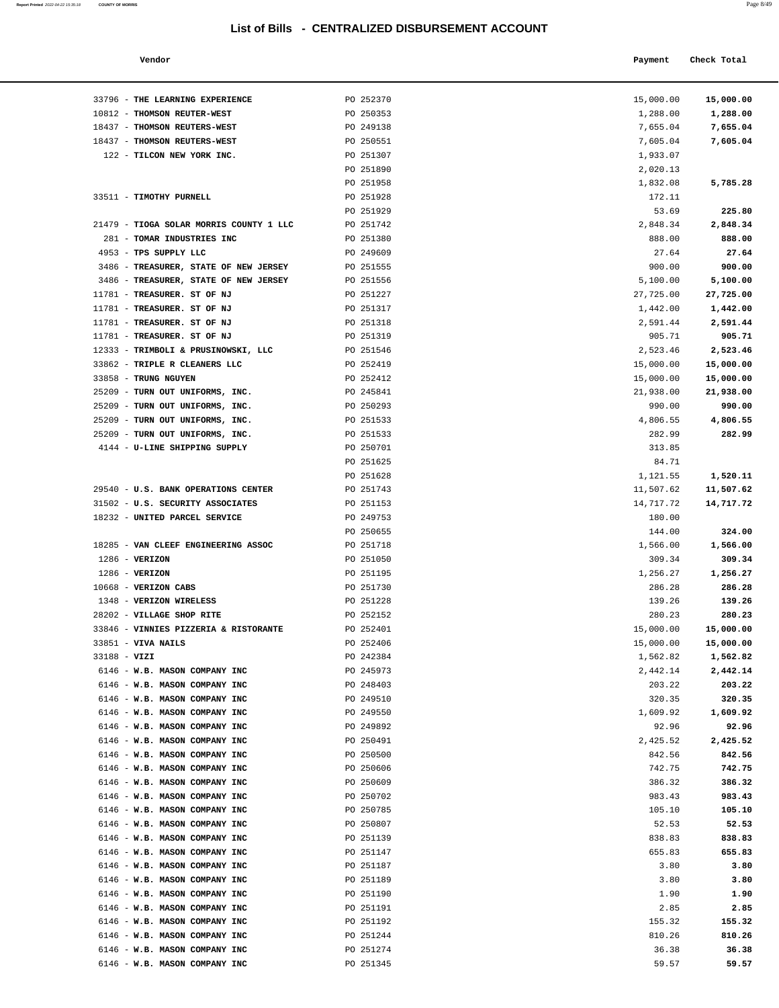| Report Printed 2022-04-22 15:35:18 COUNTY OF MORRIS |  | Page 8/49 |
|-----------------------------------------------------|--|-----------|
|                                                     |  |           |

| Vendor | Payment Check Total |
|--------|---------------------|
|        |                     |

| 33796 - THE LEARNING EXPERIENCE                                | PO 252370              | 15,000.00        | 15,000.00        |
|----------------------------------------------------------------|------------------------|------------------|------------------|
| 10812 - THOMSON REUTER-WEST                                    | PO 250353              | 1,288.00         | 1,288.00         |
| 18437 - THOMSON REUTERS-WEST                                   | PO 249138              | 7,655.04         | 7,655.04         |
| 18437 - THOMSON REUTERS-WEST                                   | PO 250551              | 7,605.04         | 7,605.04         |
| 122 - TILCON NEW YORK INC.                                     | PO 251307              | 1,933.07         |                  |
|                                                                | PO 251890              | 2,020.13         |                  |
|                                                                | PO 251958              | 1,832.08         | 5,785.28         |
| 33511 - TIMOTHY PURNELL                                        | PO 251928              | 172.11           |                  |
|                                                                | PO 251929              | 53.69            | 225.80           |
| 21479 - TIOGA SOLAR MORRIS COUNTY 1 LLC                        | PO 251742              | 2,848.34         | 2,848.34         |
| 281 - TOMAR INDUSTRIES INC                                     | PO 251380              | 888.00           | 888.00           |
| 4953 - TPS SUPPLY LLC                                          | PO 249609              | 27.64            | 27.64            |
| 3486 - TREASURER, STATE OF NEW JERSEY                          | PO 251555              | 900.00           | 900.00           |
| 3486 - TREASURER, STATE OF NEW JERSEY                          | PO 251556              | 5,100.00         | 5,100.00         |
| 11781 - TREASURER. ST OF NJ                                    | PO 251227              | 27,725.00        | 27,725.00        |
| 11781 - TREASURER. ST OF NJ                                    | PO 251317              | 1,442.00         | 1,442.00         |
| 11781 - TREASURER. ST OF NJ                                    | PO 251318              | 2,591.44         | 2,591.44         |
| 11781 - TREASURER. ST OF NJ                                    | PO 251319              | 905.71           | 905.71           |
| 12333 - TRIMBOLI & PRUSINOWSKI, LLC                            | PO 251546              | 2,523.46         | 2,523.46         |
| 33862 - TRIPLE R CLEANERS LLC                                  | PO 252419              | 15,000.00        | 15,000.00        |
| 33858 - TRUNG NGUYEN                                           | PO 252412              | 15,000.00        | 15,000.00        |
| 25209 - TURN OUT UNIFORMS, INC.                                | PO 245841              | 21,938.00        | 21,938.00        |
| 25209 - TURN OUT UNIFORMS, INC.                                | PO 250293              | 990.00           | 990.00           |
| 25209 - TURN OUT UNIFORMS, INC.                                | PO 251533              | 4,806.55         | 4,806.55         |
| 25209 - TURN OUT UNIFORMS, INC.                                | PO 251533              | 282.99<br>313.85 | 282.99           |
| 4144 - U-LINE SHIPPING SUPPLY                                  | PO 250701<br>PO 251625 | 84.71            |                  |
|                                                                | PO 251628              | 1,121.55         | 1,520.11         |
| 29540 - U.S. BANK OPERATIONS CENTER                            | PO 251743              | 11,507.62        | 11,507.62        |
| 31502 - U.S. SECURITY ASSOCIATES                               | PO 251153              | 14,717.72        | 14,717.72        |
| 18232 - UNITED PARCEL SERVICE                                  | PO 249753              | 180.00           |                  |
|                                                                | PO 250655              | 144.00           | 324.00           |
| 18285 - VAN CLEEF ENGINEERING ASSOC                            | PO 251718              | 1,566.00         | 1,566.00         |
| $1286$ - VERIZON                                               | PO 251050              | 309.34           | 309.34           |
| $1286$ - VERIZON                                               | PO 251195              | 1,256.27         | 1,256.27         |
| 10668 - VERIZON CABS                                           | PO 251730              | 286.28           | 286.28           |
| 1348 - VERIZON WIRELESS                                        | PO 251228              | 139.26           | 139.26           |
| 28202 - VILLAGE SHOP RITE                                      | PO 252152              | 280.23           | 280.23           |
| 33846 - VINNIES PIZZERIA & RISTORANTE                          | PO 252401              | 15,000.00        | 15,000.00        |
| 33851 - VIVA NAILS                                             | PO 252406              | 15,000.00        | 15,000.00        |
| 33188 - VIZI                                                   | PO 242384              | 1,562.82         | 1,562.82         |
| 6146 - W.B. MASON COMPANY INC                                  | PO 245973              | 2,442.14         | 2,442.14         |
| 6146 - W.B. MASON COMPANY INC                                  | PO 248403              | 203.22           | 203.22           |
| 6146 - W.B. MASON COMPANY INC                                  | PO 249510              | 320.35           | 320.35           |
| 6146 - W.B. MASON COMPANY INC                                  | PO 249550              | 1,609.92         | 1,609.92         |
| 6146 - W.B. MASON COMPANY INC                                  | PO 249892              | 92.96            | 92.96            |
| 6146 - W.B. MASON COMPANY INC                                  | PO 250491              | 2,425.52         | 2,425.52         |
| 6146 - W.B. MASON COMPANY INC                                  | PO 250500              | 842.56           | 842.56           |
| 6146 - W.B. MASON COMPANY INC<br>6146 - W.B. MASON COMPANY INC | PO 250606<br>PO 250609 | 742.75           | 742.75           |
| 6146 - W.B. MASON COMPANY INC                                  | PO 250702              | 386.32<br>983.43 | 386.32<br>983.43 |
| 6146 - W.B. MASON COMPANY INC                                  | PO 250785              | 105.10           | 105.10           |
| 6146 - W.B. MASON COMPANY INC                                  | PO 250807              | 52.53            | 52.53            |
| 6146 - W.B. MASON COMPANY INC                                  | PO 251139              | 838.83           | 838.83           |
| 6146 - W.B. MASON COMPANY INC                                  | PO 251147              | 655.83           | 655.83           |
| 6146 - W.B. MASON COMPANY INC                                  | PO 251187              | 3.80             | 3.80             |
| 6146 - W.B. MASON COMPANY INC                                  | PO 251189              | 3.80             | 3.80             |
| 6146 - W.B. MASON COMPANY INC                                  | PO 251190              | 1.90             | 1.90             |
| 6146 - W.B. MASON COMPANY INC                                  | PO 251191              | 2.85             | 2.85             |
| 6146 - W.B. MASON COMPANY INC                                  | PO 251192              | 155.32           | 155.32           |
| 6146 - W.B. MASON COMPANY INC                                  | PO 251244              | 810.26           | 810.26           |
| 6146 - W.B. MASON COMPANY INC                                  | PO 251274              | 36.38            | 36.38            |
| 6146 - W.B. MASON COMPANY INC                                  | PO 251345              | 59.57            | 59.57            |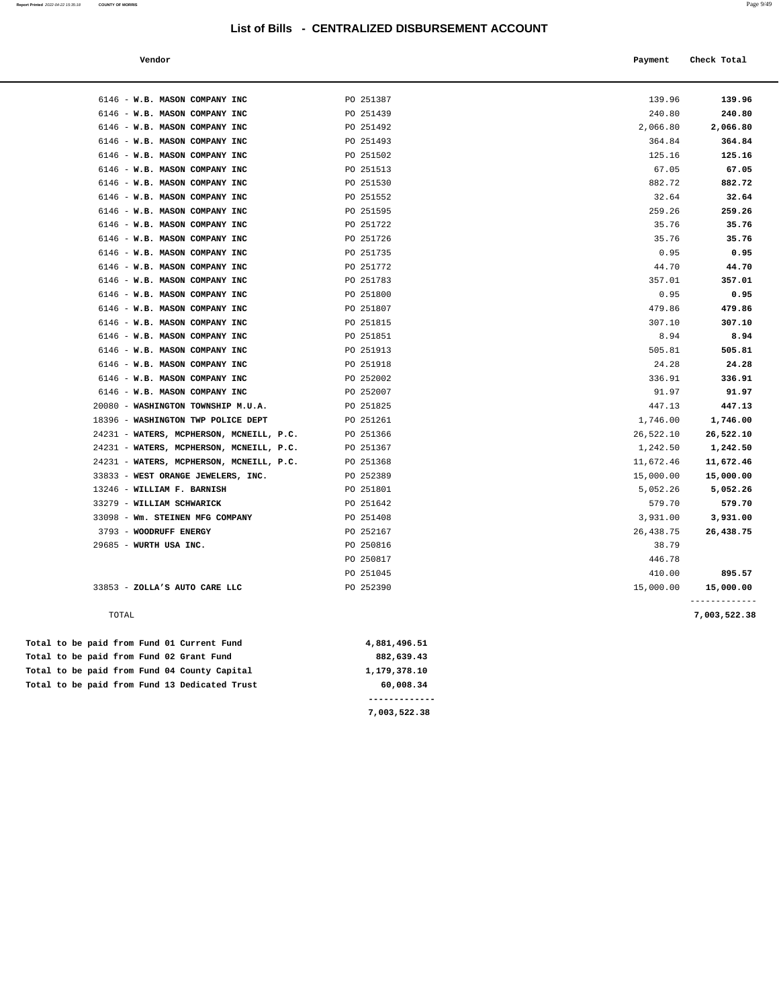| Report Printed 2022-04-22 15:35:18 | <b>COUNTY OF MORRIS</b> | Page $9/49$ |
|------------------------------------|-------------------------|-------------|
|                                    |                         |             |

| Vendor | Payment Check Total |  |
|--------|---------------------|--|
|--------|---------------------|--|

| 6146 - W.B. MASON COMPANY INC            | PO 251387 | 139.96    | 139.96       |
|------------------------------------------|-----------|-----------|--------------|
| 6146 - W.B. MASON COMPANY INC            | PO 251439 | 240.80    | 240.80       |
| 6146 - W.B. MASON COMPANY INC            | PO 251492 | 2,066.80  | 2,066.80     |
| 6146 - W.B. MASON COMPANY INC            | PO 251493 | 364.84    | 364.84       |
| 6146 - W.B. MASON COMPANY INC            | PO 251502 | 125.16    | 125.16       |
| 6146 - W.B. MASON COMPANY INC            | PO 251513 | 67.05     | 67.05        |
| 6146 - W.B. MASON COMPANY INC            | PO 251530 | 882.72    | 882.72       |
| 6146 - W.B. MASON COMPANY INC            | PO 251552 | 32.64     | 32.64        |
| 6146 - W.B. MASON COMPANY INC            | PO 251595 | 259.26    | 259.26       |
| 6146 - W.B. MASON COMPANY INC            | PO 251722 | 35.76     | 35.76        |
| 6146 - W.B. MASON COMPANY INC            | PO 251726 | 35.76     | 35.76        |
| 6146 - W.B. MASON COMPANY INC            | PO 251735 | 0.95      | 0.95         |
| 6146 - W.B. MASON COMPANY INC            | PO 251772 | 44.70     | 44.70        |
| 6146 - W.B. MASON COMPANY INC            | PO 251783 | 357.01    | 357.01       |
| 6146 - W.B. MASON COMPANY INC            | PO 251800 | 0.95      | 0.95         |
| 6146 - W.B. MASON COMPANY INC            | PO 251807 | 479.86    | 479.86       |
| 6146 - W.B. MASON COMPANY INC            | PO 251815 | 307.10    | 307.10       |
| 6146 - W.B. MASON COMPANY INC            | PO 251851 | 8.94      | 8.94         |
| 6146 - W.B. MASON COMPANY INC            | PO 251913 | 505.81    | 505.81       |
| 6146 - W.B. MASON COMPANY INC            | PO 251918 | 24.28     | 24.28        |
| 6146 - W.B. MASON COMPANY INC            | PO 252002 | 336.91    | 336.91       |
| 6146 - W.B. MASON COMPANY INC            | PO 252007 | 91.97     | 91.97        |
| 20080 - WASHINGTON TOWNSHIP M.U.A.       | PO 251825 | 447.13    | 447.13       |
| 18396 - WASHINGTON TWP POLICE DEPT       | PO 251261 | 1,746.00  | 1,746.00     |
| 24231 - WATERS, MCPHERSON, MCNEILL, P.C. | PO 251366 | 26,522.10 | 26,522.10    |
| 24231 - WATERS, MCPHERSON, MCNEILL, P.C. | PO 251367 | 1,242.50  | 1,242.50     |
| 24231 - WATERS, MCPHERSON, MCNEILL, P.C. | PO 251368 | 11,672.46 | 11,672.46    |
| 33833 - WEST ORANGE JEWELERS, INC.       | PO 252389 | 15,000.00 | 15,000.00    |
| 13246 - WILLIAM F. BARNISH               | PO 251801 | 5,052.26  | 5,052.26     |
| 33279 - WILLIAM SCHWARICK                | PO 251642 | 579.70    | 579.70       |
| 33098 - Wm. STEINEN MFG COMPANY          | PO 251408 | 3,931.00  | 3,931.00     |
| 3793 - WOODRUFF ENERGY                   | PO 252167 | 26,438.75 | 26,438.75    |
| 29685 - WURTH USA INC.                   | PO 250816 | 38.79     |              |
|                                          | PO 250817 | 446.78    |              |
|                                          | PO 251045 | 410.00    | 895.57       |
| 33853 - ZOLLA'S AUTO CARE LLC            | PO 252390 | 15,000.00 | 15,000.00    |
| TOTAL                                    |           |           |              |
|                                          |           |           | 7,003,522.38 |
|                                          |           |           |              |

|  |  |  | Total to be paid from Fund 13 Dedicated Trust | 60,008.34    |
|--|--|--|-----------------------------------------------|--------------|
|  |  |  | Total to be paid from Fund 04 County Capital  | 1,179,378.10 |
|  |  |  | Total to be paid from Fund 02 Grant Fund      | 882,639.43   |
|  |  |  | Total to be paid from Fund 01 Current Fund    | 4,881,496.51 |

**7,003,522.38**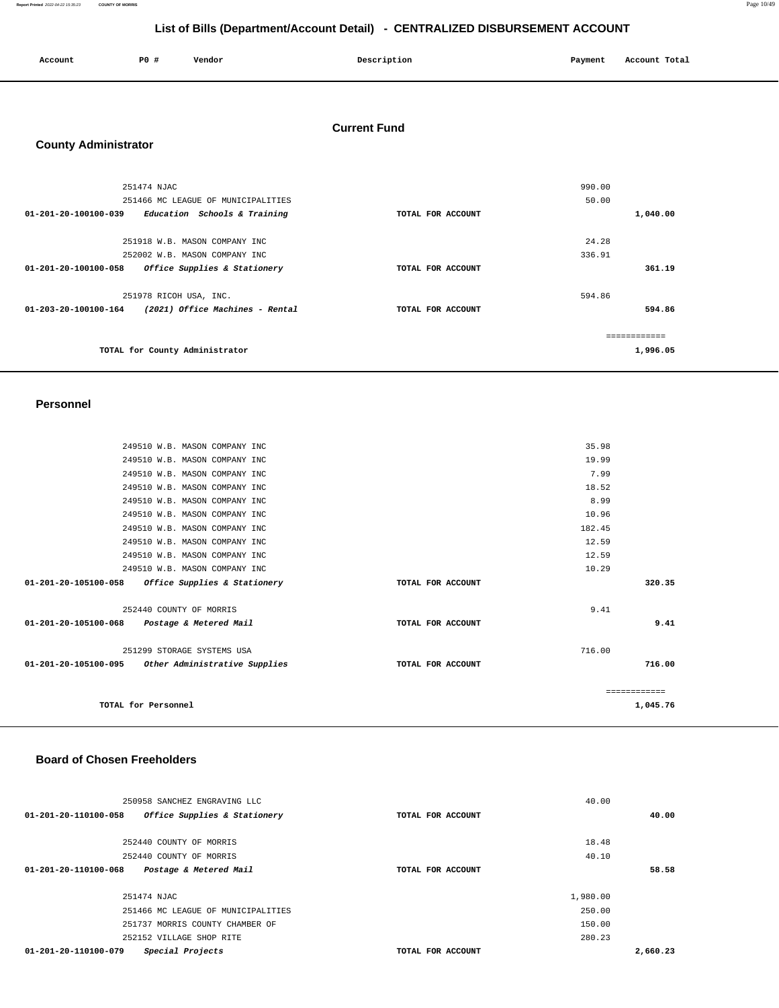| Account | <b>PO #</b> | Vendor | Description | Payment | Account Total |
|---------|-------------|--------|-------------|---------|---------------|
|         |             |        |             |         |               |

# **Current Fund**

# **County Administrator**

| 251474 NJAC                                                    |                   | 990.00        |
|----------------------------------------------------------------|-------------------|---------------|
| 251466 MC LEAGUE OF MUNICIPALITIES                             |                   | 50.00         |
| $01 - 201 - 20 - 100100 - 039$<br>Education Schools & Training | TOTAL FOR ACCOUNT | 1,040.00      |
| 251918 W.B. MASON COMPANY INC                                  |                   | 24.28         |
| 252002 W.B. MASON COMPANY INC                                  |                   | 336.91        |
| 01-201-20-100100-058<br>Office Supplies & Stationery           | TOTAL FOR ACCOUNT | 361.19        |
| 251978 RICOH USA, INC.                                         |                   | 594.86        |
| (2021) Office Machines - Rental<br>01-203-20-100100-164        | TOTAL FOR ACCOUNT | 594.86        |
|                                                                |                   | ------------- |
| TOTAL for County Administrator                                 |                   | 1,996.05      |

#### **Personnel**

| 249510 W.B. MASON COMPANY INC                        | 35.98             |              |
|------------------------------------------------------|-------------------|--------------|
| 249510 W.B. MASON COMPANY INC                        | 19.99             |              |
| 249510 W.B. MASON COMPANY INC                        | 7.99              |              |
| 249510 W.B. MASON COMPANY INC                        | 18.52             |              |
| 249510 W.B. MASON COMPANY INC                        | 8.99              |              |
| 249510 W.B. MASON COMPANY INC                        | 10.96             |              |
| 249510 W.B. MASON COMPANY INC                        | 182.45            |              |
| 249510 W.B. MASON COMPANY INC                        | 12.59             |              |
| 249510 W.B. MASON COMPANY INC                        | 12.59             |              |
| 249510 W.B. MASON COMPANY INC                        | 10.29             |              |
| Office Supplies & Stationery<br>01-201-20-105100-058 | TOTAL FOR ACCOUNT | 320.35       |
|                                                      |                   |              |
| 252440 COUNTY OF MORRIS                              | 9.41              |              |
| 01-201-20-105100-068 Postage & Metered Mail          | TOTAL FOR ACCOUNT | 9.41         |
|                                                      |                   |              |
| 251299 STORAGE SYSTEMS USA                           | 716.00            |              |
| 01-201-20-105100-095 Other Administrative Supplies   | TOTAL FOR ACCOUNT | 716.00       |
|                                                      |                   |              |
|                                                      |                   | ------------ |
| TOTAL for Personnel                                  |                   | 1,045.76     |
|                                                      |                   |              |

### **Board of Chosen Freeholders**

| 250958 SANCHEZ ENGRAVING LLC                             |                   | 40.00    |
|----------------------------------------------------------|-------------------|----------|
| Office Supplies & Stationery<br>01-201-20-110100-058     | TOTAL FOR ACCOUNT | 40.00    |
|                                                          |                   |          |
| 252440 COUNTY OF MORRIS                                  |                   | 18.48    |
| 252440 COUNTY OF MORRIS                                  |                   | 40.10    |
| $01 - 201 - 20 - 110100 - 068$<br>Postage & Metered Mail | TOTAL FOR ACCOUNT | 58.58    |
|                                                          |                   |          |
| 251474 NJAC                                              |                   | 1,980.00 |
| 251466 MC LEAGUE OF MUNICIPALITIES                       |                   | 250.00   |
| 251737 MORRIS COUNTY CHAMBER OF                          |                   | 150.00   |
| 252152 VILLAGE SHOP RITE                                 |                   | 280.23   |
| Special Projects<br>01-201-20-110100-079                 | TOTAL FOR ACCOUNT | 2,660.23 |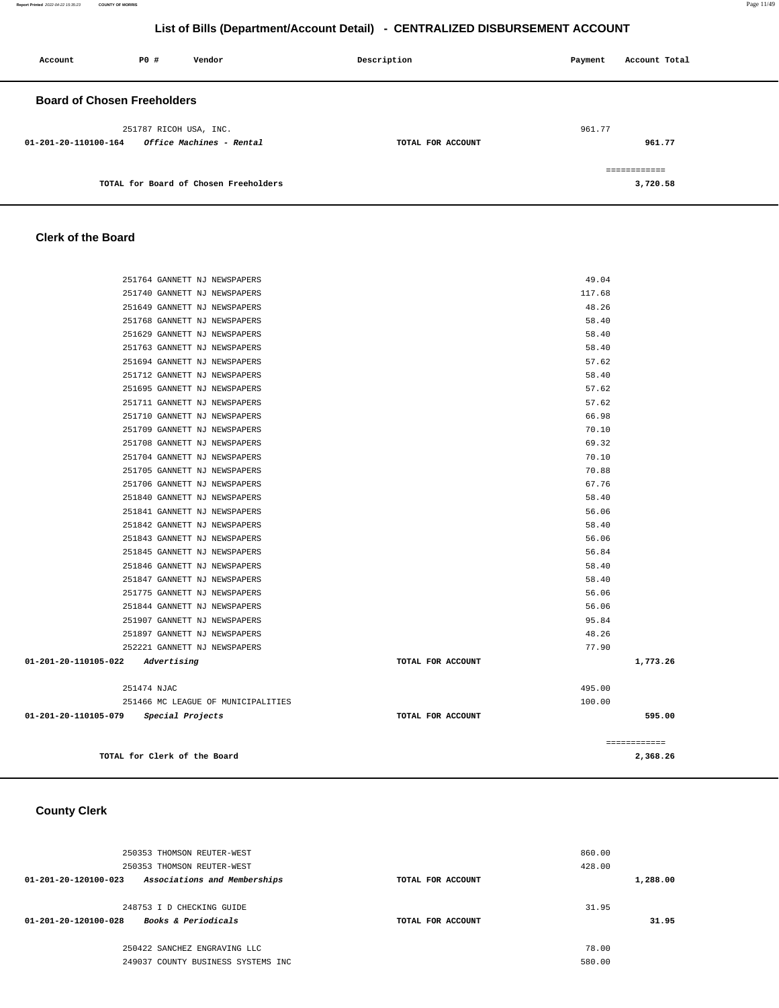| Account                            | PO# | Vendor                                | Description       | Payment | Account Total |
|------------------------------------|-----|---------------------------------------|-------------------|---------|---------------|
| <b>Board of Chosen Freeholders</b> |     |                                       |                   |         |               |
|                                    |     | 251787 RICOH USA, INC.                |                   | 961.77  |               |
| 01-201-20-110100-164               |     | Office Machines - Rental              | TOTAL FOR ACCOUNT |         | 961.77        |
|                                    |     |                                       |                   |         | ------------- |
|                                    |     | TOTAL for Board of Chosen Freeholders |                   |         | 3,720.58      |

#### **Clerk of the Board**

| TOTAL for Clerk of the Board                                 |                   | 2.368.26       |
|--------------------------------------------------------------|-------------------|----------------|
|                                                              |                   | ============   |
| 01-201-20-110105-079 Special Projects                        | TOTAL FOR ACCOUNT | 595.00         |
| 251466 MC LEAGUE OF MUNICIPALITIES                           |                   | 100.00         |
| 251474 NJAC                                                  |                   | 495.00         |
|                                                              |                   |                |
| 01-201-20-110105-022 Advertising                             | TOTAL FOR ACCOUNT | 1,773.26       |
| 252221 GANNETT NJ NEWSPAPERS                                 |                   | 77.90          |
| 251897 GANNETT NJ NEWSPAPERS                                 |                   | 48.26          |
| 251907 GANNETT NJ NEWSPAPERS                                 |                   | 95.84          |
| 251844 GANNETT NJ NEWSPAPERS                                 |                   | 56.06          |
| 251775 GANNETT NJ NEWSPAPERS                                 |                   | 56.06          |
| 251847 GANNETT NJ NEWSPAPERS                                 |                   | 58.40          |
| 251846 GANNETT NJ NEWSPAPERS                                 |                   | 58.40          |
| 251845 GANNETT NJ NEWSPAPERS                                 |                   | 56.84          |
| 251843 GANNETT NJ NEWSPAPERS                                 |                   | 56.06          |
| 251842 GANNETT NJ NEWSPAPERS                                 |                   | 58.40          |
| 251840 GANNETT NJ NEWSPAPERS<br>251841 GANNETT NJ NEWSPAPERS |                   | 58.40<br>56.06 |
| 251706 GANNETT NJ NEWSPAPERS                                 |                   | 67.76          |
| 251705 GANNETT NJ NEWSPAPERS                                 |                   | 70.88          |
| 251704 GANNETT NJ NEWSPAPERS                                 |                   | 70.10          |
| 251708 GANNETT NJ NEWSPAPERS                                 |                   | 69.32          |
| 251709 GANNETT NJ NEWSPAPERS                                 |                   | 70.10          |
| 251710 GANNETT NJ NEWSPAPERS                                 |                   | 66.98          |
| 251711 GANNETT NJ NEWSPAPERS                                 |                   | 57.62          |
| 251695 GANNETT NJ NEWSPAPERS                                 |                   | 57.62          |
| 251712 GANNETT NJ NEWSPAPERS                                 |                   | 58.40          |
| 251694 GANNETT NJ NEWSPAPERS                                 |                   | 57.62          |
| 251763 GANNETT NJ NEWSPAPERS                                 |                   | 58.40          |
| 251629 GANNETT NJ NEWSPAPERS                                 |                   | 58.40          |
| 251768 GANNETT NJ NEWSPAPERS                                 |                   | 58.40          |
| 251649 GANNETT NJ NEWSPAPERS                                 |                   | 48.26          |
| 251740 GANNETT NJ NEWSPAPERS                                 |                   | 117.68         |
| 251764 GANNETT NJ NEWSPAPERS                                 |                   | 49.04          |
|                                                              |                   |                |

# **County Clerk**

|          | 860.00 |                   | 250353 THOMSON REUTER-WEST                                       |  |
|----------|--------|-------------------|------------------------------------------------------------------|--|
|          | 428.00 |                   | 250353 THOMSON REUTER-WEST                                       |  |
| 1,288.00 |        | TOTAL FOR ACCOUNT | Associations and Memberships<br>$01 - 201 - 20 - 120100 - 023$   |  |
|          | 31.95  |                   | 248753 I D CHECKING GUIDE                                        |  |
| 31.95    |        | TOTAL FOR ACCOUNT | $01 - 201 - 20 - 120100 - 028$<br><b>Books &amp; Periodicals</b> |  |
|          | 78.00  |                   | 250422 SANCHEZ ENGRAVING LLC                                     |  |
|          | 580.00 |                   | 249037 COUNTY BUSINESS SYSTEMS INC                               |  |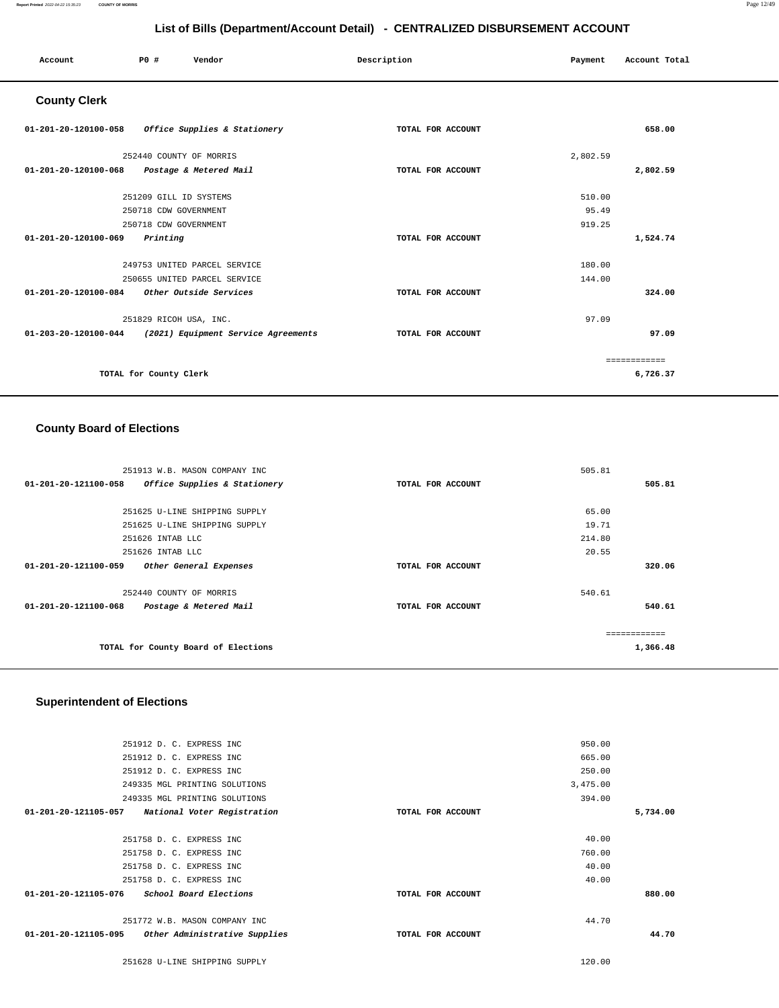| Account                                           | P0 #                    | Vendor                                                   | Description       | Payment  | Account Total |
|---------------------------------------------------|-------------------------|----------------------------------------------------------|-------------------|----------|---------------|
| <b>County Clerk</b>                               |                         |                                                          |                   |          |               |
| 01-201-20-120100-058 Office Supplies & Stationery |                         |                                                          | TOTAL FOR ACCOUNT |          | 658.00        |
|                                                   | 252440 COUNTY OF MORRIS |                                                          |                   | 2,802.59 |               |
| 01-201-20-120100-068 Postage & Metered Mail       |                         |                                                          | TOTAL FOR ACCOUNT |          | 2,802.59      |
|                                                   | 251209 GILL ID SYSTEMS  |                                                          |                   | 510.00   |               |
|                                                   | 250718 CDW GOVERNMENT   |                                                          |                   | 95.49    |               |
|                                                   | 250718 CDW GOVERNMENT   |                                                          |                   | 919.25   |               |
| 01-201-20-120100-069                              | Printing                |                                                          | TOTAL FOR ACCOUNT |          | 1,524.74      |
|                                                   |                         | 249753 UNITED PARCEL SERVICE                             |                   | 180.00   |               |
|                                                   |                         | 250655 UNITED PARCEL SERVICE                             |                   | 144.00   |               |
| 01-201-20-120100-084 Other Outside Services       |                         |                                                          | TOTAL FOR ACCOUNT |          | 324.00        |
|                                                   | 251829 RICOH USA, INC.  |                                                          |                   | 97.09    |               |
|                                                   |                         | 01-203-20-120100-044 (2021) Equipment Service Agreements | TOTAL FOR ACCOUNT |          | 97.09         |
|                                                   |                         |                                                          |                   |          | ============  |
|                                                   | TOTAL for County Clerk  |                                                          |                   |          | 6,726.37      |

## **County Board of Elections**

| 251913 W.B. MASON COMPANY INC                        |                   | 505.81   |  |
|------------------------------------------------------|-------------------|----------|--|
| 01-201-20-121100-058<br>Office Supplies & Stationery | TOTAL FOR ACCOUNT | 505.81   |  |
|                                                      |                   |          |  |
| 251625 U-LINE SHIPPING SUPPLY                        |                   | 65.00    |  |
| 251625 U-LINE SHIPPING SUPPLY                        |                   | 19.71    |  |
| 251626 INTAB LLC                                     |                   | 214.80   |  |
| 251626 INTAB LLC                                     |                   | 20.55    |  |
| 01-201-20-121100-059<br>Other General Expenses       | TOTAL FOR ACCOUNT | 320.06   |  |
|                                                      |                   |          |  |
| 252440 COUNTY OF MORRIS                              |                   | 540.61   |  |
| 01-201-20-121100-068<br>Postage & Metered Mail       | TOTAL FOR ACCOUNT | 540.61   |  |
|                                                      |                   |          |  |
|                                                      |                   |          |  |
| TOTAL for County Board of Elections                  |                   | 1,366.48 |  |

## **Superintendent of Elections**

| 251912 D. C. EXPRESS INC                              |                   | 950.00   |          |
|-------------------------------------------------------|-------------------|----------|----------|
| 251912 D. C. EXPRESS INC                              |                   | 665.00   |          |
| 251912 D. C. EXPRESS INC                              |                   | 250.00   |          |
| 249335 MGL PRINTING SOLUTIONS                         |                   | 3,475.00 |          |
| 249335 MGL PRINTING SOLUTIONS                         |                   | 394.00   |          |
| 01-201-20-121105-057<br>National Voter Registration   | TOTAL FOR ACCOUNT |          | 5,734.00 |
|                                                       |                   |          |          |
| 251758 D. C. EXPRESS INC                              |                   | 40.00    |          |
| 251758 D. C. EXPRESS INC                              |                   | 760.00   |          |
| 251758 D. C. EXPRESS INC                              |                   | 40.00    |          |
| 251758 D. C. EXPRESS INC                              |                   | 40.00    |          |
| 01-201-20-121105-076<br>School Board Elections        | TOTAL FOR ACCOUNT |          | 880.00   |
|                                                       |                   |          |          |
| 251772 W.B. MASON COMPANY INC                         |                   | 44.70    |          |
| 01-201-20-121105-095<br>Other Administrative Supplies | TOTAL FOR ACCOUNT |          | 44.70    |
|                                                       |                   |          |          |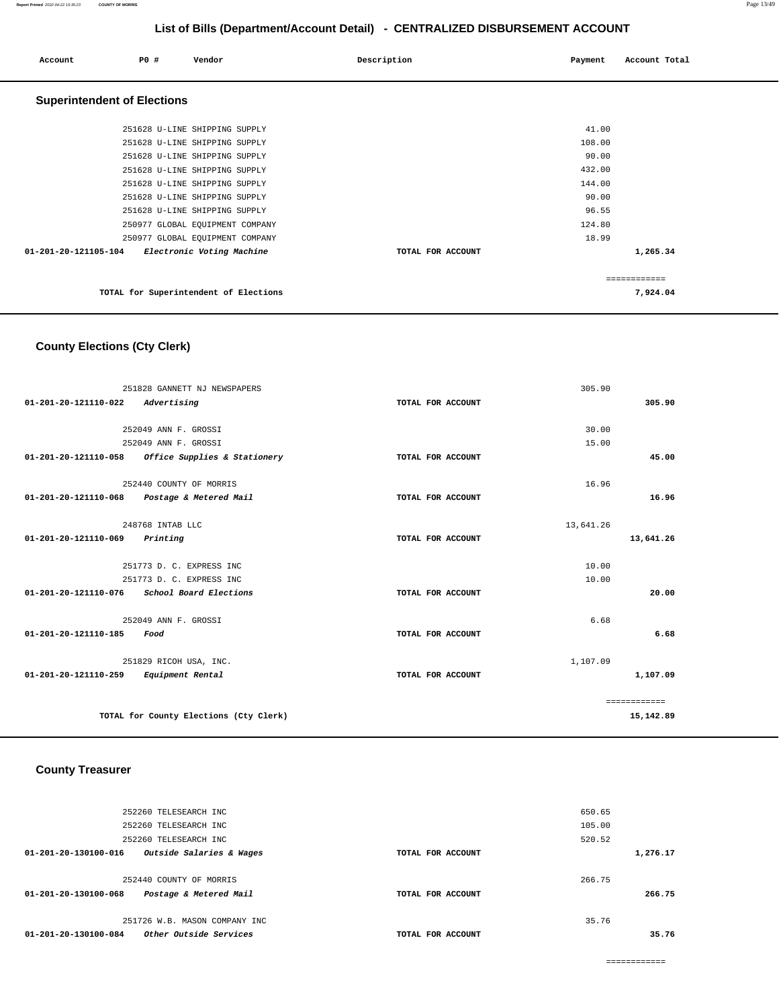| Account                            | PO# | Vendor                                | Description       | Payment | Account Total |
|------------------------------------|-----|---------------------------------------|-------------------|---------|---------------|
| <b>Superintendent of Elections</b> |     |                                       |                   |         |               |
|                                    |     | 251628 U-LINE SHIPPING SUPPLY         |                   | 41.00   |               |
|                                    |     | 251628 U-LINE SHIPPING SUPPLY         |                   | 108.00  |               |
|                                    |     | 251628 U-LINE SHIPPING SUPPLY         |                   | 90.00   |               |
|                                    |     | 251628 U-LINE SHIPPING SUPPLY         |                   | 432.00  |               |
|                                    |     | 251628 U-LINE SHIPPING SUPPLY         |                   | 144.00  |               |
|                                    |     | 251628 U-LINE SHIPPING SUPPLY         |                   | 90.00   |               |
|                                    |     | 251628 U-LINE SHIPPING SUPPLY         |                   | 96.55   |               |
|                                    |     | 250977 GLOBAL EQUIPMENT COMPANY       |                   | 124.80  |               |
|                                    |     | 250977 GLOBAL EQUIPMENT COMPANY       |                   | 18.99   |               |
| 01-201-20-121105-104               |     | Electronic Voting Machine             | TOTAL FOR ACCOUNT |         | 1,265.34      |
|                                    |     |                                       |                   |         | ============  |
|                                    |     | TOTAL for Superintendent of Elections |                   |         | 7,924.04      |

# **County Elections (Cty Clerk)**

|                      | 251828 GANNETT NJ NEWSPAPERS           |                   | 305.90    |              |
|----------------------|----------------------------------------|-------------------|-----------|--------------|
| 01-201-20-121110-022 | Advertising                            | TOTAL FOR ACCOUNT |           | 305.90       |
|                      |                                        |                   |           |              |
|                      | 252049 ANN F. GROSSI                   |                   | 30.00     |              |
|                      | 252049 ANN F. GROSSI                   |                   | 15.00     |              |
| 01-201-20-121110-058 | Office Supplies & Stationery           | TOTAL FOR ACCOUNT |           | 45.00        |
|                      | 252440 COUNTY OF MORRIS                |                   | 16.96     |              |
| 01-201-20-121110-068 | Postage & Metered Mail                 | TOTAL FOR ACCOUNT |           | 16.96        |
|                      | 248768 INTAB LLC                       |                   | 13,641.26 |              |
| 01-201-20-121110-069 | Printing                               | TOTAL FOR ACCOUNT |           | 13,641.26    |
|                      | 251773 D. C. EXPRESS INC               |                   | 10.00     |              |
|                      | 251773 D. C. EXPRESS INC               |                   | 10.00     |              |
| 01-201-20-121110-076 | School Board Elections                 | TOTAL FOR ACCOUNT |           | 20.00        |
|                      | 252049 ANN F. GROSSI                   |                   | 6.68      |              |
| 01-201-20-121110-185 | Food                                   | TOTAL FOR ACCOUNT |           | 6.68         |
|                      | 251829 RICOH USA, INC.                 |                   | 1,107.09  |              |
| 01-201-20-121110-259 | Equipment Rental                       | TOTAL FOR ACCOUNT |           | 1,107.09     |
|                      |                                        |                   |           | ============ |
|                      | TOTAL for County Elections (Cty Clerk) |                   |           | 15,142.89    |

## **County Treasurer**

|                                | 252260 TELESEARCH INC         |                   | 650.65 |          |
|--------------------------------|-------------------------------|-------------------|--------|----------|
|                                | 252260 TELESEARCH INC         |                   | 105.00 |          |
|                                | 252260 TELESEARCH INC         |                   | 520.52 |          |
| 01-201-20-130100-016           | Outside Salaries & Wages      | TOTAL FOR ACCOUNT |        | 1,276.17 |
|                                |                               |                   |        |          |
|                                | 252440 COUNTY OF MORRIS       |                   | 266.75 |          |
| $01 - 201 - 20 - 130100 - 068$ | Postage & Metered Mail        | TOTAL FOR ACCOUNT |        | 266.75   |
|                                |                               |                   |        |          |
|                                | 251726 W.B. MASON COMPANY INC |                   | 35.76  |          |
| $01 - 201 - 20 - 130100 - 084$ | Other Outside Services        | TOTAL FOR ACCOUNT |        | 35.76    |
|                                |                               |                   |        |          |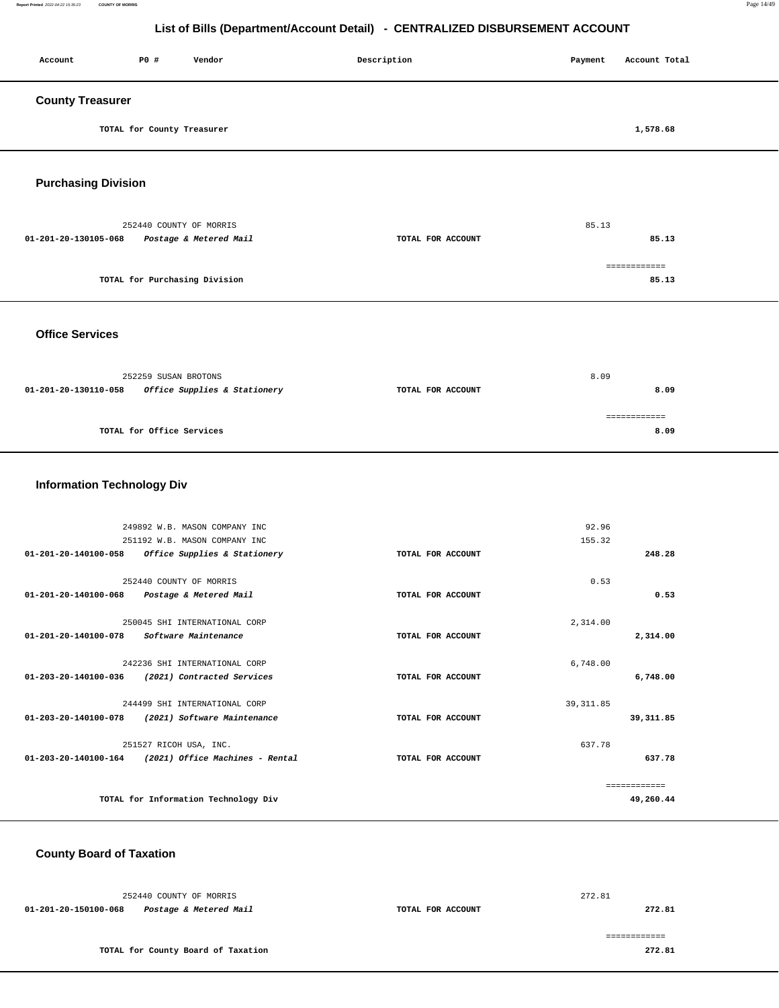#### **Report Printed** 2022-04-22 15:35:23 **COUNTY OF MORRIS** Page 14/49

# **List of Bills (Department/Account Detail) - CENTRALIZED DISBURSEMENT ACCOUNT**

| Account                 | P0 #                       | Vendor | Description | Payment | Account Total |
|-------------------------|----------------------------|--------|-------------|---------|---------------|
| <b>County Treasurer</b> |                            |        |             |         |               |
|                         | TOTAL for County Treasurer |        |             |         | 1,578.68      |

**Purchasing Division** 

| 252440 COUNTY OF MORRIS                        |                   | 85.13        |  |
|------------------------------------------------|-------------------|--------------|--|
| 01-201-20-130105-068<br>Postage & Metered Mail | TOTAL FOR ACCOUNT | 85.13        |  |
|                                                |                   | ============ |  |
| TOTAL for Purchasing Division                  |                   | 85.13        |  |
|                                                |                   |              |  |

**Office Services** 

| 252259 SUSAN BROTONS |                              |                   | 8.09 |
|----------------------|------------------------------|-------------------|------|
| 01-201-20-130110-058 | Office Supplies & Stationery | TOTAL FOR ACCOUNT | 8.09 |
|                      |                              |                   |      |
|                      |                              |                   |      |
|                      | TOTAL for Office Services    |                   | 8.09 |
|                      |                              |                   |      |

## **Information Technology Div**

|                                | 249892 W.B. MASON COMPANY INC        |                   | 92.96      |              |
|--------------------------------|--------------------------------------|-------------------|------------|--------------|
|                                | 251192 W.B. MASON COMPANY INC        |                   | 155.32     |              |
| 01-201-20-140100-058           | Office Supplies & Stationery         | TOTAL FOR ACCOUNT |            | 248.28       |
|                                |                                      |                   |            |              |
|                                | 252440 COUNTY OF MORRIS              |                   | 0.53       |              |
| 01-201-20-140100-068           | Postage & Metered Mail               | TOTAL FOR ACCOUNT |            | 0.53         |
|                                |                                      |                   |            |              |
|                                | 250045 SHI INTERNATIONAL CORP        |                   | 2,314.00   |              |
| $01 - 201 - 20 - 140100 - 078$ | Software Maintenance                 | TOTAL FOR ACCOUNT |            | 2,314.00     |
|                                |                                      |                   |            |              |
|                                | 242236 SHI INTERNATIONAL CORP        |                   | 6,748.00   |              |
| 01-203-20-140100-036           | (2021) Contracted Services           | TOTAL FOR ACCOUNT |            | 6,748.00     |
|                                |                                      |                   |            |              |
|                                | 244499 SHI INTERNATIONAL CORP        |                   | 39, 311.85 |              |
| $01 - 203 - 20 - 140100 - 078$ | (2021) Software Maintenance          | TOTAL FOR ACCOUNT |            | 39, 311.85   |
|                                |                                      |                   |            |              |
|                                | 251527 RICOH USA, INC.               |                   | 637.78     |              |
| 01-203-20-140100-164           | (2021) Office Machines - Rental      | TOTAL FOR ACCOUNT |            | 637.78       |
|                                |                                      |                   |            |              |
|                                |                                      |                   |            | ============ |
|                                | TOTAL for Information Technology Div |                   |            | 49,260.44    |
|                                |                                      |                   |            |              |

## **County Board of Taxation**

| 252440 COUNTY OF MORRIS                        |                   | 272.81 |
|------------------------------------------------|-------------------|--------|
| 01-201-20-150100-068<br>Postage & Metered Mail | TOTAL FOR ACCOUNT | 272.81 |
|                                                |                   |        |
| TOTAL for County Board of Taxation             |                   | 272.81 |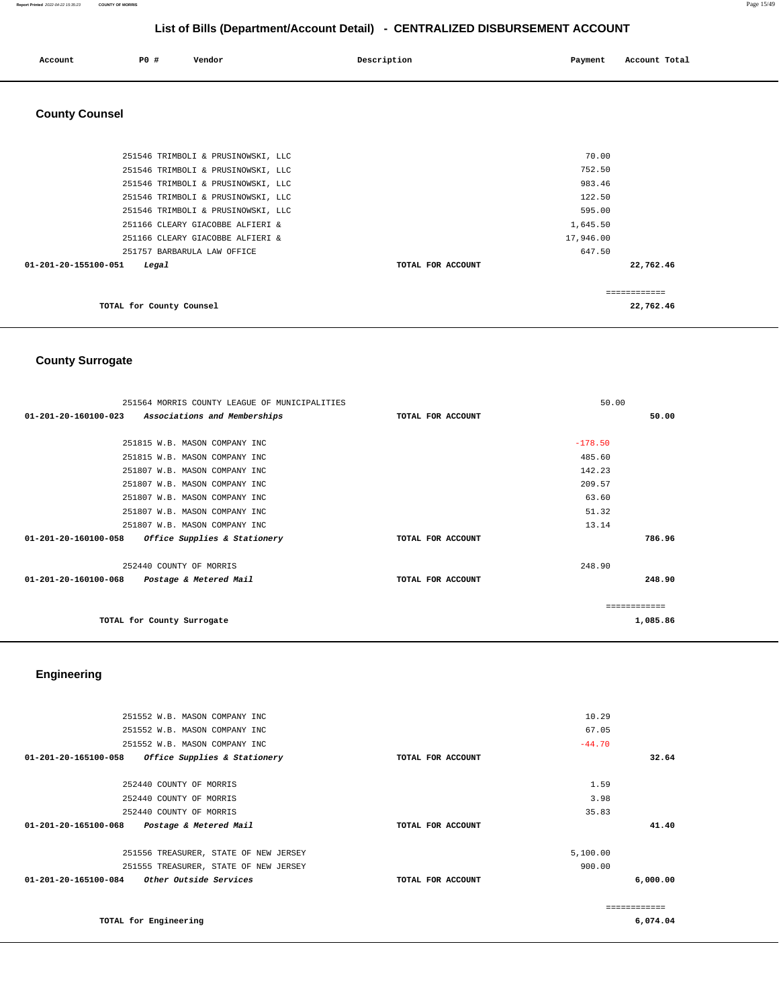#### **Report Printed** 2022-04-22 15:35:23 **COUNTY OF MORRIS** Page 15/49

# **List of Bills (Department/Account Detail) - CENTRALIZED DISBURSEMENT ACCOUNT**

| Account | P0 # | Vendor | Description | Payment | Account Total |
|---------|------|--------|-------------|---------|---------------|
|         |      |        |             |         |               |

# **County Counsel**

| 251546 TRIMBOLI & PRUSINOWSKI, LLC      | 70.00             |            |
|-----------------------------------------|-------------------|------------|
| 251546 TRIMBOLI & PRUSINOWSKI, LLC      | 752.50            |            |
| 251546 TRIMBOLI & PRUSINOWSKI, LLC      | 983.46            |            |
| 251546 TRIMBOLI & PRUSINOWSKI, LLC      | 122.50            |            |
| 251546 TRIMBOLI & PRUSINOWSKI, LLC      | 595.00            |            |
| 251166 CLEARY GIACOBBE ALFIERI &        | 1,645.50          |            |
| 251166 CLEARY GIACOBBE ALFIERI &        | 17,946.00         |            |
| 251757 BARBARULA LAW OFFICE             | 647.50            |            |
| $01 - 201 - 20 - 155100 - 051$<br>Legal | TOTAL FOR ACCOUNT | 22,762.46  |
|                                         |                   |            |
|                                         |                   | ---------- |
| TOTAL for County Counsel                |                   | 22,762.46  |

# **County Surrogate**

| 251564 MORRIS COUNTY LEAGUE OF MUNICIPALITIES                  | 50.00             |               |
|----------------------------------------------------------------|-------------------|---------------|
| 01-201-20-160100-023<br>Associations and Memberships           | TOTAL FOR ACCOUNT | 50.00         |
|                                                                |                   |               |
| 251815 W.B. MASON COMPANY INC                                  |                   | $-178.50$     |
| 251815 W.B. MASON COMPANY INC                                  |                   | 485.60        |
| 251807 W.B. MASON COMPANY INC                                  |                   | 142.23        |
| 251807 W.B. MASON COMPANY INC                                  |                   | 209.57        |
| 251807 W.B. MASON COMPANY INC                                  |                   | 63.60         |
| 251807 W.B. MASON COMPANY INC                                  |                   | 51.32         |
| 251807 W.B. MASON COMPANY INC                                  |                   | 13.14         |
| $01 - 201 - 20 - 160100 - 058$<br>Office Supplies & Stationery | TOTAL FOR ACCOUNT | 786.96        |
| 252440 COUNTY OF MORRIS                                        |                   | 248.90        |
| $01 - 201 - 20 - 160100 - 068$<br>Postage & Metered Mail       | TOTAL FOR ACCOUNT | 248.90        |
|                                                                |                   | ------------- |
| TOTAL for County Surrogate                                     |                   | 1,085.86      |

# **Engineering**

|              | 10.29    |                   | 251552 W.B. MASON COMPANY INC         |                      |
|--------------|----------|-------------------|---------------------------------------|----------------------|
|              |          |                   |                                       |                      |
|              | 67.05    |                   | 251552 W.B. MASON COMPANY INC         |                      |
|              | $-44.70$ |                   | 251552 W.B. MASON COMPANY INC         |                      |
| 32.64        |          | TOTAL FOR ACCOUNT | Office Supplies & Stationery          | 01-201-20-165100-058 |
|              |          |                   |                                       |                      |
|              | 1.59     |                   | 252440 COUNTY OF MORRIS               |                      |
|              | 3.98     |                   | 252440 COUNTY OF MORRIS               |                      |
|              | 35.83    |                   | 252440 COUNTY OF MORRIS               |                      |
| 41.40        |          | TOTAL FOR ACCOUNT | Postage & Metered Mail                | 01-201-20-165100-068 |
|              | 5,100.00 |                   | 251556 TREASURER, STATE OF NEW JERSEY |                      |
|              | 900.00   |                   | 251555 TREASURER, STATE OF NEW JERSEY |                      |
| 6,000.00     |          | TOTAL FOR ACCOUNT | Other Outside Services                | 01-201-20-165100-084 |
| ------------ |          |                   |                                       |                      |
| 6,074.04     |          |                   | TOTAL for Engineering                 |                      |
|              |          |                   |                                       |                      |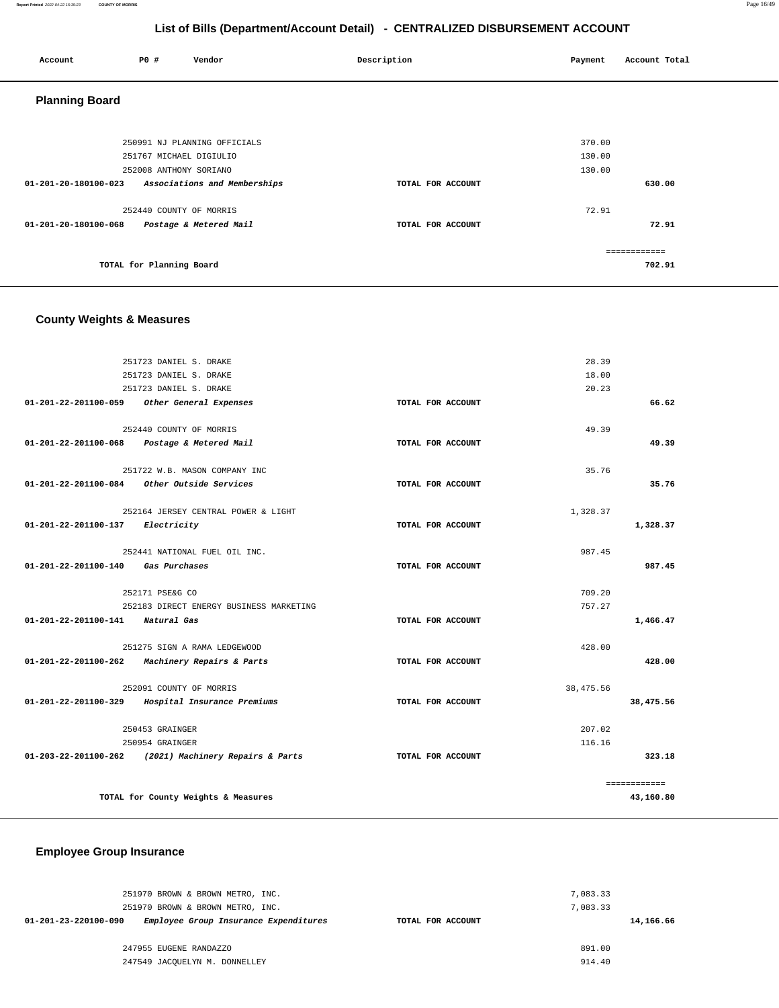#### **Report Printed** 2022-04-22 15:35:23 **COUNTY OF MORRIS** Page 16/49

# **List of Bills (Department/Account Detail) - CENTRALIZED DISBURSEMENT ACCOUNT**

| Account               | <b>PO #</b>              | Vendor                       | Description       | Payment          | Account Total |
|-----------------------|--------------------------|------------------------------|-------------------|------------------|---------------|
| <b>Planning Board</b> |                          |                              |                   |                  |               |
|                       | 251767 MICHAEL DIGIULIO  | 250991 NJ PLANNING OFFICIALS |                   | 370.00<br>130.00 |               |
|                       | 252008 ANTHONY SORIANO   |                              |                   | 130.00           |               |
| 01-201-20-180100-023  |                          | Associations and Memberships | TOTAL FOR ACCOUNT |                  | 630.00        |
|                       | 252440 COUNTY OF MORRIS  |                              |                   | 72.91            |               |
| 01-201-20-180100-068  |                          | Postage & Metered Mail       | TOTAL FOR ACCOUNT |                  | 72.91         |
|                       |                          |                              |                   |                  | ============  |
|                       | TOTAL for Planning Board |                              |                   |                  | 702.91        |

# **County Weights & Measures**

| 251723 DANIEL S. DRAKE           |                                                       |                   | 28.39      |              |
|----------------------------------|-------------------------------------------------------|-------------------|------------|--------------|
|                                  | 251723 DANIEL S. DRAKE                                |                   | 18.00      |              |
|                                  | 251723 DANIEL S. DRAKE                                |                   | 20.23      |              |
| 01-201-22-201100-059             | Other General Expenses                                | TOTAL FOR ACCOUNT |            | 66.62        |
|                                  | 252440 COUNTY OF MORRIS                               |                   | 49.39      |              |
|                                  |                                                       | TOTAL FOR ACCOUNT |            | 49.39        |
|                                  | 01-201-22-201100-068 Postage & Metered Mail           |                   |            |              |
|                                  | 251722 W.B. MASON COMPANY INC                         |                   | 35.76      |              |
| 01-201-22-201100-084             | Other Outside Services                                | TOTAL FOR ACCOUNT |            | 35.76        |
|                                  | 252164 JERSEY CENTRAL POWER & LIGHT                   |                   | 1,328.37   |              |
| $01 - 201 - 22 - 201100 - 137$   | Electricity                                           | TOTAL FOR ACCOUNT |            | 1,328.37     |
|                                  |                                                       |                   |            |              |
|                                  | 252441 NATIONAL FUEL OIL INC.                         |                   | 987.45     |              |
| $01 - 201 - 22 - 201100 - 140$   | Gas Purchases                                         | TOTAL FOR ACCOUNT |            | 987.45       |
|                                  | 252171 PSE&G CO                                       |                   | 709.20     |              |
|                                  | 252183 DIRECT ENERGY BUSINESS MARKETING               |                   | 757.27     |              |
| 01-201-22-201100-141 Natural Gas |                                                       | TOTAL FOR ACCOUNT |            | 1,466.47     |
|                                  |                                                       |                   |            |              |
|                                  | 251275 SIGN A RAMA LEDGEWOOD                          |                   | 428.00     |              |
| 01-201-22-201100-262             | Machinery Repairs & Parts                             | TOTAL FOR ACCOUNT |            | 428.00       |
|                                  | 252091 COUNTY OF MORRIS                               |                   | 38, 475.56 |              |
| 01-201-22-201100-329             | Hospital Insurance Premiums                           | TOTAL FOR ACCOUNT |            | 38,475.56    |
|                                  |                                                       |                   |            |              |
|                                  | 250453 GRAINGER                                       |                   | 207.02     |              |
|                                  | 250954 GRAINGER                                       |                   | 116.16     |              |
|                                  | 01-203-22-201100-262 (2021) Machinery Repairs & Parts | TOTAL FOR ACCOUNT |            | 323.18       |
|                                  |                                                       |                   |            | ============ |
|                                  | TOTAL for County Weights & Measures                   |                   |            | 43,160.80    |

## **Employee Group Insurance**

| 251970 BROWN & BROWN METRO, INC.                              |                   | 7,083.33  |
|---------------------------------------------------------------|-------------------|-----------|
| 251970 BROWN & BROWN METRO, INC.                              |                   | 7,083.33  |
| 01-201-23-220100-090<br>Employee Group Insurance Expenditures | TOTAL FOR ACCOUNT | 14,166.66 |
|                                                               |                   |           |
| 247955 EUGENE RANDAZZO                                        |                   | 891.00    |
| 247549 JACOUELYN M. DONNELLEY                                 |                   | 914.40    |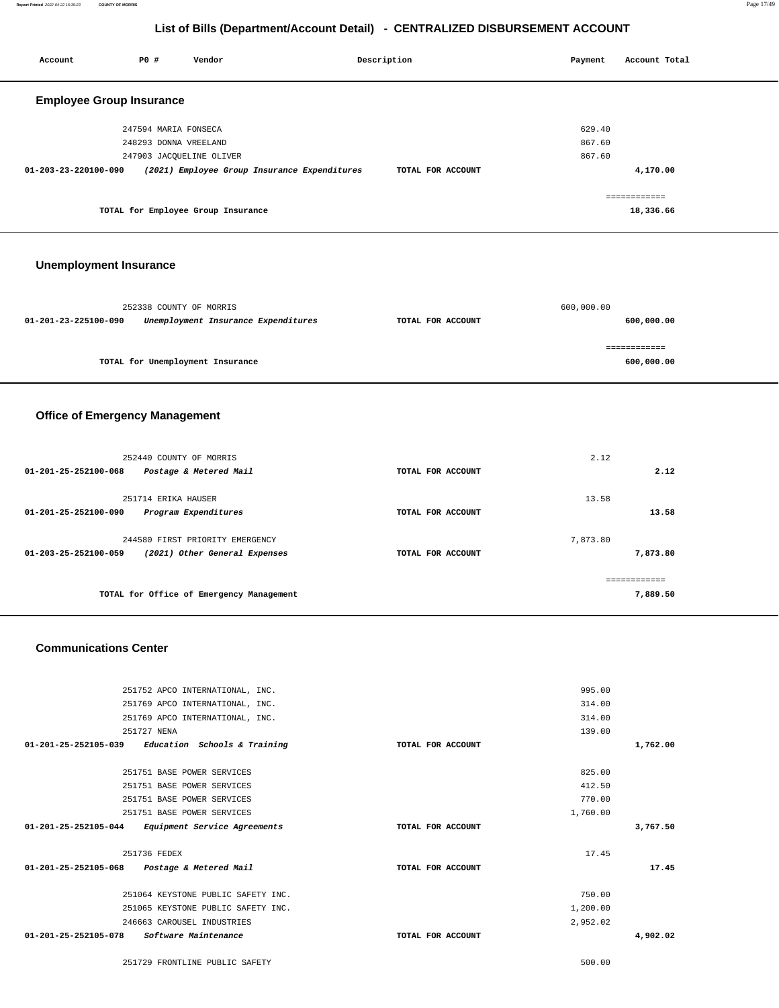| Account                         | P0 #                     | Vendor                                       | Description       | Payment | Account Total |
|---------------------------------|--------------------------|----------------------------------------------|-------------------|---------|---------------|
| <b>Employee Group Insurance</b> |                          |                                              |                   |         |               |
|                                 | 247594 MARIA FONSECA     |                                              |                   | 629.40  |               |
|                                 | 248293 DONNA VREELAND    |                                              |                   | 867.60  |               |
|                                 | 247903 JACOUELINE OLIVER |                                              |                   | 867.60  |               |
| 01-203-23-220100-090            |                          | (2021) Employee Group Insurance Expenditures | TOTAL FOR ACCOUNT |         | 4,170.00      |
|                                 |                          |                                              |                   |         | ============  |
|                                 |                          | TOTAL for Employee Group Insurance           |                   |         | 18,336.66     |
|                                 |                          |                                              |                   |         |               |

## **Unemployment Insurance**

|                      | 252338 COUNTY OF MORRIS             |                   | 600,000.00 |
|----------------------|-------------------------------------|-------------------|------------|
| 01-201-23-225100-090 | Unemployment Insurance Expenditures | TOTAL FOR ACCOUNT | 600,000.00 |
|                      |                                     |                   |            |
|                      |                                     |                   |            |
|                      | TOTAL for Unemployment Insurance    |                   | 600,000.00 |
|                      |                                     |                   |            |

## **Office of Emergency Management**

|                   | 2.12                     |          |
|-------------------|--------------------------|----------|
| TOTAL FOR ACCOUNT | 2.12                     |          |
| TOTAL FOR ACCOUNT | 13.58<br>13.58           |          |
|                   | 7.873.80                 |          |
|                   | ------------<br>7,889.50 |          |
|                   | TOTAL FOR ACCOUNT        | 7,873.80 |

## **Communications Center**

| 251752 APCO INTERNATIONAL, INC.                        |                   | 995.00   |          |
|--------------------------------------------------------|-------------------|----------|----------|
| 251769 APCO INTERNATIONAL, INC.                        |                   | 314.00   |          |
| 251769 APCO INTERNATIONAL, INC.                        |                   | 314.00   |          |
| 251727 NENA                                            |                   | 139.00   |          |
| 01-201-25-252105-039<br>Education Schools & Training   | TOTAL FOR ACCOUNT |          | 1,762.00 |
|                                                        |                   |          |          |
| 251751 BASE POWER SERVICES                             |                   | 825.00   |          |
| 251751 BASE POWER SERVICES                             |                   | 412.50   |          |
| 251751 BASE POWER SERVICES                             |                   | 770.00   |          |
| 251751 BASE POWER SERVICES                             |                   | 1,760.00 |          |
| 01-201-25-252105-044<br>Equipment Service Agreements   | TOTAL FOR ACCOUNT |          | 3,767.50 |
| 251736 FEDEX                                           |                   | 17.45    |          |
| 01-201-25-252105-068 Postage & Metered Mail            | TOTAL FOR ACCOUNT |          | 17.45    |
|                                                        |                   |          |          |
| 251064 KEYSTONE PUBLIC SAFETY INC.                     |                   | 750.00   |          |
| 251065 KEYSTONE PUBLIC SAFETY INC.                     |                   | 1,200.00 |          |
| 246663 CAROUSEL INDUSTRIES                             |                   | 2,952.02 |          |
| $01 - 201 - 25 - 252105 - 078$<br>Software Maintenance | TOTAL FOR ACCOUNT |          | 4,902.02 |
| 251729 FRONTLINE PUBLIC SAFETY                         |                   | 500.00   |          |
|                                                        |                   |          |          |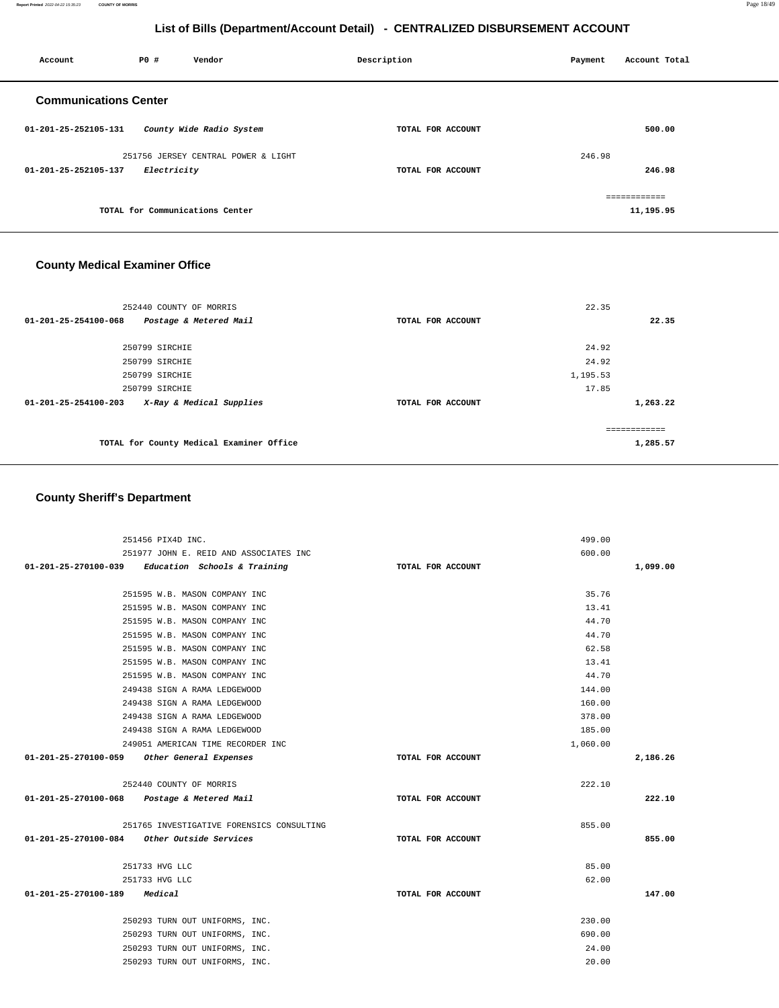| Account                      | P0 #        | Vendor                              | Description       | Payment | Account Total             |
|------------------------------|-------------|-------------------------------------|-------------------|---------|---------------------------|
| <b>Communications Center</b> |             |                                     |                   |         |                           |
| 01-201-25-252105-131         |             | County Wide Radio System            | TOTAL FOR ACCOUNT |         | 500.00                    |
| 01-201-25-252105-137         | Electricity | 251756 JERSEY CENTRAL POWER & LIGHT | TOTAL FOR ACCOUNT | 246.98  | 246.98                    |
|                              |             | TOTAL for Communications Center     |                   |         | ============<br>11,195.95 |

# **County Medical Examiner Office**

| 252440 COUNTY OF MORRIS                                    |                   | 22.35         |
|------------------------------------------------------------|-------------------|---------------|
| 01-201-25-254100-068<br>Postage & Metered Mail             | TOTAL FOR ACCOUNT | 22.35         |
| 250799 SIRCHIE                                             |                   | 24.92         |
| 250799 SIRCHIE                                             |                   | 24.92         |
| 250799 SIRCHIE                                             |                   | 1,195.53      |
| 250799 SIRCHIE                                             |                   | 17.85         |
| X-Ray & Medical Supplies<br>$01 - 201 - 25 - 254100 - 203$ | TOTAL FOR ACCOUNT | 1,263.22      |
|                                                            |                   | ------------- |
| TOTAL for County Medical Examiner Office                   |                   | 1,285.57      |

# **County Sheriff's Department**

| 251456 PIX4D INC.                                                |                   | 499.00         |          |
|------------------------------------------------------------------|-------------------|----------------|----------|
| 251977 JOHN E. REID AND ASSOCIATES INC                           |                   | 600.00         |          |
| $01-201-25-270100-039$ Education Schools & Training              | TOTAL FOR ACCOUNT |                | 1,099.00 |
|                                                                  |                   |                |          |
| 251595 W.B. MASON COMPANY INC                                    |                   | 35.76          |          |
| 251595 W.B. MASON COMPANY INC                                    |                   | 13.41          |          |
| 251595 W.B. MASON COMPANY INC                                    |                   | 44.70          |          |
| 251595 W.B. MASON COMPANY INC                                    |                   | 44.70          |          |
| 251595 W.B. MASON COMPANY INC                                    |                   | 62.58          |          |
| 251595 W.B. MASON COMPANY INC                                    |                   | 13.41          |          |
| 251595 W.B. MASON COMPANY INC                                    |                   | 44.70          |          |
| 249438 SIGN A RAMA LEDGEWOOD                                     |                   | 144.00         |          |
| 249438 SIGN A RAMA LEDGEWOOD                                     |                   | 160.00         |          |
| 249438 SIGN A RAMA LEDGEWOOD                                     |                   | 378.00         |          |
| 249438 SIGN A RAMA LEDGEWOOD                                     |                   | 185.00         |          |
| 249051 AMERICAN TIME RECORDER INC                                |                   | 1,060.00       |          |
|                                                                  |                   |                |          |
| 01-201-25-270100-059 Other General Expenses                      | TOTAL FOR ACCOUNT |                | 2,186.26 |
|                                                                  |                   |                |          |
| 252440 COUNTY OF MORRIS                                          |                   | 222.10         |          |
| 01-201-25-270100-068 Postage & Metered Mail                      | TOTAL FOR ACCOUNT |                | 222.10   |
|                                                                  |                   |                |          |
| 251765 INVESTIGATIVE FORENSICS CONSULTING                        | TOTAL FOR ACCOUNT | 855.00         | 855.00   |
| 01-201-25-270100-084 Other Outside Services                      |                   |                |          |
| 251733 HVG LLC                                                   |                   | 85.00          |          |
| 251733 HVG LLC                                                   |                   | 62.00          |          |
| 01-201-25-270100-189 Medical                                     | TOTAL FOR ACCOUNT |                | 147.00   |
|                                                                  |                   |                |          |
| 250293 TURN OUT UNIFORMS, INC.                                   |                   | 230.00         |          |
| 250293 TURN OUT UNIFORMS, INC.                                   |                   | 690.00         |          |
| 250293 TURN OUT UNIFORMS, INC.<br>250293 TURN OUT UNIFORMS, INC. |                   | 24.00<br>20.00 |          |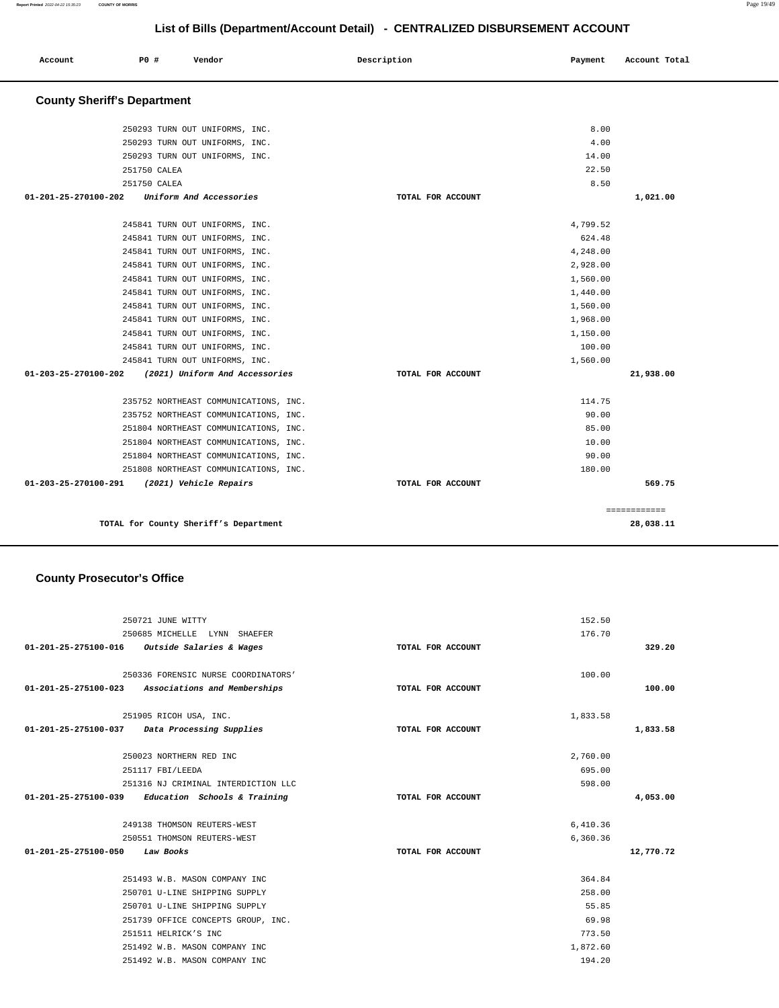| List of Bills (Department/Account Detail) - CENTRALIZED DISBURSEMENT ACCOUNT |              |                                       |  |                   |          |               |
|------------------------------------------------------------------------------|--------------|---------------------------------------|--|-------------------|----------|---------------|
| Account                                                                      | P0 #         | Vendor                                |  | Description       | Payment  | Account Total |
| <b>County Sheriff's Department</b>                                           |              |                                       |  |                   |          |               |
|                                                                              |              | 250293 TURN OUT UNIFORMS, INC.        |  |                   | 8.00     |               |
|                                                                              |              | 250293 TURN OUT UNIFORMS, INC.        |  |                   | 4.00     |               |
|                                                                              |              | 250293 TURN OUT UNIFORMS, INC.        |  |                   | 14.00    |               |
|                                                                              | 251750 CALEA |                                       |  |                   | 22.50    |               |
|                                                                              | 251750 CALEA |                                       |  |                   | 8.50     |               |
| 01-201-25-270100-202                                                         |              | Uniform And Accessories               |  | TOTAL FOR ACCOUNT |          | 1,021.00      |
|                                                                              |              | 245841 TURN OUT UNIFORMS, INC.        |  |                   | 4,799.52 |               |
|                                                                              |              | 245841 TURN OUT UNIFORMS, INC.        |  |                   | 624.48   |               |
|                                                                              |              | 245841 TURN OUT UNIFORMS, INC.        |  |                   | 4,248.00 |               |
|                                                                              |              | 245841 TURN OUT UNIFORMS, INC.        |  |                   | 2,928.00 |               |
|                                                                              |              | 245841 TURN OUT UNIFORMS, INC.        |  |                   | 1,560.00 |               |
|                                                                              |              | 245841 TURN OUT UNIFORMS, INC.        |  |                   | 1,440.00 |               |
|                                                                              |              | 245841 TURN OUT UNIFORMS, INC.        |  |                   | 1,560.00 |               |
|                                                                              |              | 245841 TURN OUT UNIFORMS, INC.        |  |                   | 1,968.00 |               |
|                                                                              |              | 245841 TURN OUT UNIFORMS, INC.        |  |                   | 1,150.00 |               |
|                                                                              |              | 245841 TURN OUT UNIFORMS, INC.        |  |                   | 100.00   |               |
|                                                                              |              | 245841 TURN OUT UNIFORMS, INC.        |  |                   | 1,560.00 |               |
| 01-203-25-270100-202                                                         |              | (2021) Uniform And Accessories        |  | TOTAL FOR ACCOUNT |          | 21,938.00     |
|                                                                              |              | 235752 NORTHEAST COMMUNICATIONS, INC. |  |                   | 114.75   |               |
|                                                                              |              | 235752 NORTHEAST COMMUNICATIONS, INC. |  |                   | 90.00    |               |
|                                                                              |              | 251804 NORTHEAST COMMUNICATIONS, INC. |  |                   | 85.00    |               |
|                                                                              |              | 251804 NORTHEAST COMMUNICATIONS, INC. |  |                   | 10.00    |               |
|                                                                              |              | 251804 NORTHEAST COMMUNICATIONS, INC. |  |                   | 90.00    |               |
|                                                                              |              | 251808 NORTHEAST COMMUNICATIONS, INC. |  |                   | 180.00   |               |
| 01-203-25-270100-291                                                         |              | (2021) Vehicle Repairs                |  | TOTAL FOR ACCOUNT |          | 569.75        |

**TOTAL for County Sheriff's Department 28,038.11**

============

# **County Prosecutor's Office**

|                                | 250721 JUNE WITTY                                   |                   | 152.50   |           |
|--------------------------------|-----------------------------------------------------|-------------------|----------|-----------|
|                                | 250685 MICHELLE LYNN SHAEFER                        |                   | 176.70   |           |
|                                | $01-201-25-275100-016$ Outside Salaries & Wages     | TOTAL FOR ACCOUNT |          | 329.20    |
|                                | 250336 FORENSIC NURSE COORDINATORS'                 |                   | 100.00   |           |
|                                | 01-201-25-275100-023 Associations and Memberships   | TOTAL FOR ACCOUNT |          | 100.00    |
|                                | 251905 RICOH USA, INC.                              |                   | 1,833.58 |           |
|                                | 01-201-25-275100-037 Data Processing Supplies       | TOTAL FOR ACCOUNT |          | 1,833.58  |
|                                | 250023 NORTHERN RED INC                             |                   | 2,760.00 |           |
|                                | 251117 FBI/LEEDA                                    |                   | 695.00   |           |
|                                | 251316 NJ CRIMINAL INTERDICTION LLC                 |                   | 598.00   |           |
|                                | $01-201-25-275100-039$ Education Schools & Training | TOTAL FOR ACCOUNT |          | 4,053.00  |
|                                | 249138 THOMSON REUTERS-WEST                         |                   | 6,410.36 |           |
|                                | 250551 THOMSON REUTERS-WEST                         |                   | 6,360.36 |           |
| 01-201-25-275100-050 Law Books |                                                     | TOTAL FOR ACCOUNT |          | 12,770.72 |
|                                | 251493 W.B. MASON COMPANY INC                       |                   | 364.84   |           |
|                                | 250701 U-LINE SHIPPING SUPPLY                       |                   | 258.00   |           |
|                                | 250701 U-LINE SHIPPING SUPPLY                       |                   | 55.85    |           |
|                                | 251739 OFFICE CONCEPTS GROUP, INC.                  |                   | 69.98    |           |
|                                | 251511 HELRICK'S INC                                |                   | 773.50   |           |
|                                | 251492 W.B. MASON COMPANY INC                       |                   | 1,872.60 |           |
|                                | 251492 W.B. MASON COMPANY INC                       |                   | 194.20   |           |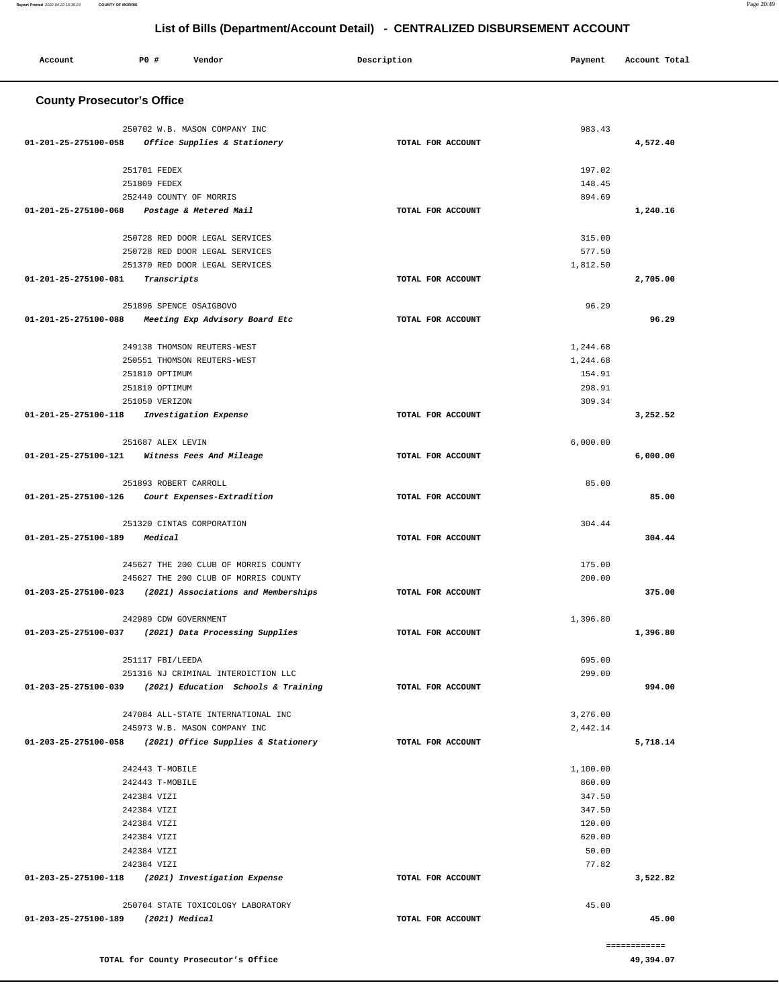| Account                             | <b>PO #</b>           | Vendor                                                                      | Description |                   | Payment  | Account Total |
|-------------------------------------|-----------------------|-----------------------------------------------------------------------------|-------------|-------------------|----------|---------------|
| <b>County Prosecutor's Office</b>   |                       |                                                                             |             |                   |          |               |
|                                     |                       |                                                                             |             |                   |          |               |
| 01-201-25-275100-058                |                       | 250702 W.B. MASON COMPANY INC<br>Office Supplies & Stationery               |             | TOTAL FOR ACCOUNT | 983.43   | 4,572.40      |
|                                     |                       |                                                                             |             |                   |          |               |
|                                     | 251701 FEDEX          |                                                                             |             |                   | 197.02   |               |
|                                     | 251809 FEDEX          |                                                                             |             |                   | 148.45   |               |
|                                     |                       | 252440 COUNTY OF MORRIS                                                     |             |                   | 894.69   |               |
| 01-201-25-275100-068                |                       | Postage & Metered Mail                                                      |             | TOTAL FOR ACCOUNT |          | 1,240.16      |
|                                     |                       |                                                                             |             |                   |          |               |
|                                     |                       | 250728 RED DOOR LEGAL SERVICES                                              |             |                   | 315.00   |               |
|                                     |                       | 250728 RED DOOR LEGAL SERVICES                                              |             |                   | 577.50   |               |
| 01-201-25-275100-081                |                       | 251370 RED DOOR LEGAL SERVICES                                              |             | TOTAL FOR ACCOUNT | 1,812.50 | 2,705.00      |
|                                     | Transcripts           |                                                                             |             |                   |          |               |
|                                     |                       | 251896 SPENCE OSAIGBOVO                                                     |             |                   | 96.29    |               |
| 01-201-25-275100-088                |                       | Meeting Exp Advisory Board Etc                                              |             | TOTAL FOR ACCOUNT |          | 96.29         |
|                                     |                       |                                                                             |             |                   |          |               |
|                                     |                       | 249138 THOMSON REUTERS-WEST                                                 |             |                   | 1,244.68 |               |
|                                     |                       | 250551 THOMSON REUTERS-WEST                                                 |             |                   | 1,244.68 |               |
|                                     | 251810 OPTIMUM        |                                                                             |             |                   | 154.91   |               |
|                                     | 251810 OPTIMUM        |                                                                             |             |                   | 298.91   |               |
|                                     | 251050 VERIZON        |                                                                             |             |                   | 309.34   |               |
| 01-201-25-275100-118                |                       | Investigation Expense                                                       |             | TOTAL FOR ACCOUNT |          | 3,252.52      |
|                                     |                       |                                                                             |             |                   | 6,000.00 |               |
| 01-201-25-275100-121                | 251687 ALEX LEVIN     | Witness Fees And Mileage                                                    |             | TOTAL FOR ACCOUNT |          | 6,000.00      |
|                                     |                       |                                                                             |             |                   |          |               |
|                                     | 251893 ROBERT CARROLL |                                                                             |             |                   | 85.00    |               |
| 01-201-25-275100-126                |                       | Court Expenses-Extradition                                                  |             | TOTAL FOR ACCOUNT |          | 85.00         |
|                                     |                       |                                                                             |             |                   |          |               |
|                                     |                       | 251320 CINTAS CORPORATION                                                   |             |                   | 304.44   |               |
| 01-201-25-275100-189                | Medical               |                                                                             |             | TOTAL FOR ACCOUNT |          | 304.44        |
|                                     |                       |                                                                             |             |                   |          |               |
|                                     |                       | 245627 THE 200 CLUB OF MORRIS COUNTY                                        |             |                   | 175.00   |               |
| 01-203-25-275100-023                |                       | 245627 THE 200 CLUB OF MORRIS COUNTY<br>(2021) Associations and Memberships |             | TOTAL FOR ACCOUNT | 200.00   | 375.00        |
|                                     |                       |                                                                             |             |                   |          |               |
|                                     | 242989 CDW GOVERNMENT |                                                                             |             |                   | 1,396.80 |               |
| 01-203-25-275100-037                |                       | (2021) Data Processing Supplies                                             |             | TOTAL FOR ACCOUNT |          | 1,396.80      |
|                                     |                       |                                                                             |             |                   |          |               |
|                                     | 251117 FBI/LEEDA      |                                                                             |             |                   | 695.00   |               |
|                                     |                       | 251316 NJ CRIMINAL INTERDICTION LLC                                         |             |                   | 299.00   |               |
|                                     |                       | 01-203-25-275100-039 (2021) Education Schools & Training                    |             | TOTAL FOR ACCOUNT |          | 994.00        |
|                                     |                       |                                                                             |             |                   |          |               |
|                                     |                       | 247084 ALL-STATE INTERNATIONAL INC<br>245973 W.B. MASON COMPANY INC         |             |                   | 3,276.00 |               |
|                                     |                       | 01-203-25-275100-058 (2021) Office Supplies & Stationery                    |             | TOTAL FOR ACCOUNT | 2,442.14 | 5,718.14      |
|                                     |                       |                                                                             |             |                   |          |               |
|                                     | 242443 T-MOBILE       |                                                                             |             |                   | 1,100.00 |               |
|                                     | 242443 T-MOBILE       |                                                                             |             |                   | 860.00   |               |
|                                     | 242384 VIZI           |                                                                             |             |                   | 347.50   |               |
|                                     | 242384 VIZI           |                                                                             |             |                   | 347.50   |               |
|                                     | 242384 VIZI           |                                                                             |             |                   | 120.00   |               |
|                                     | 242384 VIZI           |                                                                             |             |                   | 620.00   |               |
|                                     | 242384 VIZI           |                                                                             |             |                   | 50.00    |               |
|                                     | 242384 VIZI           |                                                                             |             |                   | 77.82    |               |
|                                     |                       | 01-203-25-275100-118 (2021) Investigation Expense                           |             | TOTAL FOR ACCOUNT |          | 3,522.82      |
|                                     |                       | 250704 STATE TOXICOLOGY LABORATORY                                          |             |                   | 45.00    |               |
| 01-203-25-275100-189 (2021) Medical |                       |                                                                             |             | TOTAL FOR ACCOUNT |          | 45.00         |
|                                     |                       |                                                                             |             |                   |          |               |
|                                     |                       |                                                                             |             |                   |          | ============  |
|                                     |                       | TOTAL for County Prosecutor's Office                                        |             |                   |          | 49,394.07     |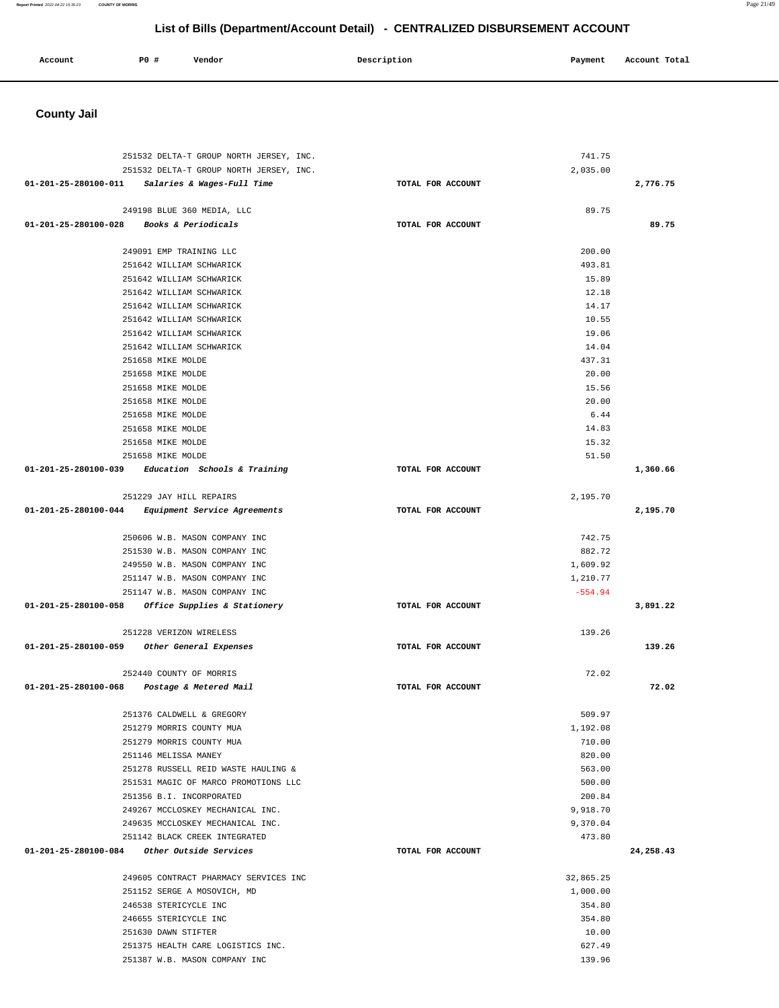| Account | <b>PO #</b> | Vendor | Description | Payment | Account Total |
|---------|-------------|--------|-------------|---------|---------------|
|         |             |        |             |         |               |

# **County Jail**

| 251532 DELTA-T GROUP NORTH JERSEY, INC.              |                   | 741.75         |           |
|------------------------------------------------------|-------------------|----------------|-----------|
| 251532 DELTA-T GROUP NORTH JERSEY, INC.              |                   | 2,035.00       |           |
| 01-201-25-280100-011 Salaries & Wages-Full Time      | TOTAL FOR ACCOUNT |                | 2,776.75  |
|                                                      |                   |                |           |
| 249198 BLUE 360 MEDIA, LLC                           |                   | 89.75          |           |
| 01-201-25-280100-028 Books & Periodicals             | TOTAL FOR ACCOUNT |                | 89.75     |
|                                                      |                   |                |           |
| 249091 EMP TRAINING LLC                              |                   | 200.00         |           |
| 251642 WILLIAM SCHWARICK                             |                   | 493.81         |           |
| 251642 WILLIAM SCHWARICK                             |                   | 15.89          |           |
| 251642 WILLIAM SCHWARICK                             |                   | 12.18<br>14.17 |           |
| 251642 WILLIAM SCHWARICK                             |                   |                |           |
| 251642 WILLIAM SCHWARICK<br>251642 WILLIAM SCHWARICK |                   | 10.55<br>19.06 |           |
| 251642 WILLIAM SCHWARICK                             |                   | 14.04          |           |
| 251658 MIKE MOLDE                                    |                   | 437.31         |           |
| 251658 MIKE MOLDE                                    |                   | 20.00          |           |
| 251658 MIKE MOLDE                                    |                   | 15.56          |           |
| 251658 MIKE MOLDE                                    |                   | 20.00          |           |
| 251658 MIKE MOLDE                                    |                   | 6.44           |           |
| 251658 MIKE MOLDE                                    |                   | 14.83          |           |
| 251658 MIKE MOLDE                                    |                   | 15.32          |           |
| 251658 MIKE MOLDE                                    |                   | 51.50          |           |
| 01-201-25-280100-039 Education Schools & Training    | TOTAL FOR ACCOUNT |                | 1,360.66  |
|                                                      |                   |                |           |
| 251229 JAY HILL REPAIRS                              |                   | 2,195.70       |           |
| 01-201-25-280100-044 Equipment Service Agreements    | TOTAL FOR ACCOUNT |                | 2,195.70  |
|                                                      |                   |                |           |
| 250606 W.B. MASON COMPANY INC                        |                   | 742.75         |           |
| 251530 W.B. MASON COMPANY INC                        |                   | 882.72         |           |
| 249550 W.B. MASON COMPANY INC                        |                   | 1,609.92       |           |
| 251147 W.B. MASON COMPANY INC                        |                   | 1,210.77       |           |
| 251147 W.B. MASON COMPANY INC                        |                   | $-554.94$      |           |
| 01-201-25-280100-058 Office Supplies & Stationery    | TOTAL FOR ACCOUNT |                | 3,891.22  |
|                                                      |                   |                |           |
| 251228 VERIZON WIRELESS                              |                   | 139.26         |           |
| 01-201-25-280100-059 Other General Expenses          | TOTAL FOR ACCOUNT |                | 139.26    |
| 252440 COUNTY OF MORRIS                              |                   | 72.02          |           |
| 01-201-25-280100-068 Postage & Metered Mail          | TOTAL FOR ACCOUNT |                | 72.02     |
|                                                      |                   |                |           |
| 251376 CALDWELL & GREGORY                            |                   | 509.97         |           |
| 251279 MORRIS COUNTY MUA                             |                   | 1,192.08       |           |
| 251279 MORRIS COUNTY MUA                             |                   | 710.00         |           |
| 251146 MELISSA MANEY                                 |                   | 820.00         |           |
| 251278 RUSSELL REID WASTE HAULING &                  |                   | 563.00         |           |
| 251531 MAGIC OF MARCO PROMOTIONS LLC                 |                   | 500.00         |           |
| 251356 B.I. INCORPORATED                             |                   | 200.84         |           |
| 249267 MCCLOSKEY MECHANICAL INC.                     |                   | 9,918.70       |           |
| 249635 MCCLOSKEY MECHANICAL INC.                     |                   | 9,370.04       |           |
| 251142 BLACK CREEK INTEGRATED                        |                   | 473.80         |           |
| $01-201-25-280100-084$ Other Outside Services        | TOTAL FOR ACCOUNT |                | 24,258.43 |
|                                                      |                   |                |           |
| 249605 CONTRACT PHARMACY SERVICES INC                |                   | 32,865.25      |           |
| 251152 SERGE A MOSOVICH, MD                          |                   | 1,000.00       |           |
| 246538 STERICYCLE INC                                |                   | 354.80         |           |
| 246655 STERICYCLE INC                                |                   | 354.80         |           |
| 251630 DAWN STIFTER                                  |                   | 10.00          |           |
| 251375 HEALTH CARE LOGISTICS INC.                    |                   | 627.49         |           |
| 251387 W.B. MASON COMPANY INC                        |                   | 139.96         |           |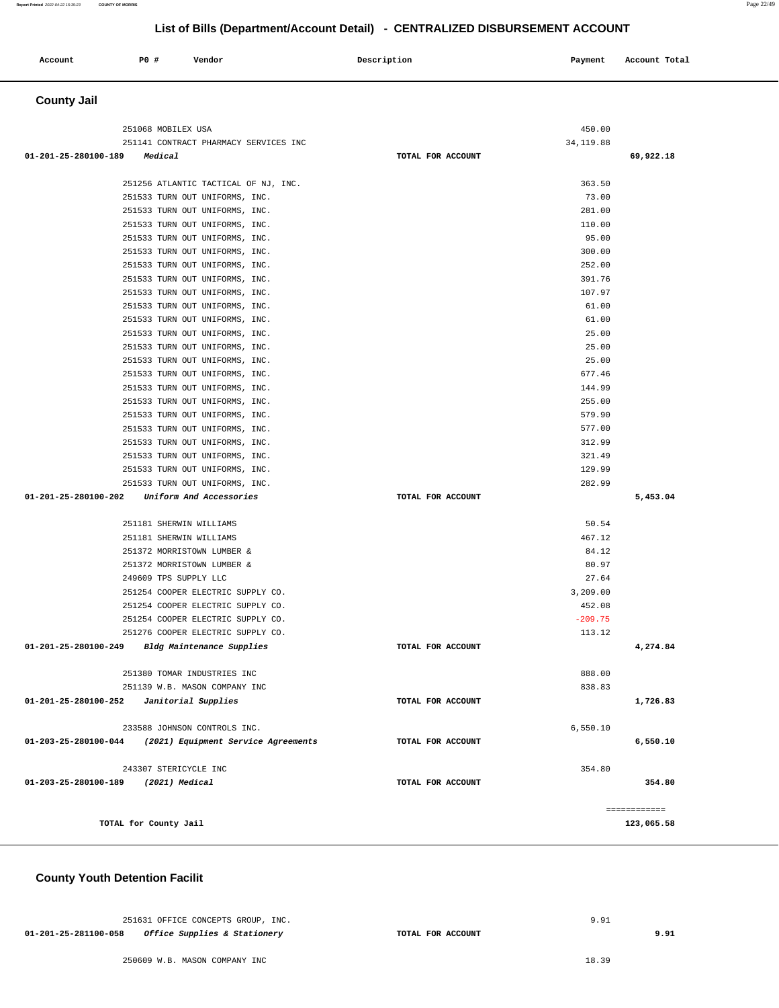#### **Report Printed** 2022-04-22 15:35:23 **COUNTY OF MORRIS** Page 22/49

# **List of Bills (Department/Account Detail) - CENTRALIZED DISBURSEMENT ACCOUNT**

| Account     | P0 # | Vendor | Description | Payment | Account Total |
|-------------|------|--------|-------------|---------|---------------|
| County Joil |      |        |             |         |               |

#### **County Jail**

| 251141 CONTRACT PHARMACY SERVICES INC<br>34, 119.88<br>01-201-25-280100-189<br>69,922.18<br>Medical<br>TOTAL FOR ACCOUNT<br>363.50<br>251256 ATLANTIC TACTICAL OF NJ, INC.<br>251533 TURN OUT UNIFORMS, INC.<br>73.00<br>281.00<br>251533 TURN OUT UNIFORMS, INC.<br>251533 TURN OUT UNIFORMS, INC.<br>110.00 |
|---------------------------------------------------------------------------------------------------------------------------------------------------------------------------------------------------------------------------------------------------------------------------------------------------------------|
|                                                                                                                                                                                                                                                                                                               |
|                                                                                                                                                                                                                                                                                                               |
|                                                                                                                                                                                                                                                                                                               |
|                                                                                                                                                                                                                                                                                                               |
|                                                                                                                                                                                                                                                                                                               |
|                                                                                                                                                                                                                                                                                                               |
|                                                                                                                                                                                                                                                                                                               |
| 95.00<br>251533 TURN OUT UNIFORMS, INC.                                                                                                                                                                                                                                                                       |
| 300.00<br>251533 TURN OUT UNIFORMS, INC.                                                                                                                                                                                                                                                                      |
| 252.00<br>251533 TURN OUT UNIFORMS, INC.                                                                                                                                                                                                                                                                      |
| 391.76<br>251533 TURN OUT UNIFORMS, INC.                                                                                                                                                                                                                                                                      |
| 251533 TURN OUT UNIFORMS, INC.<br>107.97<br>61.00                                                                                                                                                                                                                                                             |
| 251533 TURN OUT UNIFORMS, INC.<br>251533 TURN OUT UNIFORMS, INC.<br>61.00                                                                                                                                                                                                                                     |
| 251533 TURN OUT UNIFORMS, INC.<br>25.00                                                                                                                                                                                                                                                                       |
| 25.00<br>251533 TURN OUT UNIFORMS, INC.                                                                                                                                                                                                                                                                       |
| 251533 TURN OUT UNIFORMS, INC.<br>25.00                                                                                                                                                                                                                                                                       |
| 251533 TURN OUT UNIFORMS, INC.<br>677.46                                                                                                                                                                                                                                                                      |
| 251533 TURN OUT UNIFORMS, INC.<br>144.99                                                                                                                                                                                                                                                                      |
| 251533 TURN OUT UNIFORMS, INC.<br>255.00                                                                                                                                                                                                                                                                      |
| 251533 TURN OUT UNIFORMS, INC.<br>579.90                                                                                                                                                                                                                                                                      |
| 251533 TURN OUT UNIFORMS, INC.<br>577.00                                                                                                                                                                                                                                                                      |
| 312.99<br>251533 TURN OUT UNIFORMS, INC.                                                                                                                                                                                                                                                                      |
| 251533 TURN OUT UNIFORMS, INC.<br>321.49                                                                                                                                                                                                                                                                      |
| 129.99<br>251533 TURN OUT UNIFORMS, INC.                                                                                                                                                                                                                                                                      |
| 282.99<br>251533 TURN OUT UNIFORMS, INC.                                                                                                                                                                                                                                                                      |
| 01-201-25-280100-202 Uniform And Accessories<br>TOTAL FOR ACCOUNT<br>5,453.04                                                                                                                                                                                                                                 |
|                                                                                                                                                                                                                                                                                                               |
| 251181 SHERWIN WILLIAMS<br>50.54                                                                                                                                                                                                                                                                              |
| 251181 SHERWIN WILLIAMS<br>467.12                                                                                                                                                                                                                                                                             |
| 251372 MORRISTOWN LUMBER &<br>84.12                                                                                                                                                                                                                                                                           |
| 80.97<br>251372 MORRISTOWN LUMBER &                                                                                                                                                                                                                                                                           |
| 249609 TPS SUPPLY LLC<br>27.64                                                                                                                                                                                                                                                                                |
| 3,209.00<br>251254 COOPER ELECTRIC SUPPLY CO.                                                                                                                                                                                                                                                                 |
| 251254 COOPER ELECTRIC SUPPLY CO.<br>452.08                                                                                                                                                                                                                                                                   |
| 251254 COOPER ELECTRIC SUPPLY CO.<br>$-209.75$                                                                                                                                                                                                                                                                |
| 251276 COOPER ELECTRIC SUPPLY CO.<br>113.12                                                                                                                                                                                                                                                                   |
| 01-201-25-280100-249 Bldg Maintenance Supplies<br>TOTAL FOR ACCOUNT<br>4,274.84                                                                                                                                                                                                                               |
|                                                                                                                                                                                                                                                                                                               |
| 888.00<br>251380 TOMAR INDUSTRIES INC                                                                                                                                                                                                                                                                         |
| 838.83<br>251139 W.B. MASON COMPANY INC                                                                                                                                                                                                                                                                       |
| 01-201-25-280100-252<br>Janitorial Supplies<br>TOTAL FOR ACCOUNT<br>1,726.83                                                                                                                                                                                                                                  |
| 6,550.10<br>233588 JOHNSON CONTROLS INC.                                                                                                                                                                                                                                                                      |
| (2021) Equipment Service Agreements<br>TOTAL FOR ACCOUNT<br>01-203-25-280100-044<br>6,550.10                                                                                                                                                                                                                  |
|                                                                                                                                                                                                                                                                                                               |
|                                                                                                                                                                                                                                                                                                               |
| 243307 STERICYCLE INC<br>354.80                                                                                                                                                                                                                                                                               |
| 01-203-25-280100-189<br>(2021) Medical<br>TOTAL FOR ACCOUNT<br>354.80                                                                                                                                                                                                                                         |
|                                                                                                                                                                                                                                                                                                               |
| ============                                                                                                                                                                                                                                                                                                  |

#### **County Youth Detention Facilit**

|                      | 251631 OFFICE CONCEPTS GROUP, INC.      |                   | 9.91 |  |
|----------------------|-----------------------------------------|-------------------|------|--|
| 01-201-25-281100-058 | <i>Office Supplies &amp; Stationery</i> | TOTAL FOR ACCOUNT |      |  |

**9.91**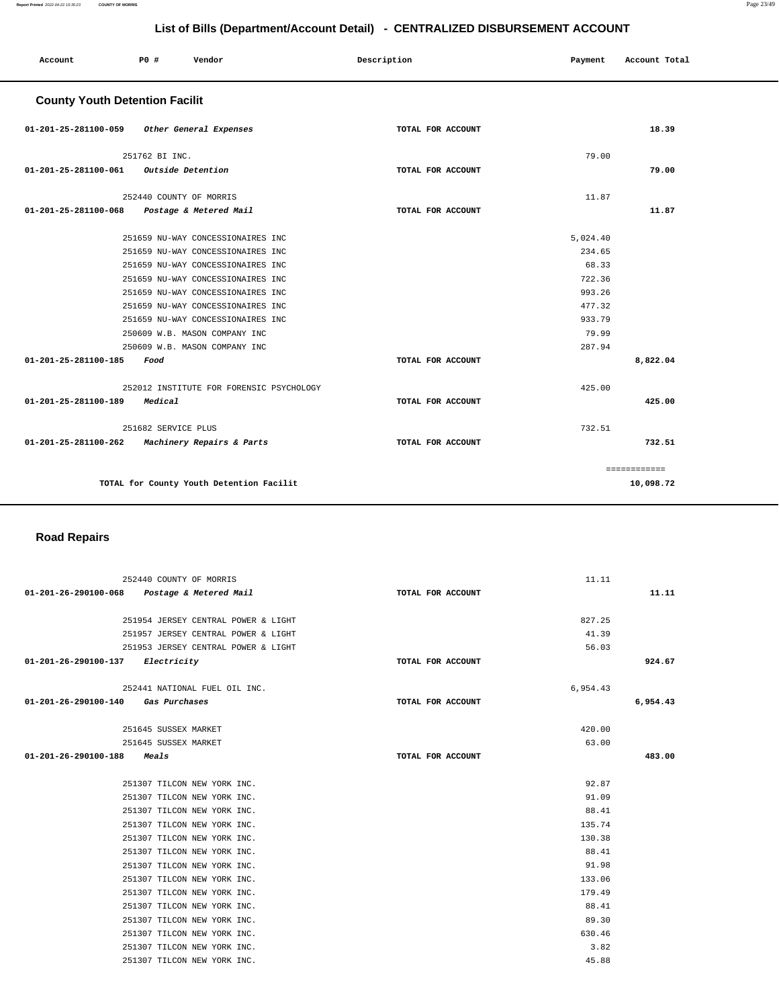#### 251954 JERSEY CENTRAL POWER & LIGHT 251957 JERSEY CENTRAL POWER & LIGHT 251953 JERSEY CENTRAL POWER & LIGHT **01-201-26-290100-137 Electricity TOTAL FOR ACCOUNT**  827.25 41.39 56.03 **924.67** 252441 NATIONAL FUEL OIL INC. **01-201-26-290100-140 Gas Purchases TOTAL FOR ACCOUNT**  6,954.43 **6,954.43** 251645 SUSSEX MARKET 251645 SUSSEX MARKET **01-201-26-290100-188 Meals TOTAL FOR ACCOUNT**  420.00 63.00 **483.00** 251307 TILCON NEW YORK INC. 251307 TILCON NEW YORK INC. 251307 TILCON NEW YORK INC. 251307 TILCON NEW YORK INC. 251307 TILCON NEW YORK INC. 251307 TILCON NEW YORK INC. 251307 TILCON NEW YORK INC. 251307 TILCON NEW YORK INC. 251307 TILCON NEW YORK INC. 251307 TILCON NEW YORK INC. 251307 TILCON NEW YORK INC. 251307 TILCON NEW YORK INC. 251307 TILCON NEW YORK INC. 251307 TILCON NEW YORK INC. 92.87 91.09 88.41 135.74 130.38 88.41 91.98 133.06 179.49 88.41 89.30 630.46 3.82 45.88

#### **Road Repairs**

252440 COUNTY OF MORRIS

**01-201-26-290100-068 Postage & Metered Mail TOTAL FOR ACCOUNT** 

| <b>County Youth Detention Facilit</b>          |                   |          |              |
|------------------------------------------------|-------------------|----------|--------------|
| 01-201-25-281100-059 Other General Expenses    | TOTAL FOR ACCOUNT |          | 18.39        |
| 251762 BI INC.                                 |                   | 79.00    |              |
| 01-201-25-281100-061 Outside Detention         | TOTAL FOR ACCOUNT |          | 79.00        |
| 252440 COUNTY OF MORRIS                        |                   | 11.87    |              |
| Postage & Metered Mail<br>01-201-25-281100-068 | TOTAL FOR ACCOUNT |          | 11.87        |
| 251659 NU-WAY CONCESSIONAIRES INC              |                   | 5,024.40 |              |
| 251659 NU-WAY CONCESSIONAIRES INC              |                   | 234.65   |              |
| 251659 NU-WAY CONCESSIONAIRES INC              |                   | 68.33    |              |
| 251659 NU-WAY CONCESSIONAIRES INC              |                   | 722.36   |              |
| 251659 NU-WAY CONCESSIONAIRES INC              |                   | 993.26   |              |
| 251659 NU-WAY CONCESSIONAIRES INC              |                   | 477.32   |              |
| 251659 NU-WAY CONCESSIONAIRES INC              |                   | 933.79   |              |
| 250609 W.B. MASON COMPANY INC                  |                   | 79.99    |              |
| 250609 W.B. MASON COMPANY INC                  |                   | 287.94   |              |
| 01-201-25-281100-185<br>Food                   | TOTAL FOR ACCOUNT |          | 8,822.04     |
| 252012 INSTITUTE FOR FORENSIC PSYCHOLOGY       |                   | 425.00   |              |
| 01-201-25-281100-189<br>Medical                | TOTAL FOR ACCOUNT |          | 425.00       |
| 251682 SERVICE PLUS                            |                   | 732.51   |              |
| 01-201-25-281100-262 Machinery Repairs & Parts | TOTAL FOR ACCOUNT |          | 732.51       |
|                                                |                   |          | ============ |
| TOTAL for County Youth Detention Facilit       |                   |          | 10,098.72    |

 **Account P0 # Vendor Description Payment Account Total**

11.11

**11.11**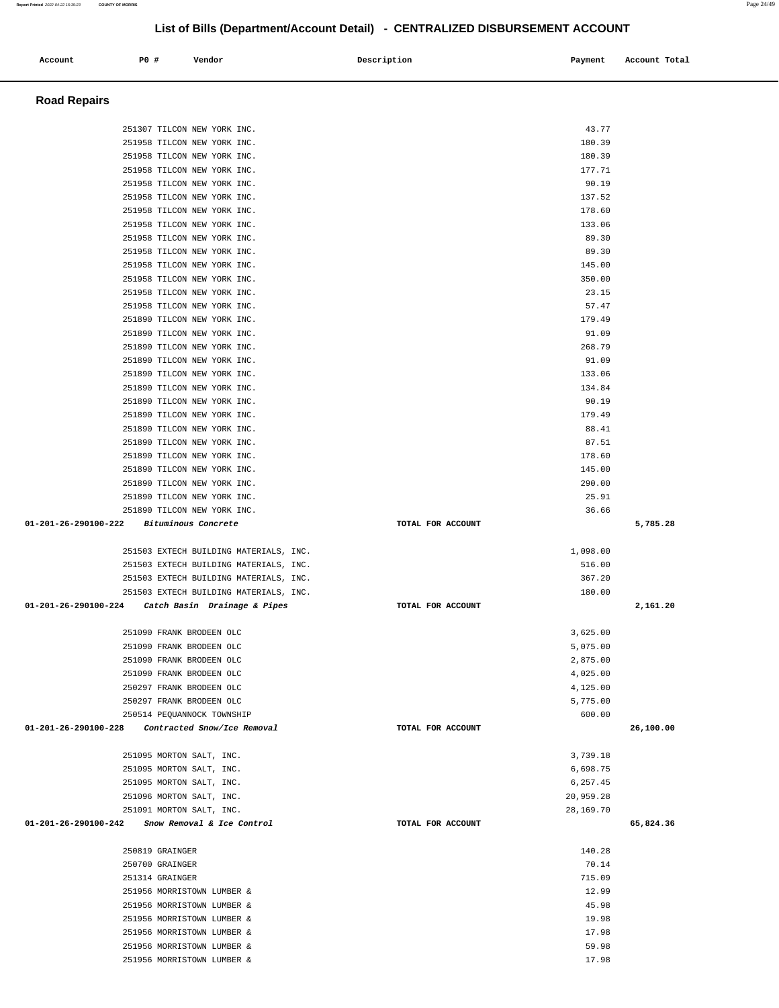### 251958 TILCON NEW YORK INC. 2008 180.39 251958 TILCON NEW YORK INC. 251958 TILCON NEW YORK INC. 251958 TILCON NEW YORK INC. 90.19 251958 TILCON NEW YORK INC. 251958 TILCON NEW YORK INC. 178.60 251958 TILCON NEW YORK INC. 133.06 251958 TILCON NEW YORK INC. 89.30 251958 TILCON NEW YORK INC. 89.30 251958 TILCON NEW YORK INC. 145.00 251958 TILCON NEW YORK INC. 350.00 251958 TILCON NEW YORK INC. 23.15 251958 TILCON NEW YORK INC. 57.47 251890 TILCON NEW YORK INC. 179.49 251890 TILCON NEW YORK INC. 91.09 251890 TILCON NEW YORK INC. 268.79 251890 TILCON NEW YORK INC. 91.09 251890 TILCON NEW YORK INC. 133.06 251890 TILCON NEW YORK INC. 134.84 251890 TILCON NEW YORK INC. 90.19 251890 TILCON NEW YORK INC. 179.49 251890 TILCON NEW YORK INC. 88.41 251890 TILCON NEW YORK INC. 87.51 251890 TILCON NEW YORK INC. 178.60 251890 TILCON NEW YORK INC. 145.00 251890 TILCON NEW YORK INC. 290.00 251890 TILCON NEW YORK INC. 25.91 251890 TILCON NEW YORK INC. 36.66  **01-201-26-290100-222 Bituminous Concrete TOTAL FOR ACCOUNT 5,785.28** 251503 EXTECH BUILDING MATERIALS, INC.  $1,098.00$  251503 EXTECH BUILDING MATERIALS, INC. 516.00 251503 EXTECH BUILDING MATERIALS, INC. 367.20 251503 EXTECH BUILDING MATERIALS, INC. 180.00  **01-201-26-290100-224 Catch Basin Drainage & Pipes TOTAL FOR ACCOUNT 2,161.20** 251090 FRANK BRODEEN OLC 3,625.00 251090 FRANK BRODEEN OLC 5,075.00 251090 FRANK BRODEEN OLC 2,875.00 251090 FRANK BRODEEN OLC 4,025.00 250297 FRANK BRODEEN OLC 4,125.00 250297 FRANK BRODEEN OLC 5,775.00 250514 PEQUANNOCK TOWNSHIP 600.00  **01-201-26-290100-228 Contracted Snow/Ice Removal TOTAL FOR ACCOUNT 26,100.00** 251095 MORTON SALT, INC. 3,739.18 251095 MORTON SALT, INC. 6,698.75 251095 MORTON SALT, INC. 6,257.45 251096 MORTON SALT, INC. 20,959.28 251091 MORTON SALT, INC. 28,169.70  **01-201-26-290100-242 Snow Removal & Ice Control TOTAL FOR ACCOUNT 65,824.36** 250819 GRAINGER 140.28 250700 GRAINGER 70.14 251314 GRAINGER 715.09 251956 MORRISTOWN LUMBER & 12.99 251956 MORRISTOWN LUMBER & 45.98 251956 MORRISTOWN LUMBER & 19.98 251956 MORRISTOWN LUMBER & 17.98 251956 MORRISTOWN LUMBER & 59.98 251956 MORRISTOWN LUMBER & 17.98

 **Account P0 # Vendor Description Payment Account Total**

251307 TILCON NEW YORK INC. 43.77 251958 TILCON NEW YORK INC. 180.39

 **Road Repairs**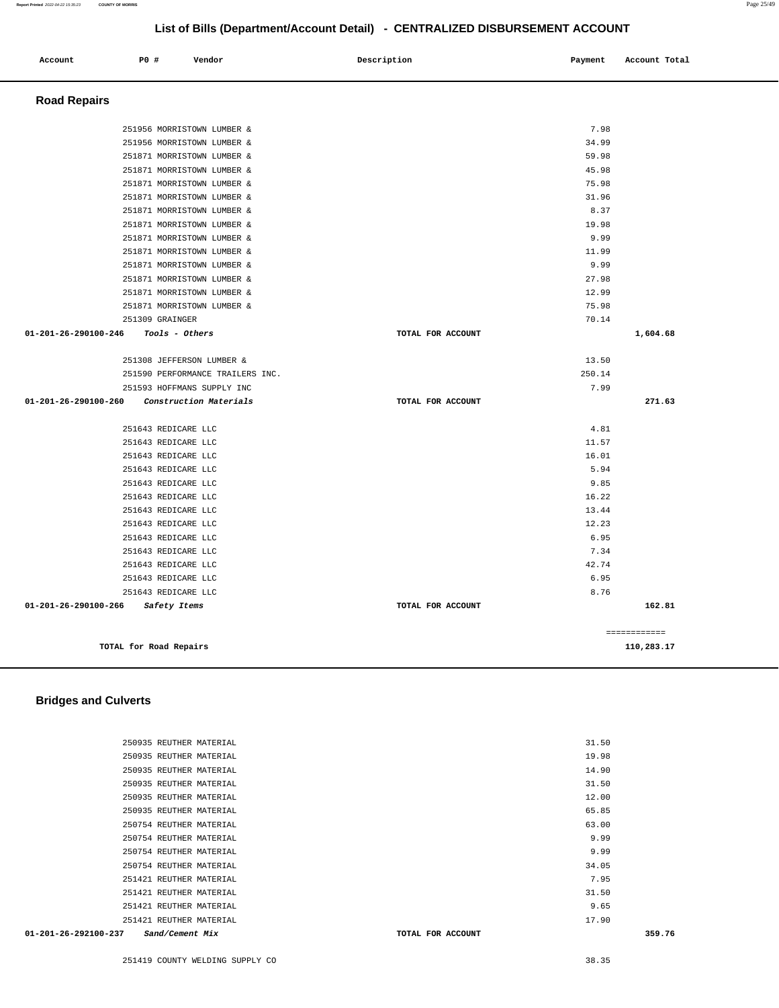#### **Report Printed** 2022-04-22 15:35:23 **COUNTY OF MORRIS** Page 25/49

# **List of Bills (Department/Account Detail) - CENTRALIZED DISBURSEMENT ACCOUNT**

| Account                        | P0 #                      | Vendor                           | Description       | Payment | Account Total |
|--------------------------------|---------------------------|----------------------------------|-------------------|---------|---------------|
| <b>Road Repairs</b>            |                           |                                  |                   |         |               |
|                                |                           | 251956 MORRISTOWN LUMBER &       |                   | 7.98    |               |
|                                |                           | 251956 MORRISTOWN LUMBER &       |                   | 34.99   |               |
|                                |                           | 251871 MORRISTOWN LUMBER &       |                   | 59.98   |               |
|                                |                           | 251871 MORRISTOWN LUMBER &       |                   | 45.98   |               |
|                                |                           | 251871 MORRISTOWN LUMBER &       |                   | 75.98   |               |
|                                |                           | 251871 MORRISTOWN LUMBER &       |                   | 31.96   |               |
|                                |                           | 251871 MORRISTOWN LUMBER &       |                   | 8.37    |               |
|                                |                           | 251871 MORRISTOWN LUMBER &       |                   | 19.98   |               |
|                                |                           | 251871 MORRISTOWN LUMBER &       |                   | 9.99    |               |
|                                |                           | 251871 MORRISTOWN LUMBER &       |                   | 11.99   |               |
|                                |                           | 251871 MORRISTOWN LUMBER &       |                   | 9.99    |               |
|                                |                           | 251871 MORRISTOWN LUMBER &       |                   | 27.98   |               |
|                                |                           | 251871 MORRISTOWN LUMBER &       |                   | 12.99   |               |
|                                |                           | 251871 MORRISTOWN LUMBER &       |                   | 75.98   |               |
|                                | 251309 GRAINGER           |                                  |                   | 70.14   |               |
| $01 - 201 - 26 - 290100 - 246$ | Tools - Others            |                                  | TOTAL FOR ACCOUNT |         | 1,604.68      |
|                                | 251308 JEFFERSON LUMBER & |                                  |                   | 13.50   |               |
|                                |                           | 251590 PERFORMANCE TRAILERS INC. |                   | 250.14  |               |
|                                |                           | 251593 HOFFMANS SUPPLY INC       |                   | 7.99    |               |
| $01 - 201 - 26 - 290100 - 260$ |                           | Construction Materials           | TOTAL FOR ACCOUNT |         | 271.63        |
|                                | 251643 REDICARE LLC       |                                  |                   | 4.81    |               |
|                                | 251643 REDICARE LLC       |                                  |                   | 11.57   |               |
|                                | 251643 REDICARE LLC       |                                  |                   | 16.01   |               |
|                                | 251643 REDICARE LLC       |                                  |                   | 5.94    |               |
|                                | 251643 REDICARE LLC       |                                  |                   | 9.85    |               |
|                                | 251643 REDICARE LLC       |                                  |                   | 16.22   |               |
|                                | 251643 REDICARE LLC       |                                  |                   | 13.44   |               |
|                                | 251643 REDICARE LLC       |                                  |                   | 12.23   |               |
|                                | 251643 REDICARE LLC       |                                  |                   | 6.95    |               |
|                                | 251643 REDICARE LLC       |                                  |                   | 7.34    |               |
|                                | 251643 REDICARE LLC       |                                  |                   | 42.74   |               |
|                                | 251643 REDICARE LLC       |                                  |                   | 6.95    |               |
|                                | 251643 REDICARE LLC       |                                  |                   | 8.76    |               |
| $01 - 201 - 26 - 290100 - 266$ | Safety Items              |                                  | TOTAL FOR ACCOUNT |         | 162.81        |
|                                |                           |                                  |                   |         | ============  |
|                                | TOTAL for Road Repairs    |                                  |                   |         | 110,283.17    |

## **Bridges and Culverts**

| $01 - 201 - 26 - 292100 - 237$ | Sand/Cement Mix         | TOTAL FOR ACCOUNT | 359.76 |
|--------------------------------|-------------------------|-------------------|--------|
|                                | 251421 REUTHER MATERIAL |                   | 17.90  |
|                                | 251421 REUTHER MATERIAL |                   | 9.65   |
|                                | 251421 REUTHER MATERIAL |                   | 31.50  |
|                                | 251421 REUTHER MATERIAL |                   | 7.95   |
|                                | 250754 REUTHER MATERIAL |                   | 34.05  |
|                                | 250754 REUTHER MATERIAL |                   | 9.99   |
|                                | 250754 REUTHER MATERIAL |                   | 9.99   |
|                                | 250754 REUTHER MATERIAL |                   | 63.00  |
|                                | 250935 REUTHER MATERIAL |                   | 65.85  |
|                                | 250935 REUTHER MATERIAL |                   | 12.00  |
|                                | 250935 REUTHER MATERIAL |                   | 31.50  |
|                                | 250935 REUTHER MATERIAL |                   | 14.90  |
|                                | 250935 REUTHER MATERIAL |                   | 19.98  |
|                                | 250935 REUTHER MATERIAL |                   | 31.50  |
|                                |                         |                   |        |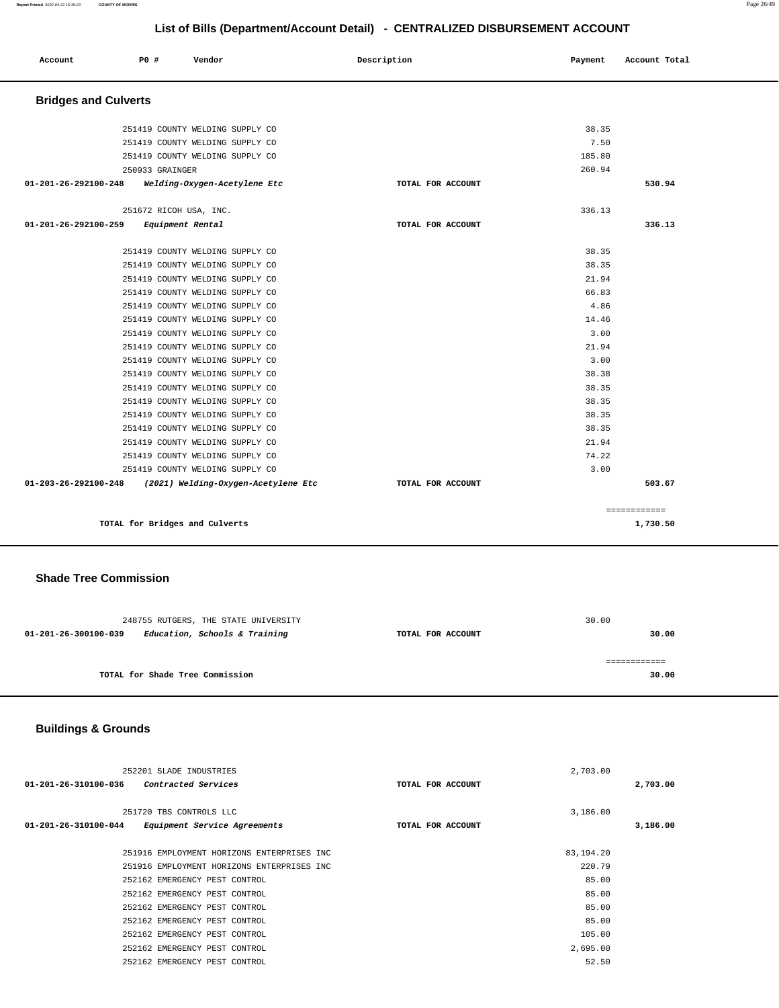|                             |                        | ----------<br>.                     |                   |         |               |
|-----------------------------|------------------------|-------------------------------------|-------------------|---------|---------------|
| Account                     | P0 #                   | Vendor                              | Description       | Payment | Account Total |
| <b>Bridges and Culverts</b> |                        |                                     |                   |         |               |
|                             |                        | 251419 COUNTY WELDING SUPPLY CO     |                   | 38.35   |               |
|                             |                        | 251419 COUNTY WELDING SUPPLY CO     |                   | 7.50    |               |
|                             |                        | 251419 COUNTY WELDING SUPPLY CO     |                   | 185.80  |               |
|                             | 250933 GRAINGER        |                                     |                   | 260.94  |               |
| 01-201-26-292100-248        |                        | Welding-Oxygen-Acetylene Etc        | TOTAL FOR ACCOUNT |         | 530.94        |
|                             | 251672 RICOH USA, INC. |                                     |                   | 336.13  |               |
| 01-201-26-292100-259        | Equipment Rental       |                                     | TOTAL FOR ACCOUNT |         | 336.13        |
|                             |                        | 251419 COUNTY WELDING SUPPLY CO     |                   | 38.35   |               |
|                             |                        | 251419 COUNTY WELDING SUPPLY CO     |                   | 38.35   |               |
|                             |                        | 251419 COUNTY WELDING SUPPLY CO     |                   | 21.94   |               |
|                             |                        | 251419 COUNTY WELDING SUPPLY CO     |                   | 66.83   |               |
|                             |                        | 251419 COUNTY WELDING SUPPLY CO     |                   | 4.86    |               |
|                             |                        | 251419 COUNTY WELDING SUPPLY CO     |                   | 14.46   |               |
|                             |                        | 251419 COUNTY WELDING SUPPLY CO     |                   | 3.00    |               |
|                             |                        | 251419 COUNTY WELDING SUPPLY CO     |                   | 21.94   |               |
|                             |                        | 251419 COUNTY WELDING SUPPLY CO     |                   | 3.00    |               |
|                             |                        | 251419 COUNTY WELDING SUPPLY CO     |                   | 38.38   |               |
|                             |                        | 251419 COUNTY WELDING SUPPLY CO     |                   | 38.35   |               |
|                             |                        | 251419 COUNTY WELDING SUPPLY CO     |                   | 38.35   |               |
|                             |                        | 251419 COUNTY WELDING SUPPLY CO     |                   | 38.35   |               |
|                             |                        | 251419 COUNTY WELDING SUPPLY CO     |                   | 38.35   |               |
|                             |                        | 251419 COUNTY WELDING SUPPLY CO     |                   | 21.94   |               |
|                             |                        | 251419 COUNTY WELDING SUPPLY CO     |                   | 74.22   |               |
|                             |                        | 251419 COUNTY WELDING SUPPLY CO     |                   | 3.00    |               |
| 01-203-26-292100-248        |                        | (2021) Welding-Oxygen-Acetylene Etc | TOTAL FOR ACCOUNT |         | 503.67        |
|                             |                        |                                     |                   |         | ============  |
|                             |                        | TOTAL for Bridges and Culverts      |                   |         | 1,730.50      |

#### **Shade Tree Commission**

| 248755 RUTGERS, THE STATE UNIVERSITY                  | 30.00             |       |
|-------------------------------------------------------|-------------------|-------|
| Education, Schools & Training<br>01-201-26-300100-039 | TOTAL FOR ACCOUNT | 30.00 |
|                                                       |                   |       |
|                                                       |                   |       |
| TOTAL for Shade Tree Commission                       |                   | 30.00 |
|                                                       |                   |       |

# **Buildings & Grounds**

|                      | 252201 SLADE INDUSTRIES                    |                   | 2,703.00  |          |
|----------------------|--------------------------------------------|-------------------|-----------|----------|
| 01-201-26-310100-036 | Contracted Services                        | TOTAL FOR ACCOUNT |           | 2,703.00 |
|                      |                                            |                   |           |          |
|                      | 251720 TBS CONTROLS LLC                    |                   | 3,186.00  |          |
| 01-201-26-310100-044 | Equipment Service Agreements               | TOTAL FOR ACCOUNT |           | 3,186.00 |
|                      |                                            |                   |           |          |
|                      | 251916 EMPLOYMENT HORIZONS ENTERPRISES INC |                   | 83,194.20 |          |
|                      | 251916 EMPLOYMENT HORIZONS ENTERPRISES INC |                   | 220.79    |          |
|                      | 252162 EMERGENCY PEST CONTROL              |                   | 85.00     |          |
|                      | 252162 EMERGENCY PEST CONTROL              |                   | 85.00     |          |
|                      | 252162 EMERGENCY PEST CONTROL              |                   | 85.00     |          |
|                      | 252162 EMERGENCY PEST CONTROL              |                   | 85.00     |          |
|                      | 252162 EMERGENCY PEST CONTROL              |                   | 105.00    |          |
|                      | 252162 EMERGENCY PEST CONTROL              |                   | 2,695.00  |          |
|                      | 252162 EMERGENCY PEST CONTROL              |                   | 52.50     |          |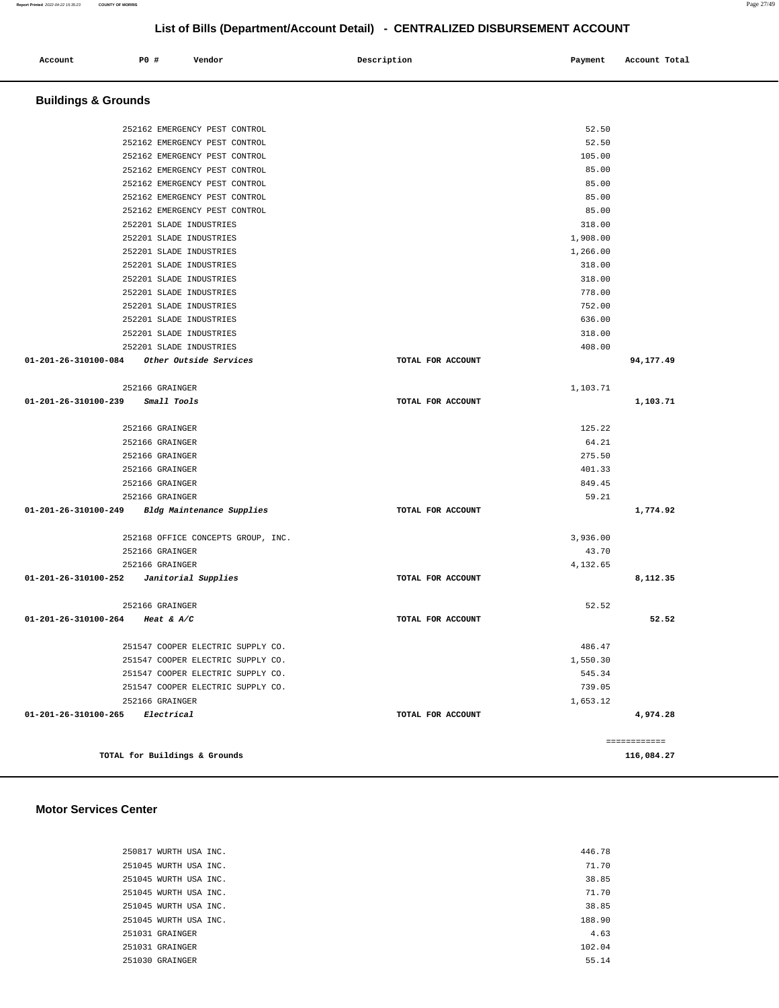| Account | <b>PO #</b> | Vendor | Description | Payment | Account Total |
|---------|-------------|--------|-------------|---------|---------------|
|         |             |        |             |         |               |

## **Buildings & Grounds**

|                                             | 252162 EMERGENCY PEST CONTROL      |                   | 52.50    |              |
|---------------------------------------------|------------------------------------|-------------------|----------|--------------|
|                                             | 252162 EMERGENCY PEST CONTROL      |                   | 52.50    |              |
|                                             | 252162 EMERGENCY PEST CONTROL      |                   | 105.00   |              |
|                                             | 252162 EMERGENCY PEST CONTROL      |                   | 85.00    |              |
|                                             | 252162 EMERGENCY PEST CONTROL      |                   | 85.00    |              |
|                                             | 252162 EMERGENCY PEST CONTROL      |                   | 85.00    |              |
|                                             | 252162 EMERGENCY PEST CONTROL      |                   | 85.00    |              |
|                                             | 252201 SLADE INDUSTRIES            |                   | 318.00   |              |
|                                             | 252201 SLADE INDUSTRIES            |                   | 1,908.00 |              |
|                                             | 252201 SLADE INDUSTRIES            |                   | 1,266.00 |              |
|                                             | 252201 SLADE INDUSTRIES            |                   | 318.00   |              |
|                                             | 252201 SLADE INDUSTRIES            |                   | 318.00   |              |
|                                             | 252201 SLADE INDUSTRIES            |                   | 778.00   |              |
|                                             | 252201 SLADE INDUSTRIES            |                   | 752.00   |              |
|                                             | 252201 SLADE INDUSTRIES            |                   | 636.00   |              |
|                                             | 252201 SLADE INDUSTRIES            |                   | 318.00   |              |
|                                             | 252201 SLADE INDUSTRIES            |                   | 408.00   |              |
| 01-201-26-310100-084                        | <i>Other Outside Services</i>      | TOTAL FOR ACCOUNT |          | 94,177.49    |
|                                             |                                    |                   |          |              |
|                                             | 252166 GRAINGER                    |                   | 1,103.71 |              |
| 01-201-26-310100-239                        | <i>Small Tools</i>                 | TOTAL FOR ACCOUNT |          | 1,103.71     |
|                                             | 252166 GRAINGER                    |                   | 125.22   |              |
|                                             | 252166 GRAINGER                    |                   | 64.21    |              |
|                                             | 252166 GRAINGER                    |                   | 275.50   |              |
|                                             | 252166 GRAINGER                    |                   | 401.33   |              |
|                                             | 252166 GRAINGER                    |                   | 849.45   |              |
|                                             | 252166 GRAINGER                    |                   | 59.21    |              |
| 01-201-26-310100-249                        | Bldg Maintenance Supplies          | TOTAL FOR ACCOUNT |          | 1,774.92     |
|                                             |                                    |                   |          |              |
|                                             | 252168 OFFICE CONCEPTS GROUP, INC. |                   | 3,936.00 |              |
|                                             | 252166 GRAINGER                    |                   | 43.70    |              |
|                                             | 252166 GRAINGER                    |                   | 4,132.65 |              |
| 01-201-26-310100-252    Janitorial Supplies |                                    | TOTAL FOR ACCOUNT |          | 8,112.35     |
|                                             |                                    |                   |          |              |
|                                             | 252166 GRAINGER                    |                   | 52.52    |              |
| 01-201-26-310100-264 Heat & A/C             |                                    | TOTAL FOR ACCOUNT |          | 52.52        |
|                                             |                                    |                   |          |              |
|                                             | 251547 COOPER ELECTRIC SUPPLY CO.  |                   | 486.47   |              |
|                                             | 251547 COOPER ELECTRIC SUPPLY CO.  |                   | 1,550.30 |              |
|                                             | 251547 COOPER ELECTRIC SUPPLY CO.  |                   | 545.34   |              |
|                                             | 251547 COOPER ELECTRIC SUPPLY CO.  |                   | 739.05   |              |
|                                             | 252166 GRAINGER                    |                   | 1,653.12 |              |
| 01-201-26-310100-265 Electrical             |                                    | TOTAL FOR ACCOUNT |          | 4,974.28     |
|                                             |                                    |                   |          |              |
|                                             |                                    |                   |          | ============ |
|                                             | TOTAL for Buildings & Grounds      |                   |          | 116,084.27   |

#### **Motor Services Center**

| 250817 WURTH USA INC. | 446.78 |
|-----------------------|--------|
| 251045 WURTH USA INC. | 71.70  |
| 251045 WURTH USA INC. | 38.85  |
| 251045 WURTH USA INC. | 71.70  |
| 251045 WURTH USA INC. | 38.85  |
| 251045 WURTH USA INC. | 188.90 |
| 251031 GRAINGER       | 4.63   |
| 251031 GRAINGER       | 102.04 |
| 251030 GRAINGER       | 55.14  |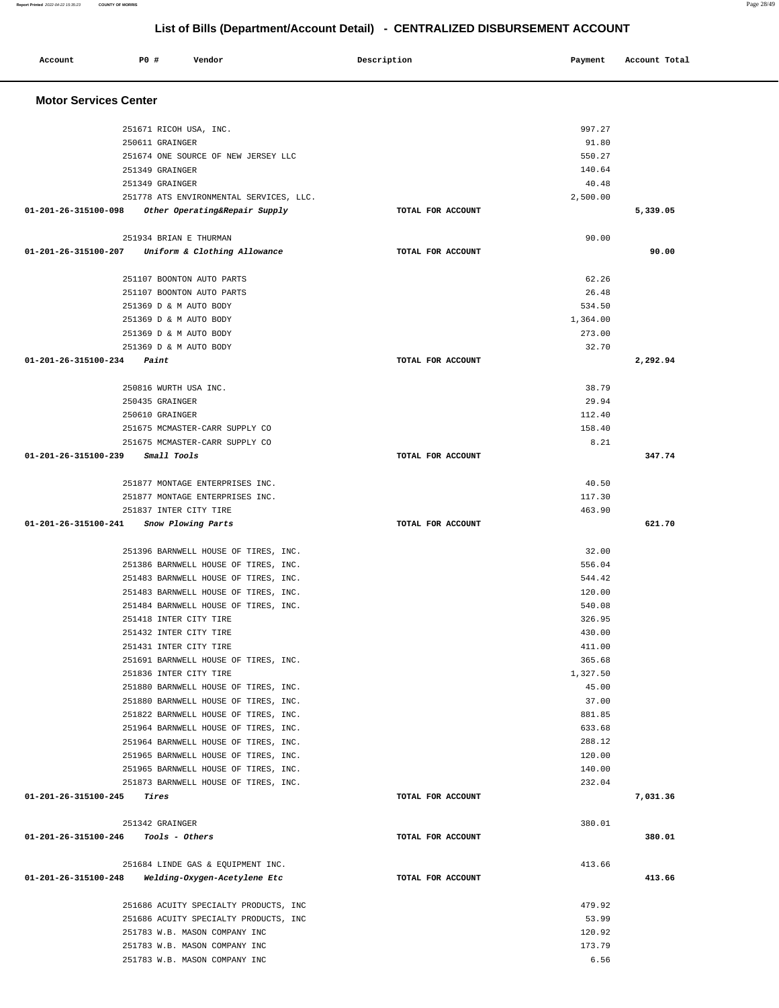#### **Account P0 # Vendor Description Payment Account Total Motor Services Center**  251671 RICOH USA, INC. 250611 GRAINGER 251674 ONE SOURCE OF NEW JERSEY LLC 251349 GRAINGER 251349 GRAINGER 251778 ATS ENVIRONMENTAL SERVICES, LLC. **01-201-26-315100-098 Other Operating&Repair Supply TOTAL FOR ACCOUNT**  997.27 91.80 550.27 140.64 40.48 2,500.00 **5,339.05** 251934 BRIAN E THURMAN **01-201-26-315100-207 Uniform & Clothing Allowance TOTAL FOR ACCOUNT**  90.00 **90.00** 251107 BOONTON AUTO PARTS 251107 BOONTON AUTO PARTS 251369 D & M AUTO BODY 251369 D & M AUTO BODY 251369 D & M AUTO BODY 251369 D & M AUTO BODY **01-201-26-315100-234 Paint TOTAL FOR ACCOUNT**  62.26 26.48 534.50 1,364.00 273.00 32.70 **2,292.94** 250816 WURTH USA INC. 250435 GRAINGER 250610 GRAINGER 251675 MCMASTER-CARR SUPPLY CO 251675 MCMASTER-CARR SUPPLY CO **01-201-26-315100-239 Small Tools TOTAL FOR ACCOUNT**  38.79 29.94 112.40 158.40 8.21 **347.74** 251877 MONTAGE ENTERPRISES INC. 251877 MONTAGE ENTERPRISES INC. 251837 INTER CITY TIRE **01-201-26-315100-241 Snow Plowing Parts TOTAL FOR ACCOUNT**  40.50 117.30 463.90 **621.70** 251396 BARNWELL HOUSE OF TIRES, INC. 251386 BARNWELL HOUSE OF TIRES, INC. 251483 BARNWELL HOUSE OF TIRES, INC. 251483 BARNWELL HOUSE OF TIRES, INC. 251484 BARNWELL HOUSE OF TIRES, INC. 251418 INTER CITY TIRE 251432 INTER CITY TIRE 251431 INTER CITY TIRE 251691 BARNWELL HOUSE OF TIRES, INC. 251836 INTER CITY TIRE 251880 BARNWELL HOUSE OF TIRES, INC. 251880 BARNWELL HOUSE OF TIRES, INC. 251822 BARNWELL HOUSE OF TIRES, INC. 251964 BARNWELL HOUSE OF TIRES, INC. 251964 BARNWELL HOUSE OF TIRES, INC. 251965 BARNWELL HOUSE OF TIRES, INC. 251965 BARNWELL HOUSE OF TIRES, INC. 251873 BARNWELL HOUSE OF TIRES, INC. **01-201-26-315100-245 Tires TOTAL FOR ACCOUNT**  32.00 556.04 544.42 120.00 540.08 326.95 430.00 411.00 365.68 1,327.50 45.00 37.00 881.85 633.68 288.12 120.00 140.00 232.04 **7,031.36** 251342 GRAINGER **01-201-26-315100-246 Tools - Others TOTAL FOR ACCOUNT**  380.01 **380.01** 251684 LINDE GAS & EQUIPMENT INC. **01-201-26-315100-248 Welding-Oxygen-Acetylene Etc TOTAL FOR ACCOUNT**  413.66 **413.66** 251686 ACUITY SPECIALTY PRODUCTS, INC 251686 ACUITY SPECIALTY PRODUCTS, INC 251783 W.B. MASON COMPANY INC 251783 W.B. MASON COMPANY INC 251783 W.B. MASON COMPANY INC 479.92 53.99 120.92 173.79 6.56

**List of Bills (Department/Account Detail) - CENTRALIZED DISBURSEMENT ACCOUNT**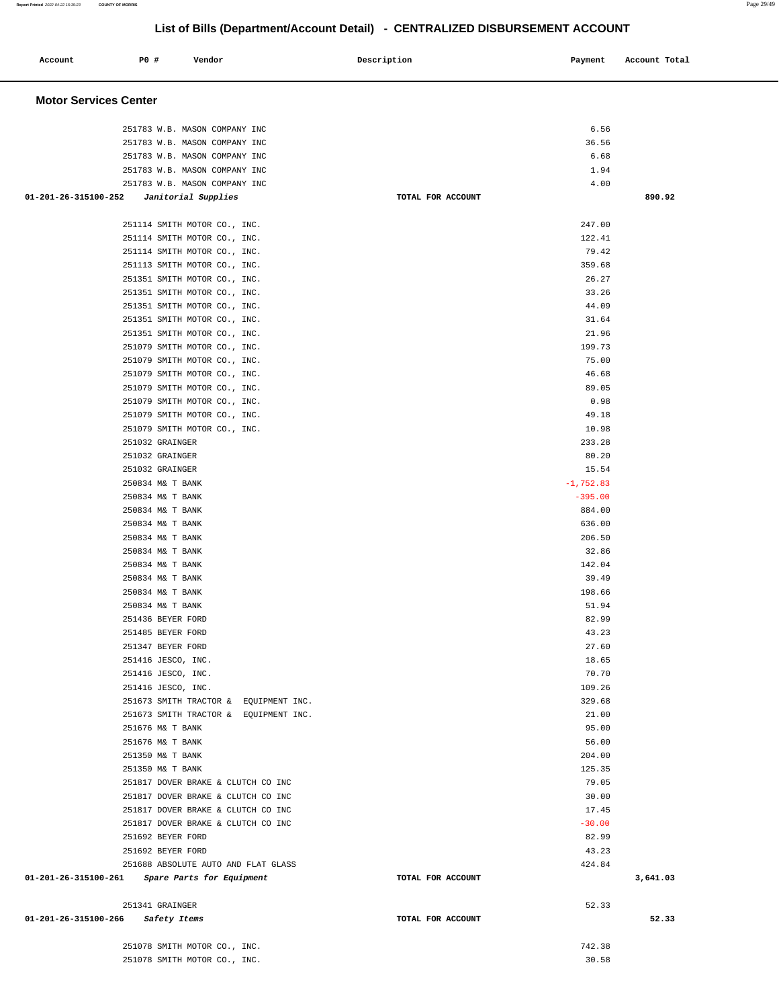## **Account P0 # Vendor Description Payment Account Total Motor Services Center**  251783 W.B. MASON COMPANY INC 6.56 251783 W.B. MASON COMPANY INC 36.56 251783 W.B. MASON COMPANY INC 6.68 251783 W.B. MASON COMPANY INC 1.94 251783 W.B. MASON COMPANY INC 4.00  **01-201-26-315100-252 Janitorial Supplies TOTAL FOR ACCOUNT 890.92** 251114 SMITH MOTOR CO., INC. 247.00 251114 SMITH MOTOR CO., INC. 122.41 251114 SMITH MOTOR CO., INC. 79.42 251113 SMITH MOTOR CO., INC. 359.68 251351 SMITH MOTOR CO., INC. 26.27 251351 SMITH MOTOR CO., INC. 33.26 251351 SMITH MOTOR CO., INC. 44.09 251351 SMITH MOTOR CO., INC. 31.64 251351 SMITH MOTOR CO., INC. 21.96 251079 SMITH MOTOR CO., INC. 199.73 251079 SMITH MOTOR CO., INC. 75.00 251079 SMITH MOTOR CO., INC. 46.68 251079 SMITH MOTOR CO., INC. 89.05 251079 SMITH MOTOR CO., INC. 0.98 251079 SMITH MOTOR CO., INC. 49.18 251079 SMITH MOTOR CO., INC. 10.98 251032 GRAINGER 233.28 251032 GRAINGER 80.20 251032 GRAINGER 15.54 250834 M& T BANK -1,752.83 250834 M& T BANK -395.00 250834 M& T BANK 884.00 250834 M& T BANK 636.00 250834 M& T BANK 206.50 250834 M& T BANK 32.86 250834 M& T BANK 142.04 250834 M& T BANK 39.49 250834 M& T BANK 198.66 250834 M& T BANK 51.94 251436 BEYER FORD 82.99 251485 BEYER FORD 43.23 251347 BEYER FORD 27.60 251416 JESCO, INC. 18.65 251416 JESCO, INC. 2012 20:20 20:20 20:20 20:20 20:20 20:20 20:20 20:20 20:20 20:20 20:20 20:20 20:20 20:20 20:20 20:20 20:20 20:20 20:20 20:20 20:20 20:20 20:20 20:20 20:20 20:20 20:20 20:20 20:20 20:20 20:20 20:20 20:20 251416 JESCO, INC. 109.26 251673 SMITH TRACTOR & EQUIPMENT INC. 329.68 251673 SMITH TRACTOR & EQUIPMENT INC. 21.00 251676 M& T BANK 95.00 251676 M& T BANK 56.00 251350 M& T BANK 204.00 251350 M& T BANK 125.35 251817 DOVER BRAKE & CLUTCH CO INC 60 AM CONSTRUCTED AND THE STATE OF THE STATE OF THE STATE OF THE STATE OF THE STATE OF THE STATE OF THE STATE OF THE STATE OF THE STATE OF THE STATE OF THE STATE OF THE STATE OF THE STATE 251817 DOVER BRAKE & CLUTCH CO INC 30.00 251817 DOVER BRAKE & CLUTCH CO INC 17.45 251817 DOVER BRAKE & CLUTCH CO INC 430.00 251692 BEYER FORD 82.99 251692 BEYER FORD 43.23 251688 ABSOLUTE AUTO AND FLAT GLASS 424.84  **01-201-26-315100-261 Spare Parts for Equipment TOTAL FOR ACCOUNT 3,641.03** 251341 GRAINGER 52.33  **01-201-26-315100-266 Safety Items TOTAL FOR ACCOUNT 52.33** 251078 SMITH MOTOR CO., INC. 742.38 251078 SMITH MOTOR CO., INC. 30.58

# **List of Bills (Department/Account Detail) - CENTRALIZED DISBURSEMENT ACCOUNT**

**Report Printed** 2022-04-22 15:35:23 **COUNTY OF MORRIS** Page 29/49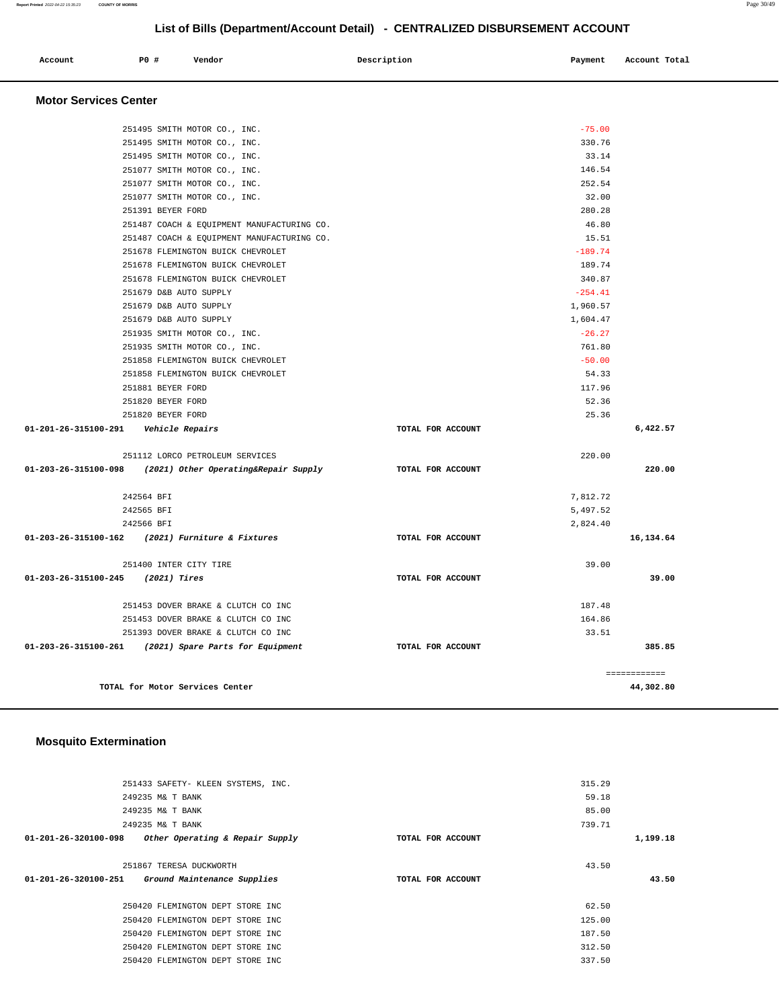| Account | P0 # | Vendor | Description | Payment | Account Total |
|---------|------|--------|-------------|---------|---------------|
|         |      |        |             |         |               |

 **Motor Services Center** 

|                                         | 251495 SMITH MOTOR CO., INC.                              |                   | $-75.00$  |              |
|-----------------------------------------|-----------------------------------------------------------|-------------------|-----------|--------------|
|                                         | 251495 SMITH MOTOR CO., INC.                              |                   | 330.76    |              |
|                                         | 251495 SMITH MOTOR CO., INC.                              |                   | 33.14     |              |
|                                         | 251077 SMITH MOTOR CO., INC.                              |                   | 146.54    |              |
|                                         | 251077 SMITH MOTOR CO., INC.                              |                   | 252.54    |              |
|                                         | 251077 SMITH MOTOR CO., INC.                              |                   | 32.00     |              |
|                                         | 251391 BEYER FORD                                         |                   | 280.28    |              |
|                                         | 251487 COACH & EQUIPMENT MANUFACTURING CO.                |                   | 46.80     |              |
|                                         | 251487 COACH & EQUIPMENT MANUFACTURING CO.                |                   | 15.51     |              |
|                                         | 251678 FLEMINGTON BUICK CHEVROLET                         |                   | $-189.74$ |              |
|                                         | 251678 FLEMINGTON BUICK CHEVROLET                         |                   | 189.74    |              |
|                                         | 251678 FLEMINGTON BUICK CHEVROLET                         |                   | 340.87    |              |
|                                         | 251679 D&B AUTO SUPPLY                                    |                   | $-254.41$ |              |
|                                         | 251679 D&B AUTO SUPPLY                                    |                   | 1,960.57  |              |
|                                         | 251679 D&B AUTO SUPPLY                                    |                   | 1,604.47  |              |
|                                         | 251935 SMITH MOTOR CO., INC.                              |                   | $-26.27$  |              |
|                                         | 251935 SMITH MOTOR CO., INC.                              |                   | 761.80    |              |
|                                         | 251858 FLEMINGTON BUICK CHEVROLET                         |                   | $-50.00$  |              |
|                                         | 251858 FLEMINGTON BUICK CHEVROLET                         |                   | 54.33     |              |
|                                         | 251881 BEYER FORD                                         |                   | 117.96    |              |
|                                         | 251820 BEYER FORD                                         |                   | 52.36     |              |
|                                         | 251820 BEYER FORD                                         |                   | 25.36     |              |
| 01-201-26-315100-291    Vehicle Repairs |                                                           | TOTAL FOR ACCOUNT |           | 6,422.57     |
|                                         | 251112 LORCO PETROLEUM SERVICES                           |                   | 220.00    |              |
|                                         | 01-203-26-315100-098 (2021) Other Operating&Repair Supply | TOTAL FOR ACCOUNT |           | 220.00       |
|                                         | 242564 BFI                                                |                   | 7,812.72  |              |
|                                         | 242565 BFI                                                |                   | 5,497.52  |              |
|                                         | 242566 BFI                                                |                   | 2,824.40  |              |
|                                         | 01-203-26-315100-162 (2021) Furniture & Fixtures          | TOTAL FOR ACCOUNT |           | 16,134.64    |
|                                         | 251400 INTER CITY TIRE                                    |                   | 39.00     |              |
| 01-203-26-315100-245 (2021) Tires       |                                                           | TOTAL FOR ACCOUNT |           | 39.00        |
|                                         | 251453 DOVER BRAKE & CLUTCH CO INC                        |                   | 187.48    |              |
|                                         | 251453 DOVER BRAKE & CLUTCH CO INC                        |                   | 164.86    |              |
|                                         | 251393 DOVER BRAKE & CLUTCH CO INC                        |                   | 33.51     |              |
|                                         | 01-203-26-315100-261 (2021) Spare Parts for Equipment     | TOTAL FOR ACCOUNT |           | 385.85       |
|                                         |                                                           |                   |           | ============ |
|                                         | TOTAL for Motor Services Center                           |                   |           | 44,302.80    |

## **Mosquito Extermination**

|                      | 251433 SAFETY- KLEEN SYSTEMS, INC. |                   | 315.29 |          |
|----------------------|------------------------------------|-------------------|--------|----------|
|                      | 249235 M& T BANK                   |                   | 59.18  |          |
|                      | 249235 M& T BANK                   |                   | 85.00  |          |
|                      | 249235 M& T BANK                   |                   | 739.71 |          |
| 01-201-26-320100-098 | Other Operating & Repair Supply    | TOTAL FOR ACCOUNT |        | 1,199.18 |
|                      |                                    |                   |        |          |
|                      | 251867 TERESA DUCKWORTH            |                   | 43.50  |          |
| 01-201-26-320100-251 | Ground Maintenance Supplies        | TOTAL FOR ACCOUNT |        | 43.50    |
|                      |                                    |                   |        |          |
|                      | 250420 FLEMINGTON DEPT STORE INC   |                   | 62.50  |          |
|                      | 250420 FLEMINGTON DEPT STORE INC   |                   | 125.00 |          |
|                      | 250420 FLEMINGTON DEPT STORE INC   |                   | 187.50 |          |
|                      | 250420 FLEMINGTON DEPT STORE INC   |                   | 312.50 |          |
|                      | 250420 FLEMINGTON DEPT STORE INC   |                   | 337.50 |          |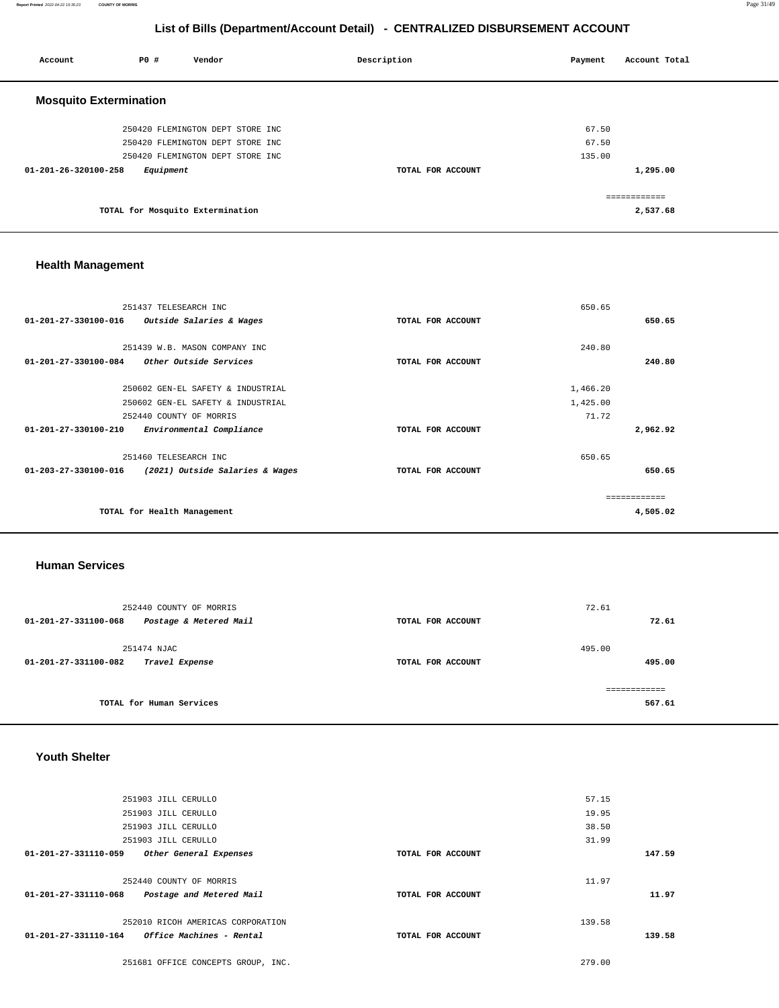| Account                       | PO#       | Vendor                           | Description       | Payment | Account Total |
|-------------------------------|-----------|----------------------------------|-------------------|---------|---------------|
| <b>Mosquito Extermination</b> |           |                                  |                   |         |               |
|                               |           | 250420 FLEMINGTON DEPT STORE INC |                   | 67.50   |               |
|                               |           | 250420 FLEMINGTON DEPT STORE INC |                   | 67.50   |               |
|                               |           | 250420 FLEMINGTON DEPT STORE INC |                   | 135.00  |               |
| 01-201-26-320100-258          | Equipment |                                  | TOTAL FOR ACCOUNT |         | 1,295.00      |
|                               |           |                                  |                   |         | ============  |
|                               |           | TOTAL for Mosquito Extermination |                   |         | 2,537.68      |

## **Health Management**

|                      | 251437 TELESEARCH INC             |                   | 650.65   |              |
|----------------------|-----------------------------------|-------------------|----------|--------------|
| 01-201-27-330100-016 | Outside Salaries & Wages          | TOTAL FOR ACCOUNT |          | 650.65       |
|                      |                                   |                   |          |              |
|                      | 251439 W.B. MASON COMPANY INC     |                   | 240.80   |              |
| 01-201-27-330100-084 | Other Outside Services            | TOTAL FOR ACCOUNT |          | 240.80       |
|                      |                                   |                   |          |              |
|                      | 250602 GEN-EL SAFETY & INDUSTRIAL |                   | 1,466.20 |              |
|                      | 250602 GEN-EL SAFETY & INDUSTRIAL |                   | 1,425.00 |              |
|                      | 252440 COUNTY OF MORRIS           |                   | 71.72    |              |
| 01-201-27-330100-210 | Environmental Compliance          | TOTAL FOR ACCOUNT |          | 2,962.92     |
|                      | 251460 TELESEARCH INC             |                   | 650.65   |              |
| 01-203-27-330100-016 | (2021) Outside Salaries & Wages   | TOTAL FOR ACCOUNT |          | 650.65       |
|                      |                                   |                   |          | ------------ |
|                      | TOTAL for Health Management       |                   |          | 4,505.02     |
|                      |                                   |                   |          |              |

#### **Human Services**

|                      | 252440 COUNTY OF MORRIS  |                   | 72.61  |        |
|----------------------|--------------------------|-------------------|--------|--------|
| 01-201-27-331100-068 | Postage & Metered Mail   | TOTAL FOR ACCOUNT |        | 72.61  |
|                      | 251474 NJAC              |                   | 495.00 |        |
| 01-201-27-331100-082 | Travel Expense           | TOTAL FOR ACCOUNT |        | 495.00 |
|                      |                          |                   |        |        |
|                      | TOTAL for Human Services |                   |        | 567.61 |

# **Youth Shelter**

| 251903 JILL CERULLO                                     |                   | 57.15  |
|---------------------------------------------------------|-------------------|--------|
| 251903 JILL CERULLO                                     |                   | 19.95  |
| 251903 JILL CERULLO                                     |                   | 38.50  |
| 251903 JILL CERULLO                                     |                   | 31.99  |
| 01-201-27-331110-059<br>Other General Expenses          | TOTAL FOR ACCOUNT | 147.59 |
|                                                         |                   |        |
| 252440 COUNTY OF MORRIS                                 |                   | 11.97  |
| 01-201-27-331110-068<br>Postage and Metered Mail        | TOTAL FOR ACCOUNT | 11.97  |
|                                                         |                   |        |
| 252010 RICOH AMERICAS CORPORATION                       |                   | 139.58 |
| 01-201-27-331110-164<br><i>Office Machines - Rental</i> | TOTAL FOR ACCOUNT | 139.58 |
|                                                         |                   |        |
| 251681 OFFICE CONCEPTS GROUP, INC.                      |                   | 279.00 |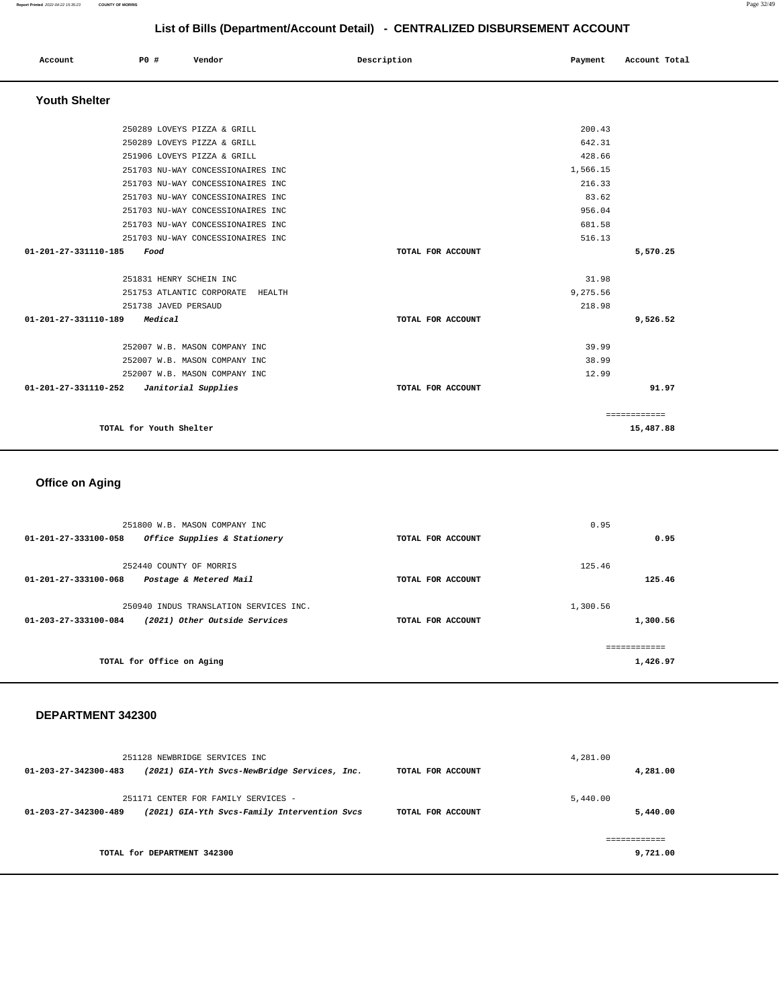#### **Report Printed** 2022-04-22 15:35:23 **COUNTY OF MORRIS** Page 32/49

**91.97**

# **List of Bills (Department/Account Detail) - CENTRALIZED DISBURSEMENT ACCOUNT**

|                      |      |                      |                                     | LIST OF BIIIS (Department/Account Detail) - CENTRALIZED DISBURSEMENT ACCOUNT |                   |          |               |  |
|----------------------|------|----------------------|-------------------------------------|------------------------------------------------------------------------------|-------------------|----------|---------------|--|
| Account              | PO#  |                      | Vendor                              | Description                                                                  |                   | Payment  | Account Total |  |
| <b>Youth Shelter</b> |      |                      |                                     |                                                                              |                   |          |               |  |
|                      |      |                      | 250289 LOVEYS PIZZA & GRILL         |                                                                              |                   | 200.43   |               |  |
|                      |      |                      | 250289 LOVEYS PIZZA & GRILL         |                                                                              |                   | 642.31   |               |  |
|                      |      |                      | 251906 LOVEYS PIZZA & GRILL         |                                                                              |                   | 428.66   |               |  |
|                      |      |                      | 251703 NU-WAY CONCESSIONAIRES INC   |                                                                              |                   | 1,566.15 |               |  |
|                      |      |                      | 251703 NU-WAY CONCESSIONAIRES INC   |                                                                              |                   | 216.33   |               |  |
|                      |      |                      | 251703 NU-WAY CONCESSIONAIRES INC   |                                                                              |                   | 83.62    |               |  |
|                      |      |                      | 251703 NU-WAY CONCESSIONAIRES INC   |                                                                              |                   | 956.04   |               |  |
|                      |      |                      | 251703 NU-WAY CONCESSIONAIRES INC   |                                                                              |                   | 681.58   |               |  |
|                      |      |                      | 251703 NU-WAY CONCESSIONAIRES INC   |                                                                              |                   | 516.13   |               |  |
| 01-201-27-331110-185 | Food |                      |                                     |                                                                              | TOTAL FOR ACCOUNT |          | 5,570.25      |  |
|                      |      |                      | 251831 HENRY SCHEIN INC             |                                                                              |                   | 31.98    |               |  |
|                      |      |                      | 251753 ATLANTIC CORPORATE<br>HEALTH |                                                                              |                   | 9,275.56 |               |  |
|                      |      | 251738 JAVED PERSAUD |                                     |                                                                              |                   | 218.98   |               |  |
| 01-201-27-331110-189 |      | Medical              |                                     |                                                                              | TOTAL FOR ACCOUNT |          | 9,526.52      |  |
|                      |      |                      | 252007 W.B. MASON COMPANY INC       |                                                                              |                   | 39.99    |               |  |
|                      |      |                      | 252007 W.B. MASON COMPANY INC       |                                                                              |                   | 38.99    |               |  |
|                      |      |                      | 252007 W.B. MASON COMPANY INC       |                                                                              |                   | 12.99    |               |  |

|                         | ------------<br>------------ |
|-------------------------|------------------------------|
| TOTAL for Youth Shelter | 15,487.88                    |

**01-201-27-331110-252 Janitorial Supplies TOTAL FOR ACCOUNT** 

# **Office on Aging**

| 251800 W.B. MASON COMPANY INC                         |                   | 0.95     |
|-------------------------------------------------------|-------------------|----------|
| 01-201-27-333100-058<br>Office Supplies & Stationery  | TOTAL FOR ACCOUNT | 0.95     |
| 252440 COUNTY OF MORRIS                               |                   | 125.46   |
| 01-201-27-333100-068<br>Postage & Metered Mail        | TOTAL FOR ACCOUNT | 125.46   |
| 250940 INDUS TRANSLATION SERVICES INC.                |                   | 1,300.56 |
| (2021) Other Outside Services<br>01-203-27-333100-084 | TOTAL FOR ACCOUNT | 1,300.56 |
|                                                       |                   |          |
| TOTAL for Office on Aging                             |                   | 1,426.97 |

### **DEPARTMENT 342300**

| 251128 NEWBRIDGE SERVICES INC.                                                                              |                   | 4,281.00             |
|-------------------------------------------------------------------------------------------------------------|-------------------|----------------------|
| (2021) GIA-Yth Svcs-NewBridge Services, Inc.<br>$01 - 203 - 27 - 342300 - 483$                              | TOTAL FOR ACCOUNT | 4,281.00             |
| 251171 CENTER FOR FAMILY SERVICES -<br>(2021) GIA-Yth Svcs-Family Intervention Svcs<br>01-203-27-342300-489 | TOTAL FOR ACCOUNT | 5,440.00<br>5,440.00 |
| TOTAL for DEPARTMENT 342300                                                                                 |                   | 9,721.00             |
|                                                                                                             |                   |                      |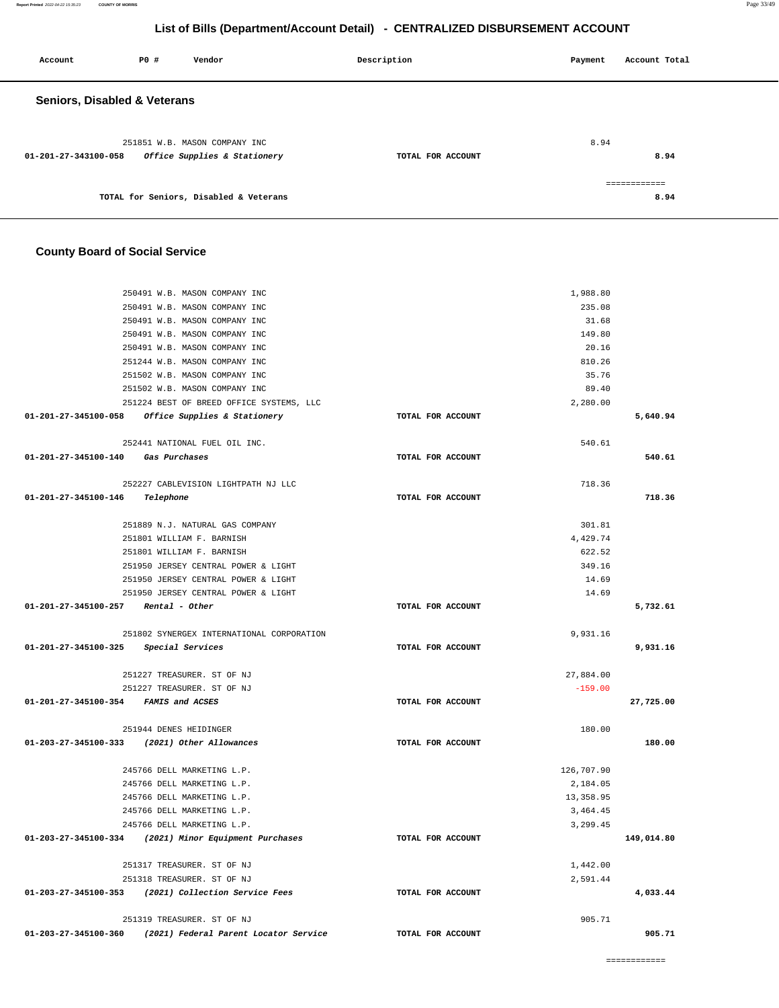| Account                                 | <b>PO #</b> | Vendor                                                        | Description       | Payment | Account Total        |
|-----------------------------------------|-------------|---------------------------------------------------------------|-------------------|---------|----------------------|
| <b>Seniors, Disabled &amp; Veterans</b> |             |                                                               |                   |         |                      |
| 01-201-27-343100-058                    |             | 251851 W.B. MASON COMPANY INC<br>Office Supplies & Stationery | TOTAL FOR ACCOUNT | 8.94    | 8.94                 |
|                                         |             | TOTAL for Seniors, Disabled & Veterans                        |                   |         | ============<br>8.94 |

# **County Board of Social Service**

|                                                       | 250491 W.B. MASON COMPANY INC                                |                   | 1,988.80           |            |
|-------------------------------------------------------|--------------------------------------------------------------|-------------------|--------------------|------------|
|                                                       | 250491 W.B. MASON COMPANY INC                                |                   | 235.08             |            |
|                                                       | 250491 W.B. MASON COMPANY INC                                |                   | 31.68              |            |
|                                                       | 250491 W.B. MASON COMPANY INC                                |                   | 149.80             |            |
|                                                       | 250491 W.B. MASON COMPANY INC                                |                   | 20.16              |            |
|                                                       | 251244 W.B. MASON COMPANY INC                                |                   | 810.26             |            |
|                                                       | 251502 W.B. MASON COMPANY INC                                |                   | 35.76              |            |
|                                                       | 251502 W.B. MASON COMPANY INC                                |                   | 89.40              |            |
|                                                       | 251224 BEST OF BREED OFFICE SYSTEMS, LLC                     |                   | 2,280.00           |            |
| 01-201-27-345100-058 Office Supplies & Stationery     |                                                              | TOTAL FOR ACCOUNT |                    | 5,640.94   |
|                                                       |                                                              |                   |                    |            |
|                                                       | 252441 NATIONAL FUEL OIL INC.                                |                   | 540.61             |            |
| 01-201-27-345100-140 Gas Purchases                    |                                                              | TOTAL FOR ACCOUNT |                    | 540.61     |
|                                                       |                                                              |                   |                    |            |
|                                                       | 252227 CABLEVISION LIGHTPATH NJ LLC                          |                   | 718.36             |            |
| 01-201-27-345100-146 Telephone                        |                                                              | TOTAL FOR ACCOUNT |                    | 718.36     |
|                                                       |                                                              |                   |                    |            |
|                                                       | 251889 N.J. NATURAL GAS COMPANY<br>251801 WILLIAM F. BARNISH |                   | 301.81<br>4,429.74 |            |
|                                                       | 251801 WILLIAM F. BARNISH                                    |                   | 622.52             |            |
|                                                       | 251950 JERSEY CENTRAL POWER & LIGHT                          |                   | 349.16             |            |
|                                                       | 251950 JERSEY CENTRAL POWER & LIGHT                          |                   | 14.69              |            |
|                                                       | 251950 JERSEY CENTRAL POWER & LIGHT                          |                   | 14.69              |            |
| $01-201-27-345100-257$ Rental - Other                 |                                                              | TOTAL FOR ACCOUNT |                    | 5,732.61   |
|                                                       |                                                              |                   |                    |            |
|                                                       | 251802 SYNERGEX INTERNATIONAL CORPORATION                    |                   | 9,931.16           |            |
| 01-201-27-345100-325 Special Services                 |                                                              | TOTAL FOR ACCOUNT |                    | 9,931.16   |
|                                                       |                                                              |                   |                    |            |
|                                                       | 251227 TREASURER. ST OF NJ                                   |                   | 27,884.00          |            |
| 251227 TREASURER. ST OF NJ                            |                                                              |                   |                    |            |
|                                                       |                                                              |                   | $-159.00$          |            |
| 01-201-27-345100-354 FAMIS and ACSES                  |                                                              | TOTAL FOR ACCOUNT |                    | 27,725.00  |
|                                                       |                                                              |                   |                    |            |
|                                                       | 251944 DENES HEIDINGER                                       |                   | 180.00             |            |
| 01-203-27-345100-333 (2021) Other Allowances          |                                                              | TOTAL FOR ACCOUNT |                    | 180.00     |
|                                                       |                                                              |                   |                    |            |
|                                                       | 245766 DELL MARKETING L.P.                                   |                   | 126,707.90         |            |
|                                                       | 245766 DELL MARKETING L.P.                                   |                   | 2,184.05           |            |
|                                                       | 245766 DELL MARKETING L.P.                                   |                   | 13,358.95          |            |
|                                                       | 245766 DELL MARKETING L.P.                                   |                   | 3, 464.45          |            |
|                                                       | 245766 DELL MARKETING L.P.                                   |                   | 3,299.45           |            |
| 01-203-27-345100-334 (2021) Minor Equipment Purchases |                                                              | TOTAL FOR ACCOUNT |                    | 149,014.80 |
|                                                       |                                                              |                   |                    |            |
|                                                       | 251317 TREASURER. ST OF NJ                                   |                   | 1,442.00           |            |
| 01-203-27-345100-353 (2021) Collection Service Fees   | 251318 TREASURER. ST OF NJ                                   | TOTAL FOR ACCOUNT | 2,591.44           | 4,033.44   |
|                                                       |                                                              |                   |                    |            |
|                                                       | 251319 TREASURER. ST OF NJ                                   |                   | 905.71             |            |
| 01-203-27-345100-360                                  | (2021) Federal Parent Locator Service                        | TOTAL FOR ACCOUNT |                    | 905.71     |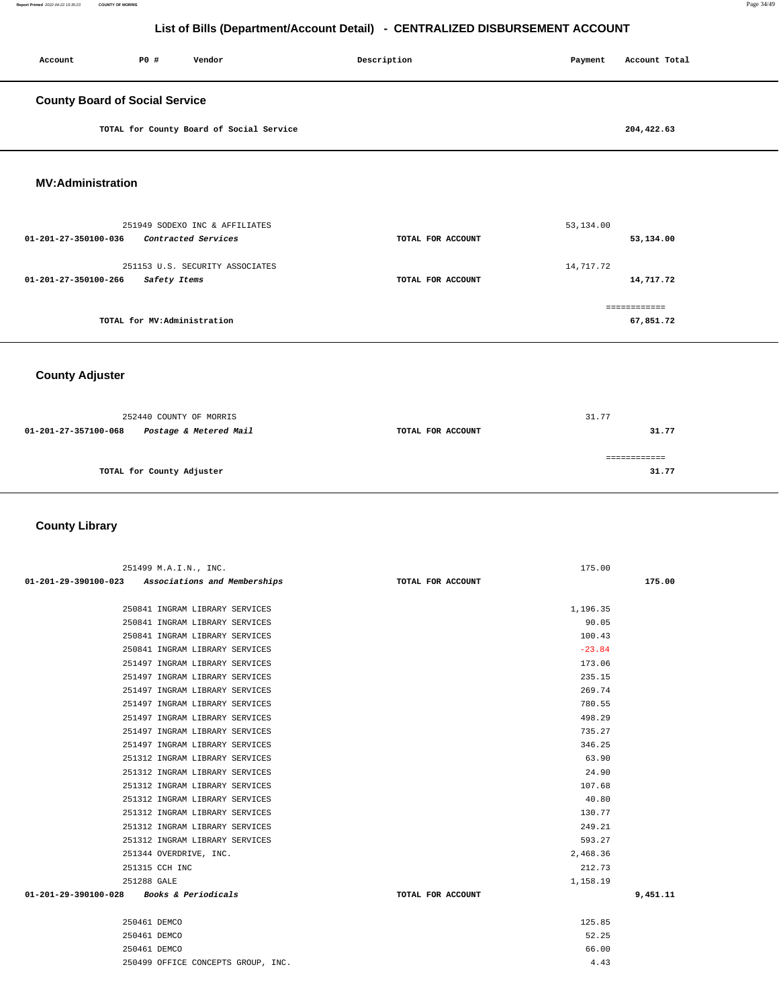| Account                               | P0 #                         | Vendor                                   | Description       | Payment   | Account Total |
|---------------------------------------|------------------------------|------------------------------------------|-------------------|-----------|---------------|
| <b>County Board of Social Service</b> |                              |                                          |                   |           |               |
|                                       |                              | TOTAL for County Board of Social Service |                   |           | 204,422.63    |
| <b>MV:Administration</b>              |                              |                                          |                   |           |               |
| 01-201-27-350100-036                  |                              | 251949 SODEXO INC & AFFILIATES           |                   | 53,134.00 |               |
|                                       |                              | Contracted Services                      | TOTAL FOR ACCOUNT |           | 53,134.00     |
|                                       |                              | 251153 U.S. SECURITY ASSOCIATES          |                   | 14,717.72 |               |
| 01-201-27-350100-266                  | Safety Items                 |                                          | TOTAL FOR ACCOUNT |           | 14,717.72     |
|                                       |                              |                                          |                   |           | ============  |
|                                       | TOTAL for MV: Administration |                                          |                   |           | 67,851.72     |

## **County Adjuster**

| 252440 COUNTY OF MORRIS                        |                   | 31.77 |
|------------------------------------------------|-------------------|-------|
| Postage & Metered Mail<br>01-201-27-357100-068 | TOTAL FOR ACCOUNT | 31.77 |
|                                                |                   |       |
| TOTAL for County Adjuster                      |                   | 31.77 |
|                                                |                   |       |

## **County Library**

| 251499 M.A.I.N., INC.                             |                   | 175.00   |          |
|---------------------------------------------------|-------------------|----------|----------|
| 01-201-29-390100-023 Associations and Memberships | TOTAL FOR ACCOUNT |          | 175.00   |
|                                                   |                   |          |          |
| 250841 INGRAM LIBRARY SERVICES                    |                   | 1,196.35 |          |
| 250841 INGRAM LIBRARY SERVICES                    |                   | 90.05    |          |
| 250841 INGRAM LIBRARY SERVICES                    |                   | 100.43   |          |
| 250841 INGRAM LIBRARY SERVICES                    |                   | $-23.84$ |          |
| 251497 INGRAM LIBRARY SERVICES                    |                   | 173.06   |          |
| 251497 INGRAM LIBRARY SERVICES                    |                   | 235.15   |          |
| 251497 INGRAM LIBRARY SERVICES                    |                   | 269.74   |          |
| 251497 INGRAM LIBRARY SERVICES                    |                   | 780.55   |          |
| 251497 INGRAM LIBRARY SERVICES                    |                   | 498.29   |          |
| 251497 INGRAM LIBRARY SERVICES                    |                   | 735.27   |          |
| 251497 INGRAM LIBRARY SERVICES                    |                   | 346.25   |          |
| 251312 INGRAM LIBRARY SERVICES                    |                   | 63.90    |          |
| 251312 INGRAM LIBRARY SERVICES                    |                   | 24.90    |          |
| 251312 INGRAM LIBRARY SERVICES                    |                   | 107.68   |          |
| 251312 INGRAM LIBRARY SERVICES                    |                   | 40.80    |          |
| 251312 INGRAM LIBRARY SERVICES                    |                   | 130.77   |          |
| 251312 INGRAM LIBRARY SERVICES                    |                   | 249.21   |          |
| 251312 INGRAM LIBRARY SERVICES                    |                   | 593.27   |          |
| 251344 OVERDRIVE, INC.                            |                   | 2,468.36 |          |
| 251315 CCH INC                                    |                   | 212.73   |          |
| 251288 GALE                                       |                   | 1,158.19 |          |
| Books & Periodicals<br>01-201-29-390100-028       | TOTAL FOR ACCOUNT |          | 9,451.11 |
|                                                   |                   |          |          |
| 250461 DEMCO                                      |                   | 125.85   |          |
| 250461 DEMCO                                      |                   | 52.25    |          |
| 250461 DEMCO                                      |                   | 66.00    |          |
| 250499 OFFICE CONCEPTS GROUP, INC.                |                   | 4.43     |          |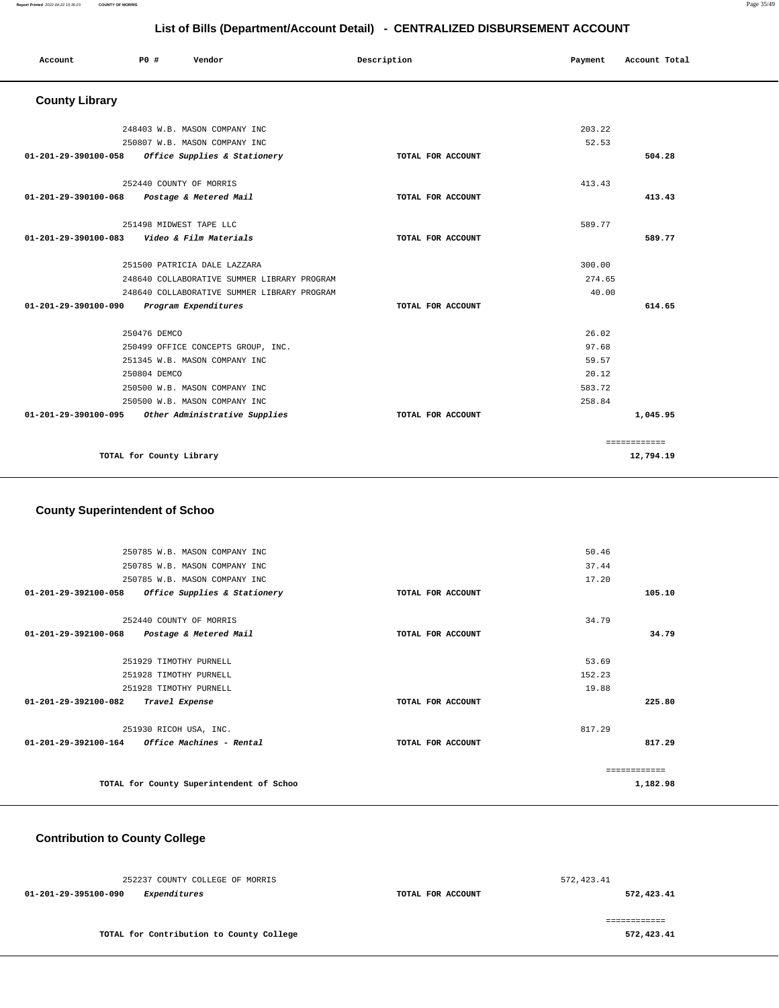|                                                |                          |                                                   | ------            |         |               |  |
|------------------------------------------------|--------------------------|---------------------------------------------------|-------------------|---------|---------------|--|
| Account                                        | P0 #                     | Vendor                                            | Description       | Payment | Account Total |  |
| <b>County Library</b>                          |                          |                                                   |                   |         |               |  |
|                                                |                          | 248403 W.B. MASON COMPANY INC                     |                   | 203.22  |               |  |
|                                                |                          | 250807 W.B. MASON COMPANY INC                     |                   | 52.53   |               |  |
|                                                |                          | 01-201-29-390100-058 Office Supplies & Stationery | TOTAL FOR ACCOUNT |         | 504.28        |  |
|                                                |                          | 252440 COUNTY OF MORRIS                           |                   | 413.43  |               |  |
| 01-201-29-390100-068 Postage & Metered Mail    |                          |                                                   | TOTAL FOR ACCOUNT |         | 413.43        |  |
|                                                |                          | 251498 MIDWEST TAPE LLC                           |                   | 589.77  |               |  |
| 01-201-29-390100-083    Video & Film Materials |                          |                                                   | TOTAL FOR ACCOUNT |         | 589.77        |  |
|                                                |                          | 251500 PATRICIA DALE LAZZARA                      |                   | 300.00  |               |  |
|                                                |                          | 248640 COLLABORATIVE SUMMER LIBRARY PROGRAM       |                   | 274.65  |               |  |
|                                                |                          | 248640 COLLABORATIVE SUMMER LIBRARY PROGRAM       |                   | 40.00   |               |  |
| 01-201-29-390100-090                           |                          | Program Expenditures                              | TOTAL FOR ACCOUNT |         | 614.65        |  |
|                                                | 250476 DEMCO             |                                                   |                   | 26.02   |               |  |
|                                                |                          | 250499 OFFICE CONCEPTS GROUP, INC.                |                   | 97.68   |               |  |
|                                                |                          | 251345 W.B. MASON COMPANY INC                     |                   | 59.57   |               |  |
|                                                | 250804 DEMCO             |                                                   |                   | 20.12   |               |  |
|                                                |                          | 250500 W.B. MASON COMPANY INC                     |                   | 583.72  |               |  |
|                                                |                          | 250500 W.B. MASON COMPANY INC                     |                   | 258.84  |               |  |
| 01-201-29-390100-095                           |                          | Other Administrative Supplies                     | TOTAL FOR ACCOUNT |         | 1,045.95      |  |
|                                                |                          |                                                   |                   |         | ============  |  |
|                                                | TOTAL for County Library |                                                   |                   |         | 12,794.19     |  |

# **County Superintendent of Schoo**

| 250785 W.B. MASON COMPANY INC                                  |                   | 50.46         |          |
|----------------------------------------------------------------|-------------------|---------------|----------|
| 250785 W.B. MASON COMPANY INC                                  |                   | 37.44         |          |
| 250785 W.B. MASON COMPANY INC                                  |                   | 17.20         |          |
| $01 - 201 - 29 - 392100 - 058$<br>Office Supplies & Stationery | TOTAL FOR ACCOUNT |               | 105.10   |
| 252440 COUNTY OF MORRIS                                        |                   | 34.79         |          |
| 01-201-29-392100-068<br>Postage & Metered Mail                 | TOTAL FOR ACCOUNT |               | 34.79    |
|                                                                |                   |               |          |
| 251929 TIMOTHY PURNELL                                         |                   | 53.69         |          |
| 251928 TIMOTHY PURNELL                                         |                   | 152.23        |          |
| 251928 TIMOTHY PURNELL                                         |                   | 19.88         |          |
| $01 - 201 - 29 - 392100 - 082$<br>Travel Expense               | TOTAL FOR ACCOUNT |               | 225.80   |
| 251930 RICOH USA, INC.                                         |                   | 817.29        |          |
| $01-201-29-392100-164$ Office Machines - Rental                | TOTAL FOR ACCOUNT |               | 817.29   |
|                                                                |                   | ------------- |          |
| TOTAL for County Superintendent of Schoo                       |                   |               | 1,182.98 |
|                                                                |                   |               |          |

# **Contribution to County College**

| 252237 COUNTY COLLEGE OF MORRIS          | 572, 423.41       |            |
|------------------------------------------|-------------------|------------|
| 01-201-29-395100-090<br>Expenditures     | TOTAL FOR ACCOUNT | 572,423.41 |
|                                          |                   |            |
|                                          |                   |            |
| TOTAL for Contribution to County College |                   | 572,423.41 |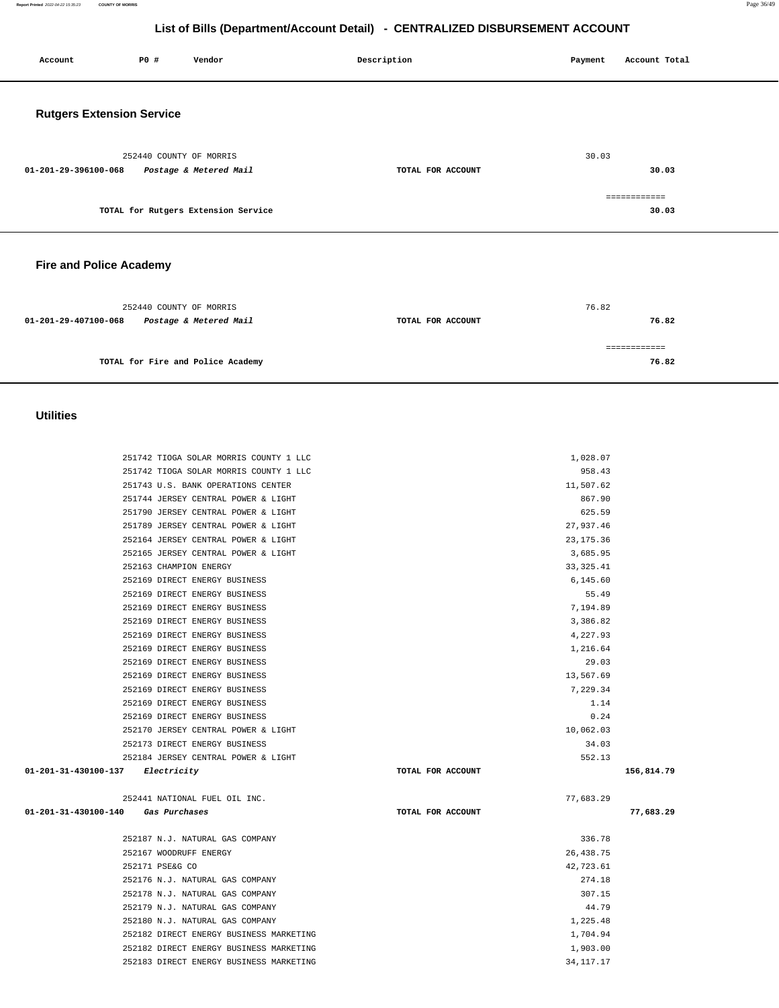**Report Printed** 2022-04-22 15:35:23 **COUNTY OF MORRIS** Page 36/49

**76.82**

# **List of Bills (Department/Account Detail) - CENTRALIZED DISBURSEMENT ACCOUNT**

| Account                          | PO#                     | Vendor                              | Description       | Payment | Account Total         |
|----------------------------------|-------------------------|-------------------------------------|-------------------|---------|-----------------------|
| <b>Rutgers Extension Service</b> |                         |                                     |                   |         |                       |
| 01-201-29-396100-068             | 252440 COUNTY OF MORRIS | Postage & Metered Mail              | TOTAL FOR ACCOUNT | 30.03   | 30.03                 |
|                                  |                         | TOTAL for Rutgers Extension Service |                   |         | ============<br>30.03 |
| <b>Fire and Police Academy</b>   |                         |                                     |                   |         |                       |
| 01-201-29-407100-068             | 252440 COUNTY OF MORRIS | Postage & Metered Mail              | TOTAL FOR ACCOUNT | 76.82   | 76.82<br>============ |

**TOTAL for Fire and Police Academy** 

## **Utilities**

| 251742 TIOGA SOLAR MORRIS COUNTY 1 LLC     |                   | 1,028.07    |            |
|--------------------------------------------|-------------------|-------------|------------|
| 251742 TIOGA SOLAR MORRIS COUNTY 1 LLC     |                   | 958.43      |            |
| 251743 U.S. BANK OPERATIONS CENTER         |                   | 11,507.62   |            |
| 251744 JERSEY CENTRAL POWER & LIGHT        |                   | 867.90      |            |
| 251790 JERSEY CENTRAL POWER & LIGHT        |                   | 625.59      |            |
| 251789 JERSEY CENTRAL POWER & LIGHT        |                   | 27,937.46   |            |
| 252164 JERSEY CENTRAL POWER & LIGHT        |                   | 23, 175.36  |            |
| 252165 JERSEY CENTRAL POWER & LIGHT        |                   | 3,685.95    |            |
| 252163 CHAMPION ENERGY                     |                   | 33, 325.41  |            |
| 252169 DIRECT ENERGY BUSINESS              |                   | 6,145.60    |            |
| 252169 DIRECT ENERGY BUSINESS              |                   | 55.49       |            |
| 252169 DIRECT ENERGY BUSINESS              |                   | 7,194.89    |            |
| 252169 DIRECT ENERGY BUSINESS              |                   | 3,386.82    |            |
| 252169 DIRECT ENERGY BUSINESS              |                   | 4,227.93    |            |
| 252169 DIRECT ENERGY BUSINESS              |                   | 1,216.64    |            |
| 252169 DIRECT ENERGY BUSINESS              |                   | 29.03       |            |
| 252169 DIRECT ENERGY BUSINESS              |                   | 13,567.69   |            |
| 252169 DIRECT ENERGY BUSINESS              |                   | 7,229.34    |            |
| 252169 DIRECT ENERGY BUSINESS              |                   | 1.14        |            |
| 252169 DIRECT ENERGY BUSINESS              |                   | 0.24        |            |
| 252170 JERSEY CENTRAL POWER & LIGHT        |                   | 10,062.03   |            |
| 252173 DIRECT ENERGY BUSINESS              |                   | 34.03       |            |
| 252184 JERSEY CENTRAL POWER & LIGHT        |                   | 552.13      |            |
| 01-201-31-430100-137<br><i>Electricity</i> | TOTAL FOR ACCOUNT |             | 156,814.79 |
| 252441 NATIONAL FUEL OIL INC.              |                   | 77,683.29   |            |
| 01-201-31-430100-140<br>Gas Purchases      | TOTAL FOR ACCOUNT |             | 77,683.29  |
| 252187 N.J. NATURAL GAS COMPANY            |                   | 336.78      |            |
| 252167 WOODRUFF ENERGY                     |                   | 26, 438.75  |            |
| 252171 PSE&G CO                            |                   | 42,723.61   |            |
| 252176 N.J. NATURAL GAS COMPANY            |                   | 274.18      |            |
| 252178 N.J. NATURAL GAS COMPANY            |                   | 307.15      |            |
| 252179 N.J. NATURAL GAS COMPANY            |                   | 44.79       |            |
| 252180 N.J. NATURAL GAS COMPANY            |                   | 1,225.48    |            |
| 252182 DIRECT ENERGY BUSINESS MARKETING    |                   | 1,704.94    |            |
| 252182 DIRECT ENERGY BUSINESS MARKETING    |                   | 1,903.00    |            |
| 252183 DIRECT ENERGY BUSINESS MARKETING    |                   | 34, 117. 17 |            |
|                                            |                   |             |            |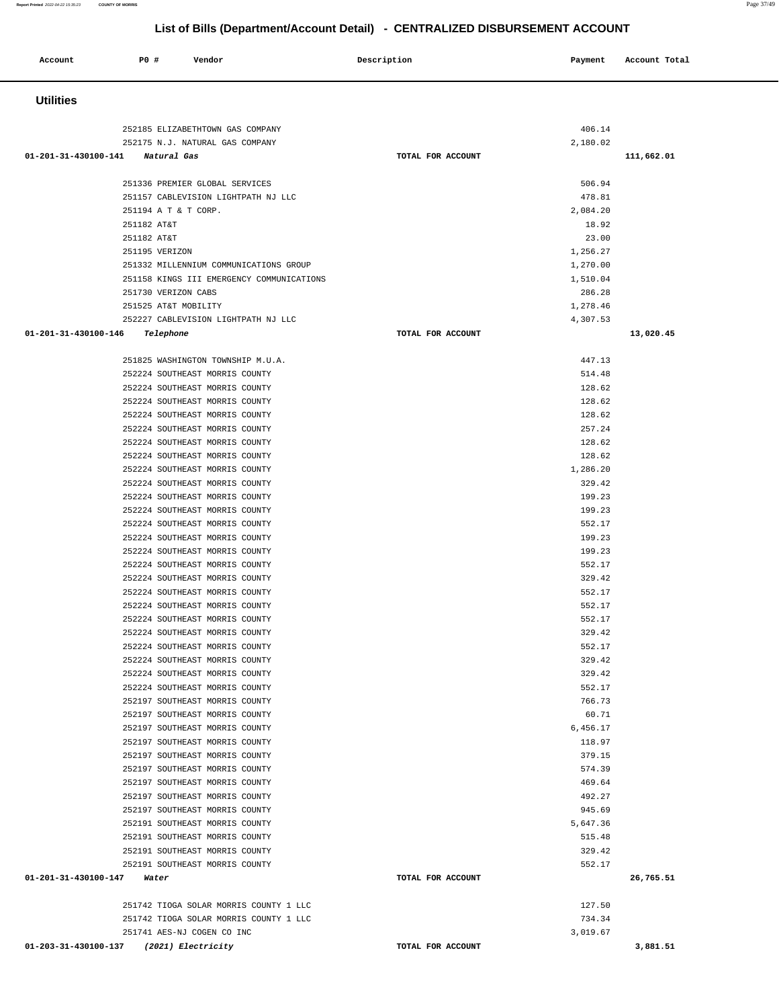### 252185 ELIZABETHTOWN GAS COMPANY 406.14 252175 N.J. NATURAL GAS COMPANY 2,180.02  **01-201-31-430100-141 Natural Gas TOTAL FOR ACCOUNT 111,662.01** 251336 PREMIER GLOBAL SERVICES 506.94 251157 CABLEVISION LIGHTPATH NJ LLC 478.81 251194 A T & T CORP. 2,084.20 251182 AT&T 18.92 251182 AT&T 23.00 251195 VERIZON 1,256.27 251332 MILLENNIUM COMMUNICATIONS GROUP 1,270.00 251158 KINGS III EMERGENCY COMMUNICATIONS 1,510.04 251730 VERIZON CABS 286.28 251525 AT&T MOBILITY 1,278.46 252227 CABLEVISION LIGHTPATH NJ LLC 4,307.53  **01-201-31-430100-146 Telephone TOTAL FOR ACCOUNT 13,020.45** 251825 WASHINGTON TOWNSHIP M.U.A. 447.13 252224 SOUTHEAST MORRIS COUNTY 514.48 252224 SOUTHEAST MORRIS COUNTY 128.62 252224 SOUTHEAST MORRIS COUNTY 128.62 252224 SOUTHEAST MORRIS COUNTY 128.62 252224 SOUTHEAST MORRIS COUNTY 257.24 252224 SOUTHEAST MORRIS COUNTY 128.62 252224 SOUTHEAST MORRIS COUNTY 128.62 252224 SOUTHEAST MORRIS COUNTY 1,286.20 252224 SOUTHEAST MORRIS COUNTY 329.42 252224 SOUTHEAST MORRIS COUNTY 199.23 252224 SOUTHEAST MORRIS COUNTY 199.23 252224 SOUTHEAST MORRIS COUNTY 552.17 252224 SOUTHEAST MORRIS COUNTY 199.23 252224 SOUTHEAST MORRIS COUNTY 199.23 252224 SOUTHEAST MORRIS COUNTY 552.17 252224 SOUTHEAST MORRIS COUNTY 329.42 252224 SOUTHEAST MORRIS COUNTY 552.17 252224 SOUTHEAST MORRIS COUNTY 552.17 252224 SOUTHEAST MORRIS COUNTY 552.17 252224 SOUTHEAST MORRIS COUNTY 329.42 252224 SOUTHEAST MORRIS COUNTY 552.17 252224 SOUTHEAST MORRIS COUNTY 329.42 252224 SOUTHEAST MORRIS COUNTY 329.42 252224 SOUTHEAST MORRIS COUNTY 552.17 252197 SOUTHEAST MORRIS COUNTY 766.73 252197 SOUTHEAST MORRIS COUNTY 60.71 252197 SOUTHEAST MORRIS COUNTY 6,456.17 252197 SOUTHEAST MORRIS COUNTY 118.97 252197 SOUTHEAST MORRIS COUNTY 379.15 252197 SOUTHEAST MORRIS COUNTY 574.39 252197 SOUTHEAST MORRIS COUNTY 469.64 252197 SOUTHEAST MORRIS COUNTY 492.27 252197 SOUTHEAST MORRIS COUNTY 945.69 252191 SOUTHEAST MORRIS COUNTY 5,647.36 252191 SOUTHEAST MORRIS COUNTY 515.48 252191 SOUTHEAST MORRIS COUNTY 329.42 252191 SOUTHEAST MORRIS COUNTY 552.17  **01-201-31-430100-147 Water TOTAL FOR ACCOUNT 26,765.51** 251742 TIOGA SOLAR MORRIS COUNTY 1 LLC 127.50 251742 TIOGA SOLAR MORRIS COUNTY 1 LLC 734.34 251741 AES-NJ COGEN CO INC 3,019.67  **01-203-31-430100-137 (2021) Electricity TOTAL FOR ACCOUNT 3,881.51**

**List of Bills (Department/Account Detail) - CENTRALIZED DISBURSEMENT ACCOUNT**

 **Account P0 # Vendor Description Payment Account Total**

 **Utilities**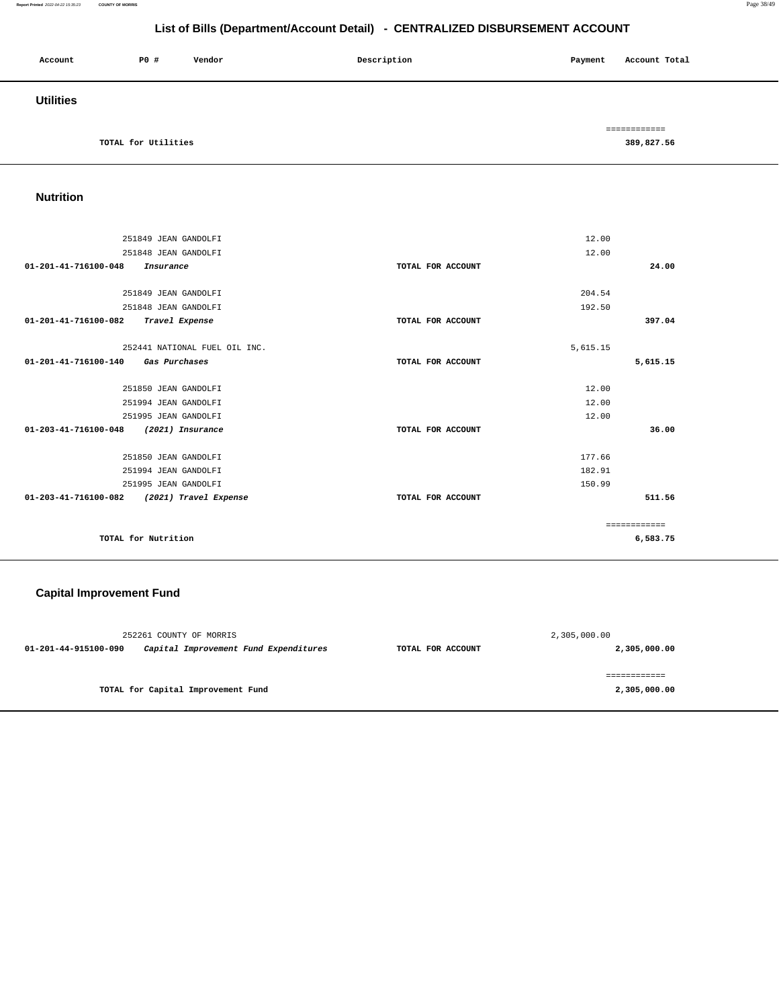#### **Report Printed** 2022-04-22 15:35:23 **COUNTY OF MORRIS** Page 38/49

# **List of Bills (Department/Account Detail) - CENTRALIZED DISBURSEMENT ACCOUNT**

| Account          | P0 #                | Vendor | Description | Payment | Account Total |
|------------------|---------------------|--------|-------------|---------|---------------|
| <b>Utilities</b> |                     |        |             |         |               |
|                  |                     |        |             |         | ============  |
|                  | TOTAL for Utilities |        |             |         | 389,827.56    |

# **Nutrition**

| 251849 JEAN GANDOLFI                                    |                   | 12.00        |
|---------------------------------------------------------|-------------------|--------------|
| 251848 JEAN GANDOLFI                                    |                   | 12.00        |
| 01-201-41-716100-048                                    | TOTAL FOR ACCOUNT | 24.00        |
| Insurance                                               |                   |              |
|                                                         |                   |              |
| 251849 JEAN GANDOLFI                                    |                   | 204.54       |
| 251848 JEAN GANDOLFI                                    |                   | 192.50       |
| 01-201-41-716100-082<br>Travel Expense                  | TOTAL FOR ACCOUNT | 397.04       |
|                                                         |                   |              |
| 252441 NATIONAL FUEL OIL INC.                           |                   | 5,615.15     |
| 01-201-41-716100-140<br>Gas Purchases                   | TOTAL FOR ACCOUNT | 5,615.15     |
|                                                         |                   |              |
| 251850 JEAN GANDOLFI                                    |                   | 12.00        |
| 251994 JEAN GANDOLFI                                    |                   | 12.00        |
| 251995 JEAN GANDOLFI                                    |                   | 12.00        |
| $01 - 203 - 41 - 716100 - 048$<br>(2021) Insurance      | TOTAL FOR ACCOUNT | 36.00        |
|                                                         |                   |              |
| 251850 JEAN GANDOLFI                                    |                   | 177.66       |
| 251994 JEAN GANDOLFI                                    |                   | 182.91       |
|                                                         |                   |              |
| 251995 JEAN GANDOLFI                                    |                   | 150.99       |
| $01 - 203 - 41 - 716100 - 082$<br>(2021) Travel Expense | TOTAL FOR ACCOUNT | 511.56       |
|                                                         |                   |              |
|                                                         |                   | ============ |
| TOTAL for Nutrition                                     |                   | 6,583.75     |
|                                                         |                   |              |

# **Capital Improvement Fund**

|                      | 252261 COUNTY OF MORRIS               |                   | 2,305,000.00 |
|----------------------|---------------------------------------|-------------------|--------------|
| 01-201-44-915100-090 | Capital Improvement Fund Expenditures | TOTAL FOR ACCOUNT | 2,305,000.00 |
|                      | TOTAL for Capital Improvement Fund    |                   | 2,305,000.00 |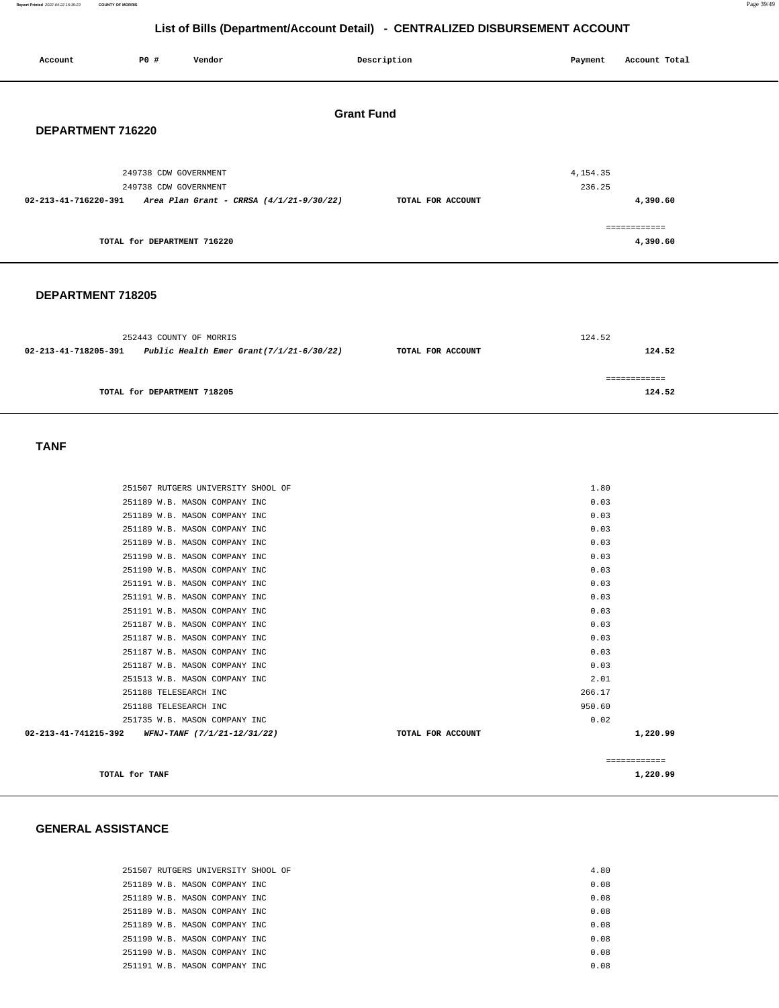**Report Printed** 2022-04-22 15:35:23 **COUNTY OF MORRIS** Page 39/49

# **List of Bills (Department/Account Detail) - CENTRALIZED DISBURSEMENT ACCOUNT**

| P0 #<br>Vendor<br>Account                                        | Description       | Account Total<br>Payment |
|------------------------------------------------------------------|-------------------|--------------------------|
|                                                                  | <b>Grant Fund</b> |                          |
| DEPARTMENT 716220                                                |                   |                          |
| 249738 CDW GOVERNMENT                                            |                   | 4,154.35                 |
| 249738 CDW GOVERNMENT                                            |                   | 236.25                   |
| 02-213-41-716220-391<br>Area Plan Grant - CRRSA (4/1/21-9/30/22) | TOTAL FOR ACCOUNT | 4,390.60                 |
|                                                                  |                   |                          |
|                                                                  |                   | ============             |
| TOTAL for DEPARTMENT 716220                                      |                   | 4,390.60                 |
|                                                                  |                   |                          |

### **DEPARTMENT 718205**

|                                                                                          | 252443 COUNTY OF MORRIS     | 124.52 |        |
|------------------------------------------------------------------------------------------|-----------------------------|--------|--------|
| Public Health Emer Grant $(7/1/21-6/30/22)$<br>02-213-41-718205-391<br>TOTAL FOR ACCOUNT |                             |        | 124.52 |
|                                                                                          |                             |        |        |
|                                                                                          |                             |        |        |
|                                                                                          | TOTAL for DEPARTMENT 718205 |        | 124.52 |
|                                                                                          |                             |        |        |

#### **TANF**

| 251507 RUTGERS UNIVERSITY SHOOL OF                         |                   | 1.80         |
|------------------------------------------------------------|-------------------|--------------|
| 251189 W.B. MASON COMPANY INC                              |                   | 0.03         |
| 251189 W.B. MASON COMPANY INC                              |                   | 0.03         |
| 251189 W.B. MASON COMPANY INC                              |                   | 0.03         |
| 251189 W.B. MASON COMPANY INC                              |                   | 0.03         |
| 251190 W.B. MASON COMPANY INC                              |                   | 0.03         |
| 251190 W.B. MASON COMPANY INC                              |                   | 0.03         |
| 251191 W.B. MASON COMPANY INC                              |                   | 0.03         |
| 251191 W.B. MASON COMPANY INC                              |                   | 0.03         |
| 251191 W.B. MASON COMPANY INC                              |                   | 0.03         |
| 251187 W.B. MASON COMPANY INC                              |                   | 0.03         |
| 251187 W.B. MASON COMPANY INC                              |                   | 0.03         |
| 251187 W.B. MASON COMPANY INC                              |                   | 0.03         |
| 251187 W.B. MASON COMPANY INC                              |                   | 0.03         |
| 251513 W.B. MASON COMPANY INC                              |                   | 2.01         |
| 251188 TELESEARCH INC                                      |                   | 266.17       |
| 251188 TELESEARCH INC                                      |                   | 950.60       |
| 251735 W.B. MASON COMPANY INC                              |                   | 0.02         |
| $02 - 213 - 41 - 741215 - 392$ WFNJ-TANF (7/1/21-12/31/22) | TOTAL FOR ACCOUNT | 1,220.99     |
|                                                            |                   | ============ |
| TOTAL for TANF                                             |                   | 1,220.99     |

#### **GENERAL ASSISTANCE**

| 251507 RUTGERS UNIVERSITY SHOOL OF |  | 4.80 |  |
|------------------------------------|--|------|--|
| 251189 W.B. MASON COMPANY INC      |  | 0.08 |  |
| 251189 W.B. MASON COMPANY INC.     |  | 0.08 |  |
| 251189 W.B. MASON COMPANY INC      |  | 0.08 |  |
| 251189 W.B. MASON COMPANY INC.     |  | 0.08 |  |
| 251190 W.B. MASON COMPANY INC      |  | 0.08 |  |
| 251190 W.B. MASON COMPANY INC.     |  | 0.08 |  |
| 251191 W.B. MASON COMPANY INC.     |  | 0.08 |  |
|                                    |  |      |  |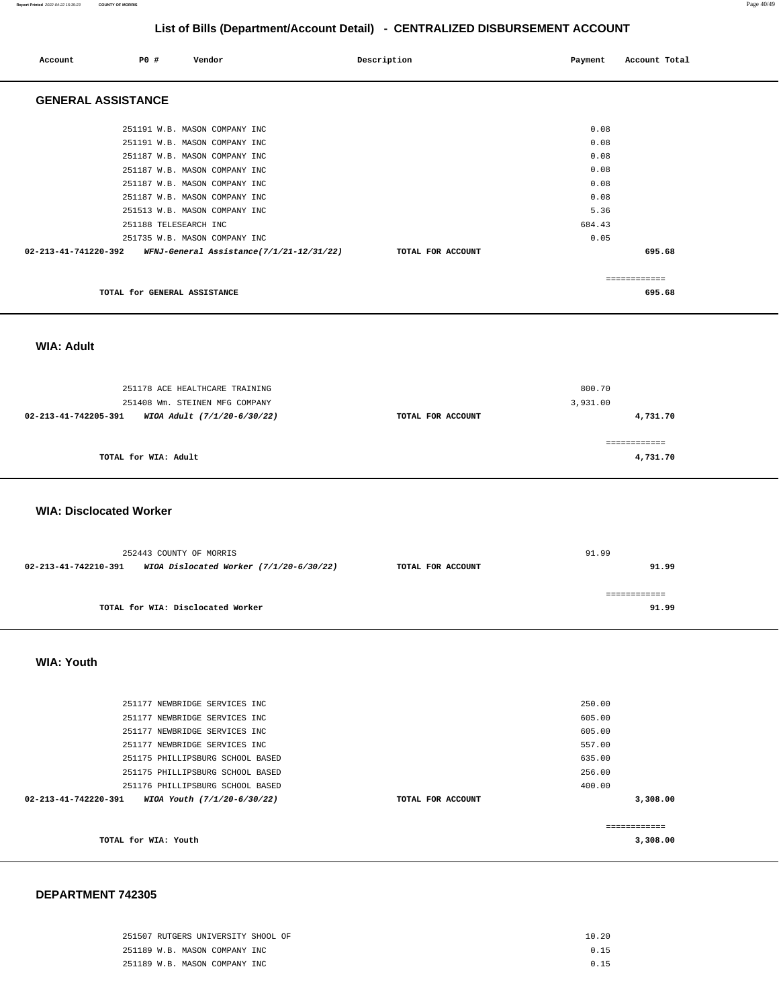#### **Report Printed** 2022-04-22 15:35:23 **COUNTY OF MORRIS** Page 40/49

# **List of Bills (Department/Account Detail) - CENTRALIZED DISBURSEMENT ACCOUNT**

| Account                   | PO#                          | Vendor                                   | Description       | Payment | Account Total |
|---------------------------|------------------------------|------------------------------------------|-------------------|---------|---------------|
| <b>GENERAL ASSISTANCE</b> |                              |                                          |                   |         |               |
|                           |                              | 251191 W.B. MASON COMPANY INC            |                   | 0.08    |               |
|                           |                              | 251191 W.B. MASON COMPANY INC            |                   | 0.08    |               |
|                           |                              | 251187 W.B. MASON COMPANY INC            |                   | 0.08    |               |
|                           |                              | 251187 W.B. MASON COMPANY INC            |                   | 0.08    |               |
|                           |                              | 251187 W.B. MASON COMPANY INC            |                   | 0.08    |               |
|                           |                              | 251187 W.B. MASON COMPANY INC            |                   | 0.08    |               |
|                           |                              | 251513 W.B. MASON COMPANY INC            |                   | 5.36    |               |
|                           | 251188 TELESEARCH INC        |                                          |                   | 684.43  |               |
|                           |                              | 251735 W.B. MASON COMPANY INC            |                   | 0.05    |               |
| 02-213-41-741220-392      |                              | WFNJ-General Assistance(7/1/21-12/31/22) | TOTAL FOR ACCOUNT |         | 695.68        |
|                           |                              |                                          |                   |         | ============  |
|                           | TOTAL for GENERAL ASSISTANCE |                                          |                   |         | 695.68        |

 **WIA: Adult** 

| 251178 ACE HEALTHCARE TRAINING<br>251408 Wm. STEINEN MFG COMPANY |                   | 800.70<br>3,931.00       |
|------------------------------------------------------------------|-------------------|--------------------------|
| 02-213-41-742205-391<br>WIOA Adult (7/1/20-6/30/22)              | TOTAL FOR ACCOUNT | 4,731.70                 |
| TOTAL for WIA: Adult                                             |                   | ============<br>4,731.70 |

 **WIA: Disclocated Worker** 

|                                                                                        | 252443 COUNTY OF MORRIS           |  | 91.99 |
|----------------------------------------------------------------------------------------|-----------------------------------|--|-------|
| WIOA Dislocated Worker $(7/1/20-6/30/22)$<br>02-213-41-742210-391<br>TOTAL FOR ACCOUNT |                                   |  | 91.99 |
|                                                                                        |                                   |  |       |
|                                                                                        |                                   |  |       |
|                                                                                        | TOTAL for WIA: Disclocated Worker |  | 91.99 |

 **WIA: Youth** 

| TOTAL for WIA: Youth           |                                  |                   | ------------<br>3,308.00 |
|--------------------------------|----------------------------------|-------------------|--------------------------|
| $02 - 213 - 41 - 742220 - 391$ | WIOA Youth (7/1/20-6/30/22)      | TOTAL FOR ACCOUNT | 3,308.00                 |
|                                | 251176 PHILLIPSBURG SCHOOL BASED | 400.00            |                          |
|                                | 251175 PHILLIPSBURG SCHOOL BASED | 256.00            |                          |
|                                | 251175 PHILLIPSBURG SCHOOL BASED | 635.00            |                          |
|                                | 251177 NEWBRIDGE SERVICES INC    | 557.00            |                          |
|                                | 251177 NEWBRIDGE SERVICES INC    | 605.00            |                          |
|                                | 251177 NEWBRIDGE SERVICES INC    | 605.00            |                          |
|                                | 251177 NEWBRIDGE SERVICES INC    | 250.00            |                          |
|                                |                                  |                   |                          |

#### **DEPARTMENT 742305**

| 251507 RUTGERS UNIVERSITY SHOOL OF | 10.20 |
|------------------------------------|-------|
| 251189 W.B. MASON COMPANY INC      | 0.15  |
| 251189 W.B. MASON COMPANY INC      | 0.15  |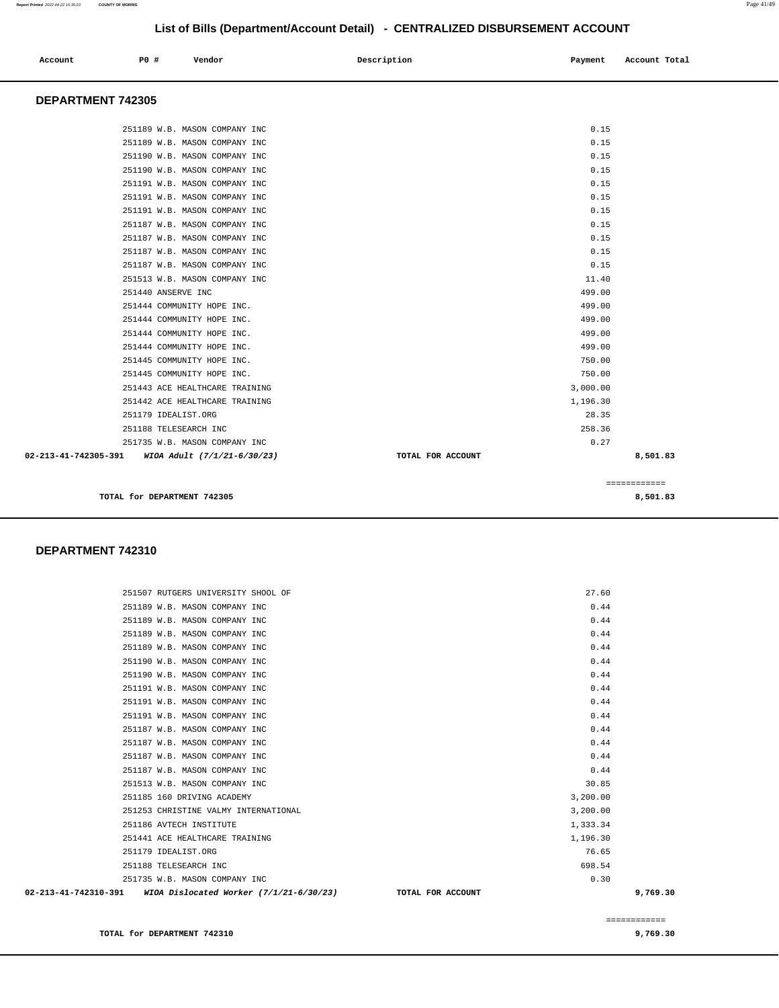| Account | P0 # | Vendor | Description | Payment | Account Total |
|---------|------|--------|-------------|---------|---------------|
|---------|------|--------|-------------|---------|---------------|

#### **DEPARTMENT 742305**

|                   | 8,501.83     |
|-------------------|--------------|
|                   | ============ |
| TOTAL FOR ACCOUNT | 8,501.83     |
|                   | 0.27         |
|                   | 258.36       |
|                   | 28.35        |
|                   | 1,196.30     |
|                   | 3,000.00     |
|                   | 750.00       |
|                   | 750.00       |
|                   | 499.00       |
|                   | 499.00       |
|                   | 499.00       |
|                   | 499.00       |
|                   | 499.00       |
|                   | 11.40        |
|                   | 0.15         |
|                   | 0.15         |
|                   | 0.15         |
|                   | 0.15         |
|                   | 0.15         |
|                   | 0.15         |
|                   | 0.15         |
|                   | 0.15         |
|                   | 0.15         |
|                   | 0.15         |
|                   | 0.15         |
|                   |              |

#### **DEPARTMENT 742310**

| 02-213-41-742310-391 WIOA Dislocated Worker (7/1/21-6/30/23)   | TOTAL FOR ACCOUNT | 9,769.30 |
|----------------------------------------------------------------|-------------------|----------|
| 251735 W.B. MASON COMPANY INC                                  | 0.30              |          |
| 251188 TELESEARCH INC                                          | 698.54            |          |
| 251179 IDEALIST.ORG                                            | 76.65             |          |
| 251441 ACE HEALTHCARE TRAINING                                 | 1,196.30          |          |
| 251186 AVTECH INSTITUTE                                        | 1,333.34          |          |
| 251253 CHRISTINE VALMY INTERNATIONAL                           | 3,200.00          |          |
| 251185 160 DRIVING ACADEMY                                     | 3,200.00          |          |
| 251513 W.B. MASON COMPANY INC                                  | 30.85             |          |
| 251187 W.B. MASON COMPANY INC                                  | 0.44              |          |
| 251187 W.B. MASON COMPANY INC                                  | 0.44              |          |
| 251187 W.B. MASON COMPANY INC                                  | 0.44              |          |
| 251187 W.B. MASON COMPANY INC                                  | 0.44              |          |
| 251191 W.B. MASON COMPANY INC                                  | 0.44              |          |
| 251191 W.B. MASON COMPANY INC                                  | 0.44              |          |
| 251190 W.B. MASON COMPANY INC<br>251191 W.B. MASON COMPANY INC | 0.44<br>0.44      |          |
| 251190 W.B. MASON COMPANY INC                                  | 0.44              |          |
| 251189 W.B. MASON COMPANY INC                                  | 0.44              |          |
| 251189 W.B. MASON COMPANY INC                                  | 0.44              |          |
| 251189 W.B. MASON COMPANY INC                                  | 0.44              |          |
| 251189 W.B. MASON COMPANY INC                                  | 0.44              |          |
| 251507 RUTGERS UNIVERSITY SHOOL OF                             | 27.60             |          |
|                                                                |                   |          |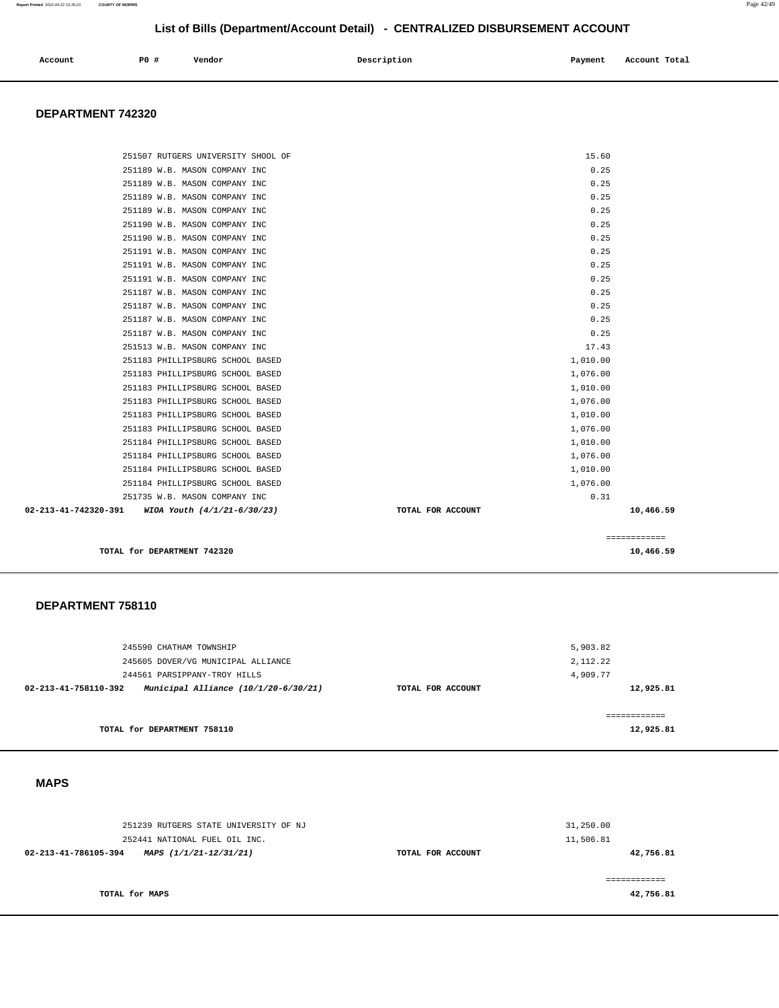| Account<br>. | PO# | Vendor | Description | Payment<br>___ | Account Total<br>. |
|--------------|-----|--------|-------------|----------------|--------------------|
|              |     |        |             |                |                    |

### **DEPARTMENT 742320**

| TOTAL for DEPARTMENT 742320                                          |                      | 10,466.59    |
|----------------------------------------------------------------------|----------------------|--------------|
|                                                                      |                      | ============ |
|                                                                      |                      |              |
| 02-213-41-742320-391 WIOA Youth (4/1/21-6/30/23)                     | TOTAL FOR ACCOUNT    | 10,466.59    |
| 251735 W.B. MASON COMPANY INC                                        | 0.31                 |              |
| 251184 PHILLIPSBURG SCHOOL BASED<br>251184 PHILLIPSBURG SCHOOL BASED | 1,010.00<br>1,076.00 |              |
| 251184 PHILLIPSBURG SCHOOL BASED                                     | 1,076.00             |              |
| 251184 PHILLIPSBURG SCHOOL BASED                                     | 1,010.00             |              |
| 251183 PHILLIPSBURG SCHOOL BASED                                     | 1,076.00             |              |
| 251183 PHILLIPSBURG SCHOOL BASED                                     | 1,010.00             |              |
| 251183 PHILLIPSBURG SCHOOL BASED                                     | 1,076.00             |              |
| 251183 PHILLIPSBURG SCHOOL BASED                                     | 1,010.00             |              |
| 251183 PHILLIPSBURG SCHOOL BASED                                     | 1,076.00             |              |
| 251183 PHILLIPSBURG SCHOOL BASED                                     | 1,010.00             |              |
| 251513 W.B. MASON COMPANY INC                                        | 17.43                |              |
| 251187 W.B. MASON COMPANY INC                                        | 0.25                 |              |
| 251187 W.B. MASON COMPANY INC                                        | 0.25                 |              |
| 251187 W.B. MASON COMPANY INC                                        | 0.25                 |              |
| 251187 W.B. MASON COMPANY INC                                        | 0.25                 |              |
| 251191 W.B. MASON COMPANY INC                                        | 0.25                 |              |
| 251191 W.B. MASON COMPANY INC                                        | 0.25                 |              |
| 251191 W.B. MASON COMPANY INC                                        | 0.25                 |              |
| 251190 W.B. MASON COMPANY INC                                        | 0.25                 |              |
| 251190 W.B. MASON COMPANY INC                                        | 0.25                 |              |
| 251189 W.B. MASON COMPANY INC                                        | 0.25                 |              |
| 251189 W.B. MASON COMPANY INC                                        | 0.25                 |              |
| 251189 W.B. MASON COMPANY INC                                        | 0.25                 |              |
| 251189 W.B. MASON COMPANY INC                                        | 0.25                 |              |
| 251507 RUTGERS UNIVERSITY SHOOL OF                                   | 15.60                |              |

#### **DEPARTMENT 758110**

| 245605 DOVER/VG MUNICIPAL ALLIANCE<br>244561 PARSIPPANY-TROY HILLS |                   | 2,112.22<br>4,909.77 |
|--------------------------------------------------------------------|-------------------|----------------------|
| Municipal Alliance (10/1/20-6/30/21)<br>02-213-41-758110-392       | TOTAL FOR ACCOUNT | 12,925.81            |
|                                                                    |                   |                      |
|                                                                    |                   | ============         |

#### **MAPS**

| 251239 RUTGERS STATE UNIVERSITY OF NJ<br>252441 NATIONAL FUEL OIL INC. |                   | 31,250.00<br>11,506.81 |
|------------------------------------------------------------------------|-------------------|------------------------|
| MAPS (1/1/21-12/31/21)<br>02-213-41-786105-394                         | TOTAL FOR ACCOUNT | 42,756.81              |
| TOTAL for MAPS                                                         |                   | 42,756.81              |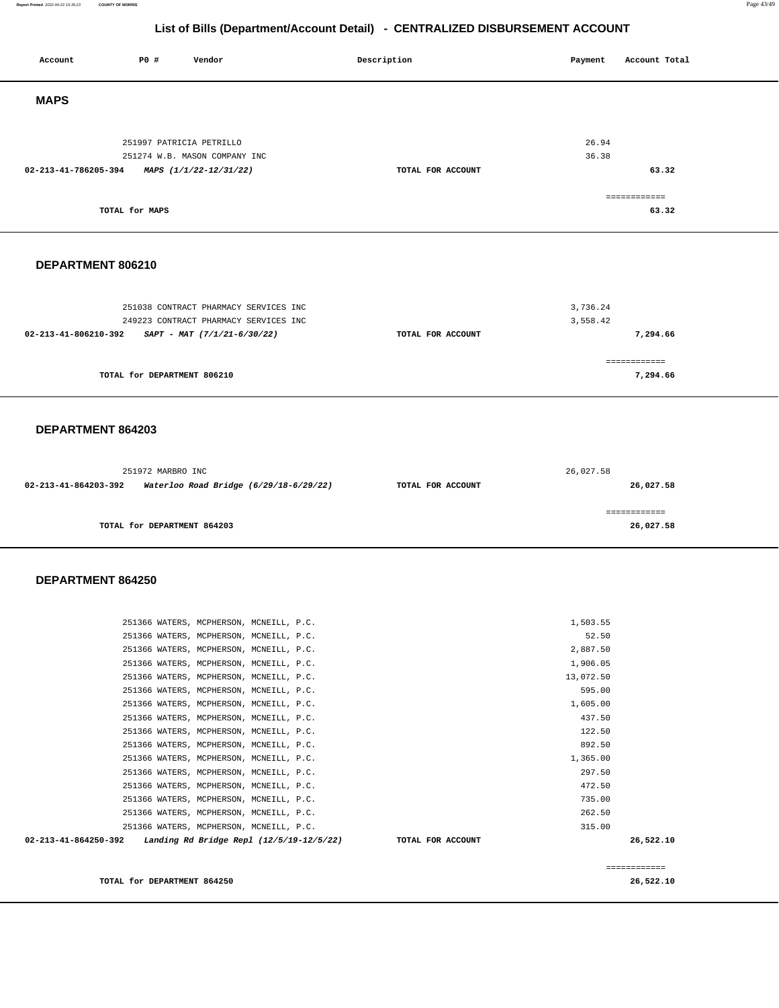**Report Printed** 2022-04-22 15:35:23 **COUNTY OF MORRIS** Page 43/49

# **List of Bills (Department/Account Detail) - CENTRALIZED DISBURSEMENT ACCOUNT**

| P0 #<br>Account<br>Vendor                                                                                                                                                | Description       | Payment<br>Account Total                    |
|--------------------------------------------------------------------------------------------------------------------------------------------------------------------------|-------------------|---------------------------------------------|
| <b>MAPS</b>                                                                                                                                                              |                   |                                             |
| 251997 PATRICIA PETRILLO<br>251274 W.B. MASON COMPANY INC<br>02-213-41-786205-394<br>MAPS (1/1/22-12/31/22)                                                              | TOTAL FOR ACCOUNT | 26.94<br>36.38<br>63.32                     |
| TOTAL for MAPS                                                                                                                                                           |                   | ============<br>63.32                       |
| DEPARTMENT 806210                                                                                                                                                        |                   |                                             |
| 251038 CONTRACT PHARMACY SERVICES INC<br>249223 CONTRACT PHARMACY SERVICES INC<br>02-213-41-806210-392<br>$SAPT - MAT (7/1/21-6/30/22)$                                  | TOTAL FOR ACCOUNT | 3,736.24<br>3,558.42<br>7,294.66            |
| TOTAL for DEPARTMENT 806210                                                                                                                                              |                   | ============<br>7,294.66                    |
| DEPARTMENT 864203                                                                                                                                                        |                   |                                             |
| 251972 MARBRO INC<br>02-213-41-864203-392<br>Waterloo Road Bridge (6/29/18-6/29/22)                                                                                      | TOTAL FOR ACCOUNT | 26,027.58<br>26,027.58                      |
| TOTAL for DEPARTMENT 864203                                                                                                                                              |                   | ============<br>26,027.58                   |
| DEPARTMENT 864250                                                                                                                                                        |                   |                                             |
| 251366 WATERS, MCPHERSON, MCNEILL, P.C.<br>251366 WATERS, MCPHERSON, MCNEILL, P.C.                                                                                       |                   | 1,503.55<br>52.50                           |
| 251366 WATERS, MCPHERSON, MCNEILL, P.C.<br>251366 WATERS, MCPHERSON, MCNEILL, P.C.<br>251366 WATERS, MCPHERSON, MCNEILL, P.C.<br>251366 WATERS, MCPHERSON, MCNEILL, P.C. |                   | 2,887.50<br>1,906.05<br>13,072.50<br>595.00 |
| 251366 WATERS, MCPHERSON, MCNEILL, P.C.<br>251366 WATERS, MCPHERSON, MCNEILL, P.C.<br>251366 WATERS, MCPHERSON, MCNEILL, P.C.                                            |                   | 1,605.00<br>437.50<br>122.50                |
| 251366 WATERS, MCPHERSON, MCNEILL, P.C.<br>251366 WATERS, MCPHERSON, MCNEILL, P.C.<br>251366 WATERS, MCPHERSON, MCNEILL, P.C.<br>251366 WATERS, MCPHERSON, MCNEILL, P.C. |                   | 892.50<br>1,365.00<br>297.50<br>472.50      |
| 251366 WATERS, MCPHERSON, MCNEILL, P.C.<br>251366 WATERS, MCPHERSON, MCNEILL, P.C.<br>251366 WATERS, MCPHERSON, MCNEILL, P.C.                                            |                   | 735.00<br>262.50<br>315.00                  |

 **02-213-41-864250-392 Landing Rd Bridge Repl (12/5/19-12/5/22) TOTAL FOR ACCOUNT 26,522.10**

**TOTAL for DEPARTMENT 864250 26,522.10** 

============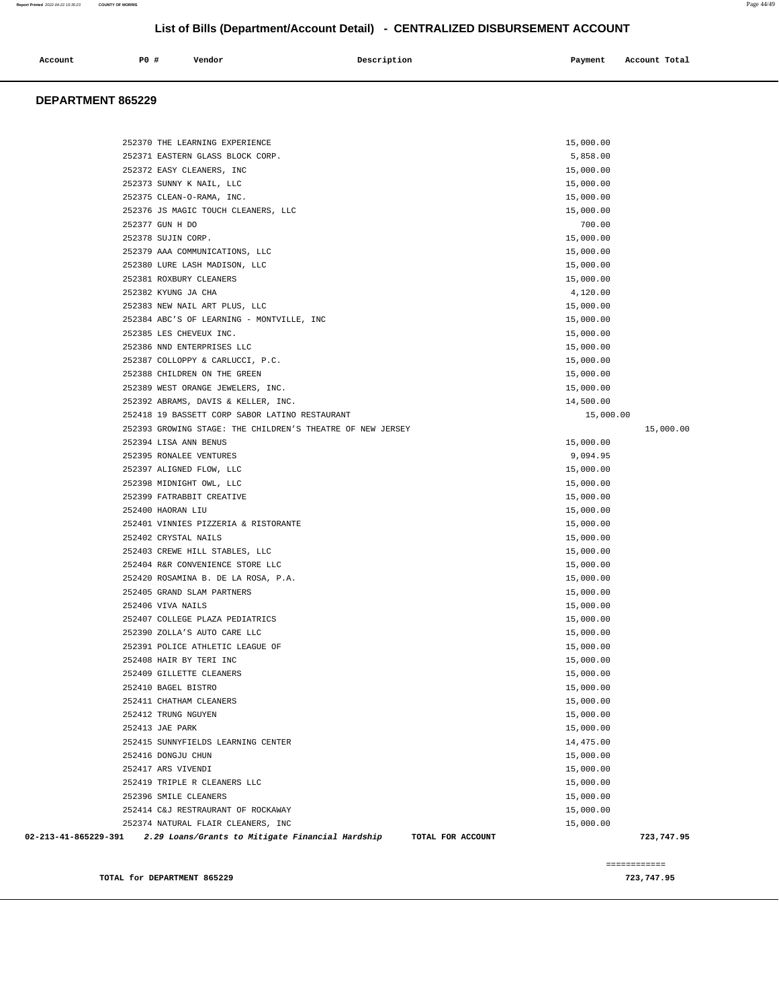| Account<br>. | +<br>P <sub>0</sub> | Vendor | Description | Payment<br>. . | Account Total |
|--------------|---------------------|--------|-------------|----------------|---------------|
|              |                     |        |             |                |               |

#### **DEPARTMENT 865229**

| 252370 THE LEARNING EXPERIENCE                                                                | 15,000.00  |
|-----------------------------------------------------------------------------------------------|------------|
| 252371 EASTERN GLASS BLOCK CORP.                                                              | 5,858.00   |
| 252372 EASY CLEANERS, INC                                                                     | 15,000.00  |
| 252373 SUNNY K NAIL, LLC                                                                      | 15,000.00  |
| 252375 CLEAN-O-RAMA, INC.                                                                     | 15,000.00  |
| 252376 JS MAGIC TOUCH CLEANERS, LLC                                                           | 15,000.00  |
| 252377 GUN H DO                                                                               | 700.00     |
| 252378 SUJIN CORP.                                                                            | 15,000.00  |
| 252379 AAA COMMUNICATIONS, LLC                                                                | 15,000.00  |
| 252380 LURE LASH MADISON, LLC                                                                 | 15,000.00  |
| 252381 ROXBURY CLEANERS                                                                       | 15,000.00  |
| 252382 KYUNG JA CHA                                                                           | 4,120.00   |
| 252383 NEW NAIL ART PLUS, LLC                                                                 | 15,000.00  |
| 252384 ABC'S OF LEARNING - MONTVILLE, INC                                                     | 15,000.00  |
| 252385 LES CHEVEUX INC.                                                                       | 15,000.00  |
| 252386 NND ENTERPRISES LLC                                                                    | 15,000.00  |
| 252387 COLLOPPY & CARLUCCI, P.C.                                                              | 15,000.00  |
| 252388 CHILDREN ON THE GREEN                                                                  | 15,000.00  |
| 252389 WEST ORANGE JEWELERS, INC.                                                             | 15,000.00  |
| 252392 ABRAMS, DAVIS & KELLER, INC.                                                           | 14,500.00  |
| 252418 19 BASSETT CORP SABOR LATINO RESTAURANT                                                | 15,000.00  |
| 252393 GROWING STAGE: THE CHILDREN'S THEATRE OF NEW JERSEY                                    | 15,000.00  |
| 252394 LISA ANN BENUS                                                                         | 15,000.00  |
| 252395 RONALEE VENTURES                                                                       | 9,094.95   |
| 252397 ALIGNED FLOW, LLC                                                                      | 15,000.00  |
| 252398 MIDNIGHT OWL, LLC                                                                      | 15,000.00  |
| 252399 FATRABBIT CREATIVE                                                                     | 15,000.00  |
| 252400 HAORAN LIU                                                                             | 15,000.00  |
| 252401 VINNIES PIZZERIA & RISTORANTE                                                          | 15,000.00  |
| 252402 CRYSTAL NAILS                                                                          | 15,000.00  |
| 252403 CREWE HILL STABLES, LLC                                                                | 15,000.00  |
| 252404 R&R CONVENIENCE STORE LLC                                                              | 15,000.00  |
| 252420 ROSAMINA B. DE LA ROSA, P.A.                                                           | 15,000.00  |
| 252405 GRAND SLAM PARTNERS                                                                    | 15,000.00  |
| 252406 VIVA NAILS                                                                             | 15,000.00  |
| 252407 COLLEGE PLAZA PEDIATRICS                                                               | 15,000.00  |
| 252390 ZOLLA'S AUTO CARE LLC                                                                  | 15,000.00  |
| 252391 POLICE ATHLETIC LEAGUE OF                                                              | 15,000.00  |
| 252408 HAIR BY TERI INC                                                                       | 15,000.00  |
| 252409 GILLETTE CLEANERS                                                                      | 15,000.00  |
| 252410 BAGEL BISTRO                                                                           | 15,000.00  |
| 252411 CHATHAM CLEANERS                                                                       | 15,000.00  |
| 252412 TRUNG NGUYEN                                                                           | 15,000.00  |
| 252413 JAE PARK                                                                               | 15,000.00  |
| 252415 SUNNYFIELDS LEARNING CENTER                                                            | 14,475.00  |
| 252416 DONGJU CHUN                                                                            | 15,000.00  |
| 252417 ARS VIVENDI                                                                            | 15,000.00  |
| 252419 TRIPLE R CLEANERS LLC                                                                  | 15,000.00  |
| 252396 SMILE CLEANERS                                                                         | 15,000.00  |
| 252414 C&J RESTRAURANT OF ROCKAWAY                                                            | 15,000.00  |
| 252374 NATURAL FLAIR CLEANERS, INC                                                            | 15,000.00  |
| 02-213-41-865229-391<br>2.29 Loans/Grants to Mitigate Financial Hardship<br>TOTAL FOR ACCOUNT | 723,747.95 |
|                                                                                               |            |

**TOTAL for DEPARTMENT 865229 723,747.95** 

============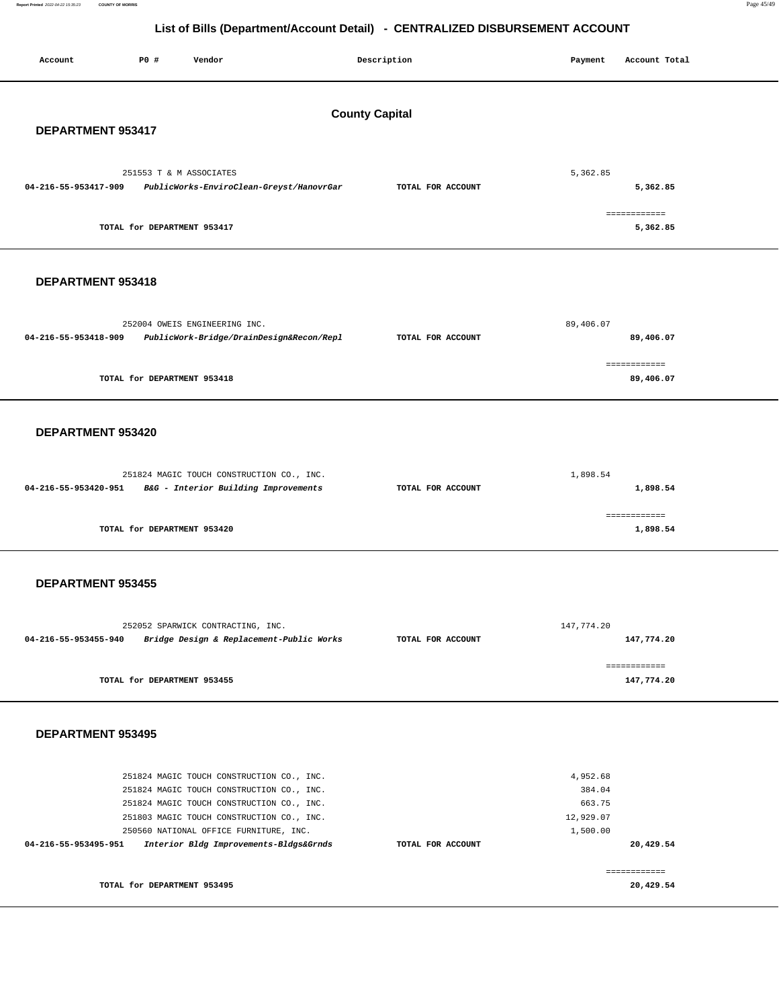**Report Printed** 2022-04-22 15:35:23 **COUNTY OF MORRIS** Page 45/49

# **List of Bills (Department/Account Detail) - CENTRALIZED DISBURSEMENT ACCOUNT**

| Account                  | <b>PO #</b> | Vendor                                                                                 |                                          | Description           | Payment          | Account Total              |  |
|--------------------------|-------------|----------------------------------------------------------------------------------------|------------------------------------------|-----------------------|------------------|----------------------------|--|
|                          |             |                                                                                        |                                          |                       |                  |                            |  |
|                          |             |                                                                                        |                                          | <b>County Capital</b> |                  |                            |  |
| DEPARTMENT 953417        |             |                                                                                        |                                          |                       |                  |                            |  |
|                          |             |                                                                                        |                                          |                       |                  |                            |  |
|                          |             | 251553 T & M ASSOCIATES                                                                |                                          |                       | 5,362.85         |                            |  |
| 04-216-55-953417-909     |             |                                                                                        | PublicWorks-EnviroClean-Greyst/HanovrGar | TOTAL FOR ACCOUNT     |                  | 5,362.85                   |  |
|                          |             |                                                                                        |                                          |                       |                  | ============               |  |
|                          |             | TOTAL for DEPARTMENT 953417                                                            |                                          |                       |                  | 5,362.85                   |  |
|                          |             |                                                                                        |                                          |                       |                  |                            |  |
| DEPARTMENT 953418        |             |                                                                                        |                                          |                       |                  |                            |  |
|                          |             |                                                                                        |                                          |                       |                  |                            |  |
|                          |             | 252004 OWEIS ENGINEERING INC.                                                          |                                          |                       | 89,406.07        |                            |  |
| 04-216-55-953418-909     |             |                                                                                        | PublicWork-Bridge/DrainDesign&Recon/Repl | TOTAL FOR ACCOUNT     |                  | 89,406.07                  |  |
|                          |             |                                                                                        |                                          |                       |                  | ============               |  |
|                          |             | TOTAL for DEPARTMENT 953418                                                            |                                          |                       |                  | 89,406.07                  |  |
|                          |             |                                                                                        |                                          |                       |                  |                            |  |
| DEPARTMENT 953420        |             |                                                                                        |                                          |                       |                  |                            |  |
|                          |             |                                                                                        |                                          |                       |                  |                            |  |
|                          |             | 251824 MAGIC TOUCH CONSTRUCTION CO., INC.                                              |                                          |                       | 1,898.54         |                            |  |
| 04-216-55-953420-951     |             | B&G - Interior Building Improvements                                                   |                                          | TOTAL FOR ACCOUNT     |                  | 1,898.54                   |  |
|                          |             |                                                                                        |                                          |                       |                  | ============               |  |
|                          |             | TOTAL for DEPARTMENT 953420                                                            |                                          |                       |                  | 1,898.54                   |  |
|                          |             |                                                                                        |                                          |                       |                  |                            |  |
|                          |             |                                                                                        |                                          |                       |                  |                            |  |
| <b>DEPARTMENT 953455</b> |             |                                                                                        |                                          |                       |                  |                            |  |
|                          |             |                                                                                        |                                          |                       |                  |                            |  |
| 04-216-55-953455-940     |             | 252052 SPARWICK CONTRACTING, INC.                                                      | Bridge Design & Replacement-Public Works | TOTAL FOR ACCOUNT     | 147,774.20       | 147,774.20                 |  |
|                          |             |                                                                                        |                                          |                       |                  |                            |  |
|                          |             | TOTAL for DEPARTMENT 953455                                                            |                                          |                       |                  | ============<br>147,774.20 |  |
|                          |             |                                                                                        |                                          |                       |                  |                            |  |
|                          |             |                                                                                        |                                          |                       |                  |                            |  |
| DEPARTMENT 953495        |             |                                                                                        |                                          |                       |                  |                            |  |
|                          |             |                                                                                        |                                          |                       |                  |                            |  |
|                          |             | 251824 MAGIC TOUCH CONSTRUCTION CO., INC.                                              |                                          |                       | 4,952.68         |                            |  |
|                          |             | 251824 MAGIC TOUCH CONSTRUCTION CO., INC.<br>251824 MAGIC TOUCH CONSTRUCTION CO., INC. |                                          |                       | 384.04<br>663.75 |                            |  |
|                          |             | 251803 MAGIC TOUCH CONSTRUCTION CO., INC.                                              |                                          |                       | 12,929.07        |                            |  |
|                          |             | 250560 NATIONAL OFFICE FURNITURE, INC.                                                 |                                          |                       | 1,500.00         |                            |  |
| 04-216-55-953495-951     |             | Interior Bldg Improvements-Bldgs&Grnds                                                 |                                          | TOTAL FOR ACCOUNT     |                  | 20,429.54                  |  |
|                          |             |                                                                                        |                                          |                       |                  | ------------               |  |
|                          |             | TOTAL for DEPARTMENT 953495                                                            |                                          |                       |                  | 20,429.54                  |  |
|                          |             |                                                                                        |                                          |                       |                  |                            |  |

۰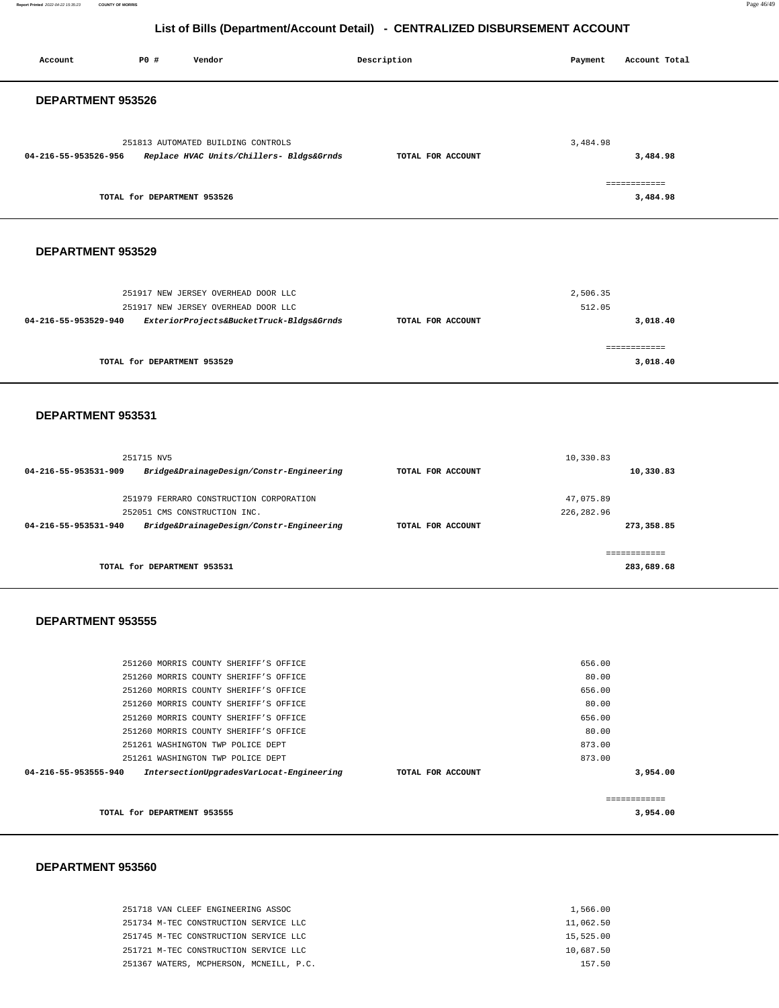#### **Report Printed** 2022-04-22 15:35:23 **COUNTY OF MORRIS** Page 46/49

# **List of Bills (Department/Account Detail) - CENTRALIZED DISBURSEMENT ACCOUNT**

| Account                  | <b>PO #</b>                 | Vendor                                                                         | Description       | Payment         | Account Total |  |
|--------------------------|-----------------------------|--------------------------------------------------------------------------------|-------------------|-----------------|---------------|--|
| DEPARTMENT 953526        |                             |                                                                                |                   |                 |               |  |
|                          |                             |                                                                                |                   |                 |               |  |
|                          |                             |                                                                                |                   |                 |               |  |
|                          |                             | 251813 AUTOMATED BUILDING CONTROLS                                             |                   | 3,484.98        |               |  |
| 04-216-55-953526-956     |                             | Replace HVAC Units/Chillers- Bldgs&Grnds                                       | TOTAL FOR ACCOUNT |                 | 3,484.98      |  |
|                          |                             |                                                                                |                   |                 | ============  |  |
|                          | TOTAL for DEPARTMENT 953526 |                                                                                |                   |                 | 3,484.98      |  |
|                          |                             |                                                                                |                   |                 |               |  |
| DEPARTMENT 953529        |                             |                                                                                |                   |                 |               |  |
|                          |                             |                                                                                |                   |                 |               |  |
|                          |                             |                                                                                |                   |                 |               |  |
|                          |                             | 251917 NEW JERSEY OVERHEAD DOOR LLC                                            |                   | 2,506.35        |               |  |
|                          |                             | 251917 NEW JERSEY OVERHEAD DOOR LLC                                            |                   | 512.05          |               |  |
| 04-216-55-953529-940     |                             | ExteriorProjects&BucketTruck-Bldgs&Grnds                                       | TOTAL FOR ACCOUNT |                 | 3,018.40      |  |
|                          |                             |                                                                                |                   |                 | ============  |  |
|                          | TOTAL for DEPARTMENT 953529 |                                                                                |                   |                 | 3,018.40      |  |
|                          |                             |                                                                                |                   |                 |               |  |
|                          |                             |                                                                                |                   |                 |               |  |
| DEPARTMENT 953531        |                             |                                                                                |                   |                 |               |  |
|                          |                             |                                                                                |                   |                 |               |  |
|                          | 251715 NV5                  |                                                                                |                   | 10,330.83       |               |  |
| 04-216-55-953531-909     |                             | Bridge&DrainageDesign/Constr-Engineering                                       | TOTAL FOR ACCOUNT |                 | 10,330.83     |  |
|                          |                             |                                                                                |                   |                 |               |  |
|                          |                             | 251979 FERRARO CONSTRUCTION CORPORATION                                        |                   | 47,075.89       |               |  |
|                          |                             | 252051 CMS CONSTRUCTION INC.                                                   |                   | 226, 282.96     |               |  |
| 04-216-55-953531-940     |                             | Bridge&DrainageDesign/Constr-Engineering                                       | TOTAL FOR ACCOUNT |                 | 273,358.85    |  |
|                          |                             |                                                                                |                   |                 | ============  |  |
|                          | TOTAL for DEPARTMENT 953531 |                                                                                |                   |                 | 283,689.68    |  |
|                          |                             |                                                                                |                   |                 |               |  |
|                          |                             |                                                                                |                   |                 |               |  |
| <b>DEPARTMENT 953555</b> |                             |                                                                                |                   |                 |               |  |
|                          |                             |                                                                                |                   |                 |               |  |
|                          |                             | 251260 MORRIS COUNTY SHERIFF'S OFFICE                                          |                   | 656.00          |               |  |
|                          |                             | 251260 MORRIS COUNTY SHERIFF'S OFFICE                                          |                   | 80.00           |               |  |
|                          |                             | 251260 MORRIS COUNTY SHERIFF'S OFFICE                                          |                   | 656.00          |               |  |
|                          |                             | 251260 MORRIS COUNTY SHERIFF'S OFFICE                                          |                   | 80.00           |               |  |
|                          |                             | 251260 MORRIS COUNTY SHERIFF'S OFFICE<br>251260 MORRIS COUNTY SHERIFF'S OFFICE |                   | 656.00<br>80.00 |               |  |
|                          |                             | 251261 WASHINGTON TWP POLICE DEPT                                              |                   | 873.00          |               |  |
|                          |                             | 251261 WASHINGTON TWP POLICE DEPT                                              |                   | 873.00          |               |  |
| 04-216-55-953555-940     |                             | IntersectionUpgradesVarLocat-Engineering                                       | TOTAL FOR ACCOUNT |                 | 3,954.00      |  |
|                          |                             |                                                                                |                   |                 | ============  |  |
|                          | TOTAL for DEPARTMENT 953555 |                                                                                |                   |                 | 3,954.00      |  |
|                          |                             |                                                                                |                   |                 |               |  |

#### **DEPARTMENT 953560**

Report Printed 2022-04-22 15:35:23

| 251718 VAN CLEEF ENGINEERING ASSOC      | 1,566.00  |
|-----------------------------------------|-----------|
| 251734 M-TEC CONSTRUCTION SERVICE LLC   | 11,062.50 |
| 251745 M-TEC CONSTRUCTION SERVICE LLC   | 15,525.00 |
| 251721 M-TEC CONSTRUCTION SERVICE LLC   | 10,687.50 |
| 251367 WATERS, MCPHERSON, MCNEILL, P.C. | 157.50    |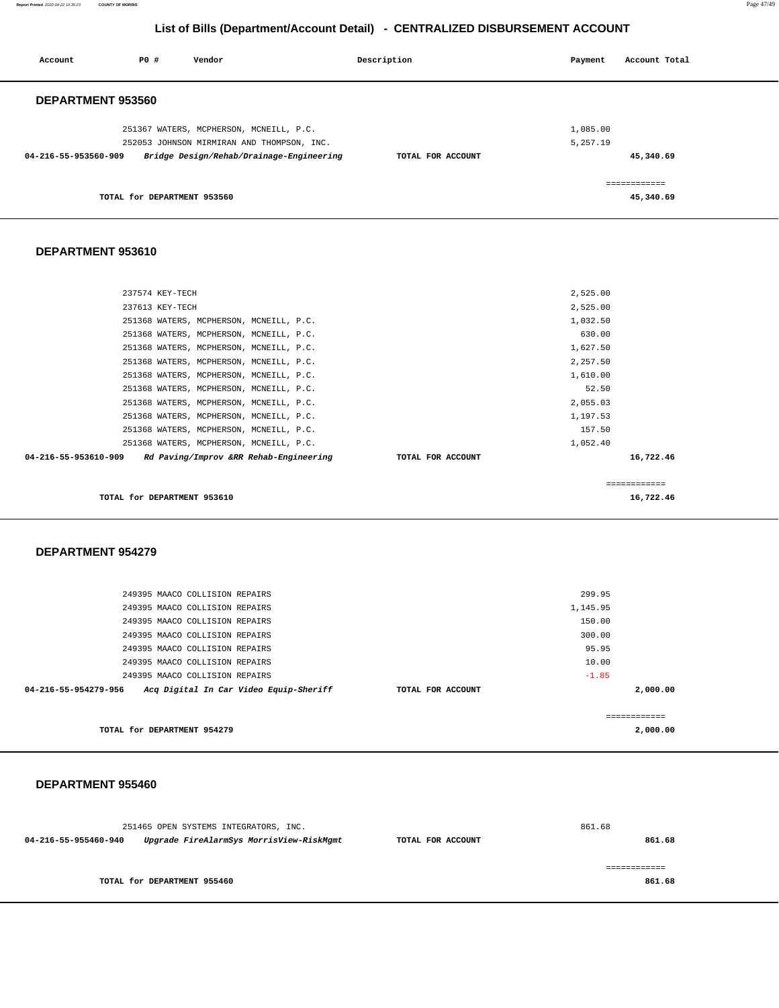**Report Printed** 2022-04-22 15:35:23 **COUNTY OF MORRIS** Page 47/49

# **List of Bills (Department/Account Detail) - CENTRALIZED DISBURSEMENT ACCOUNT**

| Account              | PO#                         | Vendor                                                                                | Description       | Payment              | Account Total |
|----------------------|-----------------------------|---------------------------------------------------------------------------------------|-------------------|----------------------|---------------|
| DEPARTMENT 953560    |                             |                                                                                       |                   |                      |               |
|                      |                             | 251367 WATERS, MCPHERSON, MCNEILL, P.C.<br>252053 JOHNSON MIRMIRAN AND THOMPSON, INC. |                   | 1,085.00<br>5,257.19 |               |
| 04-216-55-953560-909 |                             | Bridge Design/Rehab/Drainage-Engineering                                              | TOTAL FOR ACCOUNT |                      | 45,340.69     |
|                      |                             |                                                                                       |                   |                      | ============  |
|                      | TOTAL for DEPARTMENT 953560 |                                                                                       |                   |                      | 45,340.69     |

### **DEPARTMENT 953610**

| TOTAL for DEPARTMENT 953610             |                                        |                   |              | 16,722.46 |
|-----------------------------------------|----------------------------------------|-------------------|--------------|-----------|
|                                         |                                        |                   | ============ |           |
| 04-216-55-953610-909                    | Rd Paving/Improv &RR Rehab-Engineering | TOTAL FOR ACCOUNT |              | 16,722.46 |
| 251368 WATERS, MCPHERSON, MCNEILL, P.C. |                                        |                   | 1,052.40     |           |
| 251368 WATERS, MCPHERSON, MCNEILL, P.C. |                                        |                   | 157.50       |           |
| 251368 WATERS, MCPHERSON, MCNEILL, P.C. |                                        |                   | 1,197.53     |           |
| 251368 WATERS, MCPHERSON, MCNEILL, P.C. |                                        |                   | 2,055.03     |           |
| 251368 WATERS, MCPHERSON, MCNEILL, P.C. |                                        |                   | 52.50        |           |
| 251368 WATERS, MCPHERSON, MCNEILL, P.C. |                                        |                   | 1,610.00     |           |
| 251368 WATERS, MCPHERSON, MCNEILL, P.C. |                                        |                   | 2,257.50     |           |
| 251368 WATERS, MCPHERSON, MCNEILL, P.C. |                                        |                   | 1,627.50     |           |
| 251368 WATERS, MCPHERSON, MCNEILL, P.C. |                                        |                   | 630.00       |           |
| 251368 WATERS, MCPHERSON, MCNEILL, P.C. |                                        |                   | 1,032.50     |           |
| 237613 KEY-TECH                         |                                        |                   | 2,525.00     |           |
| 237574 KEY-TECH                         |                                        |                   | 2,525.00     |           |
|                                         |                                        |                   |              |           |

#### **DEPARTMENT 954279**

| TOTAL for DEPARTMENT 954279                                    |                   |          | 2,000.00 |
|----------------------------------------------------------------|-------------------|----------|----------|
| Acq Digital In Car Video Equip-Sheriff<br>04-216-55-954279-956 | TOTAL FOR ACCOUNT |          | 2,000,00 |
| 249395 MAACO COLLISION REPAIRS                                 |                   | $-1.85$  |          |
| 249395 MAACO COLLISION REPAIRS                                 |                   | 10.00    |          |
| 249395 MAACO COLLISION REPAIRS                                 |                   | 95.95    |          |
| 249395 MAACO COLLISION REPAIRS                                 |                   | 300.00   |          |
| 249395 MAACO COLLISION REPAIRS                                 |                   | 150.00   |          |
| 249395 MAACO COLLISION REPAIRS                                 |                   | 1,145.95 |          |
| 249395 MAACO COLLISION REPAIRS                                 |                   | 299.95   |          |
|                                                                |                   |          |          |

#### **DEPARTMENT 955460**

|                      | 251465 OPEN SYSTEMS INTEGRATORS, INC.    |                   | 861.68 |  |
|----------------------|------------------------------------------|-------------------|--------|--|
| 04-216-55-955460-940 | Upgrade FireAlarmSys MorrisView-RiskMgmt | TOTAL FOR ACCOUNT |        |  |
|                      |                                          |                   |        |  |
|                      |                                          |                   |        |  |
|                      | TOTAL for DEPARTMENT 955460              |                   | 861.68 |  |
|                      |                                          |                   |        |  |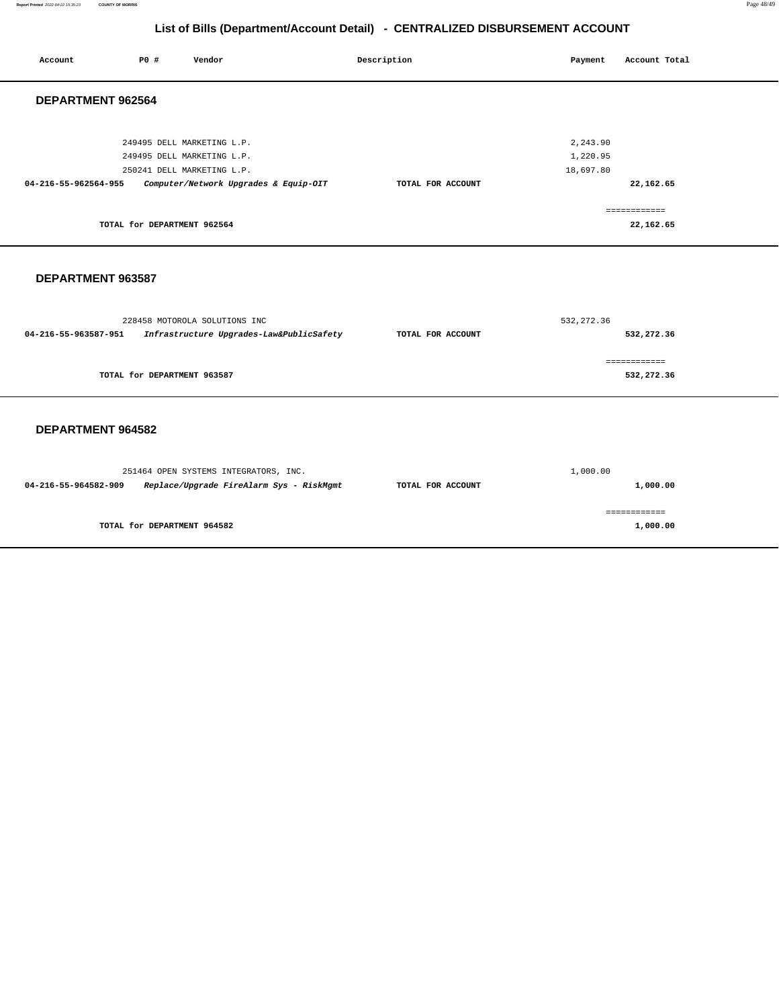**Report Printed** 2022-04-22 15:35:23 **COUNTY OF MORRIS** Page 48/49

# **List of Bills (Department/Account Detail) - CENTRALIZED DISBURSEMENT ACCOUNT**

| Account              | <b>PO #</b>                 | Vendor                                                                                                                          | Description       | Payment                           | Account Total              |
|----------------------|-----------------------------|---------------------------------------------------------------------------------------------------------------------------------|-------------------|-----------------------------------|----------------------------|
| DEPARTMENT 962564    |                             |                                                                                                                                 |                   |                                   |                            |
| 04-216-55-962564-955 |                             | 249495 DELL MARKETING L.P.<br>249495 DELL MARKETING L.P.<br>250241 DELL MARKETING L.P.<br>Computer/Network Upgrades & Equip-OIT | TOTAL FOR ACCOUNT | 2,243.90<br>1,220.95<br>18,697.80 | 22,162.65<br>============  |
|                      | TOTAL for DEPARTMENT 962564 |                                                                                                                                 |                   |                                   | 22,162.65                  |
| DEPARTMENT 963587    |                             |                                                                                                                                 |                   |                                   |                            |
| 04-216-55-963587-951 |                             | 228458 MOTOROLA SOLUTIONS INC<br>Infrastructure Upgrades-Law&PublicSafety                                                       | TOTAL FOR ACCOUNT | 532, 272.36                       | 532,272.36                 |
|                      | TOTAL for DEPARTMENT 963587 |                                                                                                                                 |                   |                                   | ============<br>532,272.36 |
| DEPARTMENT 964582    |                             |                                                                                                                                 |                   |                                   |                            |
| 04-216-55-964582-909 |                             | 251464 OPEN SYSTEMS INTEGRATORS, INC.<br>Replace/Upgrade FireAlarm Sys - RiskMgmt                                               | TOTAL FOR ACCOUNT | 1,000.00                          | 1,000.00                   |
|                      | TOTAL for DEPARTMENT 964582 |                                                                                                                                 |                   |                                   | ============<br>1,000.00   |